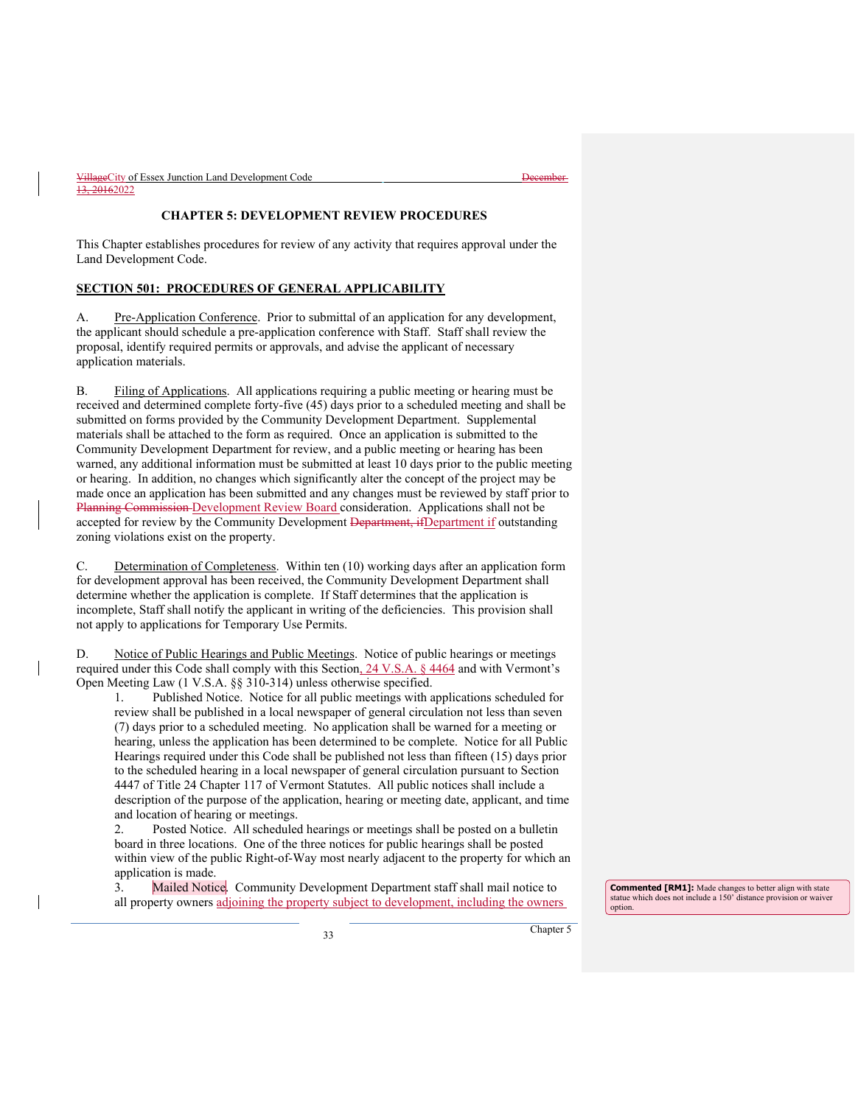| VillageCity of Essex Junction Land Development Code | t Jacombor<br><del>17000111701</del> |
|-----------------------------------------------------|--------------------------------------|
| 13, 20162022                                        |                                      |

# **CHAPTER 5: DEVELOPMENT REVIEW PROCEDURES**

This Chapter establishes procedures for review of any activity that requires approval under the Land Development Code.

# **SECTION 501: PROCEDURES OF GENERAL APPLICABILITY**

A. Pre-Application Conference. Prior to submittal of an application for any development, the applicant should schedule a pre-application conference with Staff. Staff shall review the proposal, identify required permits or approvals, and advise the applicant of necessary application materials.

B. Filing of Applications. All applications requiring a public meeting or hearing must be received and determined complete forty-five (45) days prior to a scheduled meeting and shall be submitted on forms provided by the Community Development Department. Supplemental materials shall be attached to the form as required. Once an application is submitted to the Community Development Department for review, and a public meeting or hearing has been warned, any additional information must be submitted at least 10 days prior to the public meeting or hearing. In addition, no changes which significantly alter the concept of the project may be made once an application has been submitted and any changes must be reviewed by staff prior to Planning Commission Development Review Board consideration. Applications shall not be accepted for review by the Community Development Department, if Department if outstanding zoning violations exist on the property.

C. Determination of Completeness. Within ten (10) working days after an application form for development approval has been received, the Community Development Department shall determine whether the application is complete. If Staff determines that the application is incomplete, Staff shall notify the applicant in writing of the deficiencies. This provision shall not apply to applications for Temporary Use Permits.

D. Notice of Public Hearings and Public Meetings. Notice of public hearings or meetings required under this Code shall comply with this Section, 24 V.S.A. § 4464 and with Vermont's Open Meeting Law (1 V.S.A. §§ 310-314) unless otherwise specified.

1. Published Notice. Notice for all public meetings with applications scheduled for review shall be published in a local newspaper of general circulation not less than seven (7) days prior to a scheduled meeting. No application shall be warned for a meeting or hearing, unless the application has been determined to be complete. Notice for all Public Hearings required under this Code shall be published not less than fifteen (15) days prior to the scheduled hearing in a local newspaper of general circulation pursuant to Section 4447 of Title 24 Chapter 117 of Vermont Statutes. All public notices shall include a description of the purpose of the application, hearing or meeting date, applicant, and time and location of hearing or meetings.

2. Posted Notice. All scheduled hearings or meetings shall be posted on a bulletin board in three locations. One of the three notices for public hearings shall be posted within view of the public Right-of-Way most nearly adjacent to the property for which an application is made.

3. Mailed Notice. Community Development Department staff shall mail notice to all property owners adjoining the property subject to development, including the owners

**Commented [RM1]:** Made changes to better align with state statue which does not include a 150' distance provision or waiver option.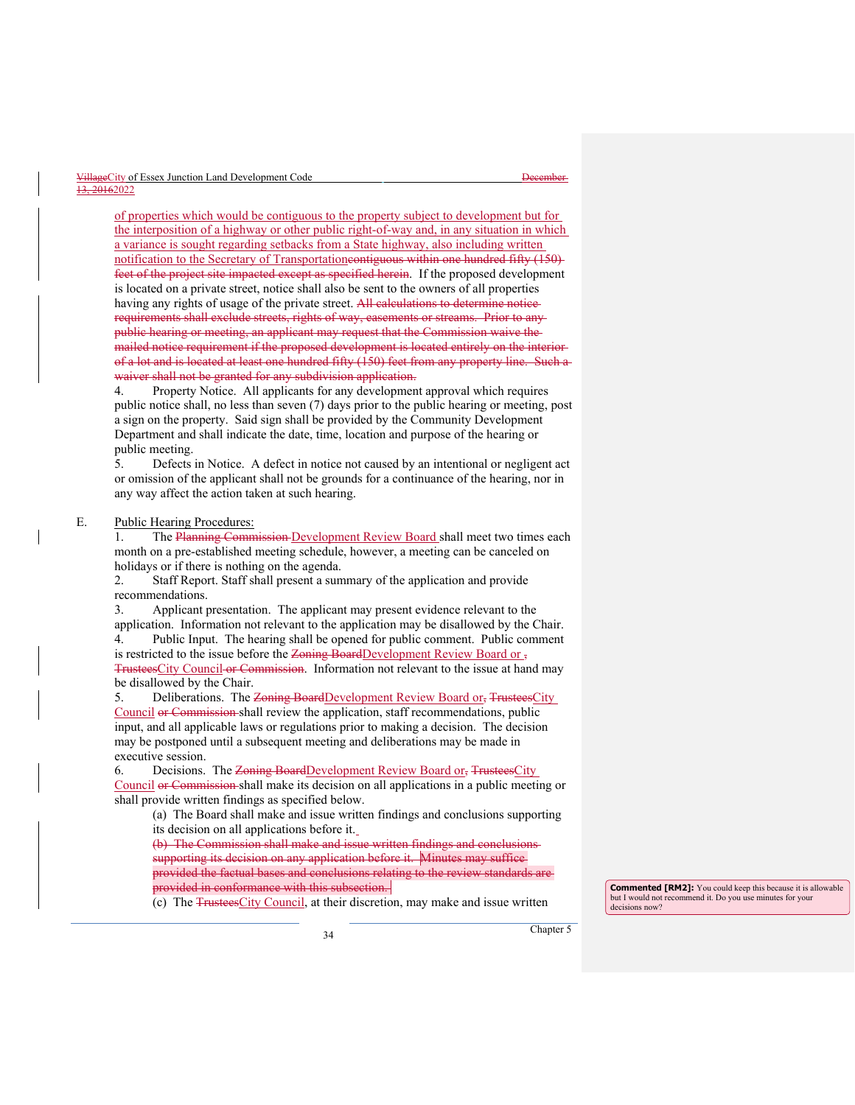| VillageCity of Essex Junction Land Development Code | <del>December</del> |
|-----------------------------------------------------|---------------------|
| 13, 20162022                                        |                     |

of properties which would be contiguous to the property subject to development but for the interposition of a highway or other public right-of-way and, in any situation in which a variance is sought regarding setbacks from a State highway, also including written notification to the Secretary of Transportationcontiguous within one hundred fifty (150) feet of the project site impacted except as specified herein. If the proposed development is located on a private street, notice shall also be sent to the owners of all properties having any rights of usage of the private street. All calculations to determine notice requirements shall exclude streets, rights of way, easements or streams. Prior to any public hearing or meeting, an applicant may request that the Commission waive the mailed notice requirement if the proposed development is located entirely on the interior of a lot and is located at least one hundred fifty (150) feet from any property line. Such a waiver shall not be granted for any subdivision application.

4. Property Notice. All applicants for any development approval which requires public notice shall, no less than seven (7) days prior to the public hearing or meeting, post a sign on the property. Said sign shall be provided by the Community Development Department and shall indicate the date, time, location and purpose of the hearing or public meeting.

5. Defects in Notice. A defect in notice not caused by an intentional or negligent act or omission of the applicant shall not be grounds for a continuance of the hearing, nor in any way affect the action taken at such hearing.

#### E. Public Hearing Procedures:

1. The Planning Commission Development Review Board shall meet two times each month on a pre-established meeting schedule, however, a meeting can be canceled on holidays or if there is nothing on the agenda.

2. Staff Report. Staff shall present a summary of the application and provide recommendations.

3. Applicant presentation. The applicant may present evidence relevant to the application. Information not relevant to the application may be disallowed by the Chair.

4. Public Input. The hearing shall be opened for public comment. Public comment is restricted to the issue before the Zoning BoardDevelopment Review Board or , TrusteesCity Council or Commission. Information not relevant to the issue at hand may be disallowed by the Chair.

5. Deliberations. The Zoning BoardDevelopment Review Board or, TrusteesCity Council or Commission shall review the application, staff recommendations, public input, and all applicable laws or regulations prior to making a decision. The decision may be postponed until a subsequent meeting and deliberations may be made in executive session.

6. Decisions. The Zoning BoardDevelopment Review Board or, TrusteesCity Council or Commission shall make its decision on all applications in a public meeting or shall provide written findings as specified below.

(a) The Board shall make and issue written findings and conclusions supporting its decision on all applications before it.

(b) The Commission shall make and issue written findings and conclusions supporting its decision on any application before it. Minutes may suffice provided the factual bases and conclusions relating to the review standards provided in conformance with this subsection.

(c) The TrusteesCity Council, at their discretion, may make and issue written

**Commented [RM2]:** You could keep this because it is allowable but I would not recommend it. Do you use minutes for your decisions now?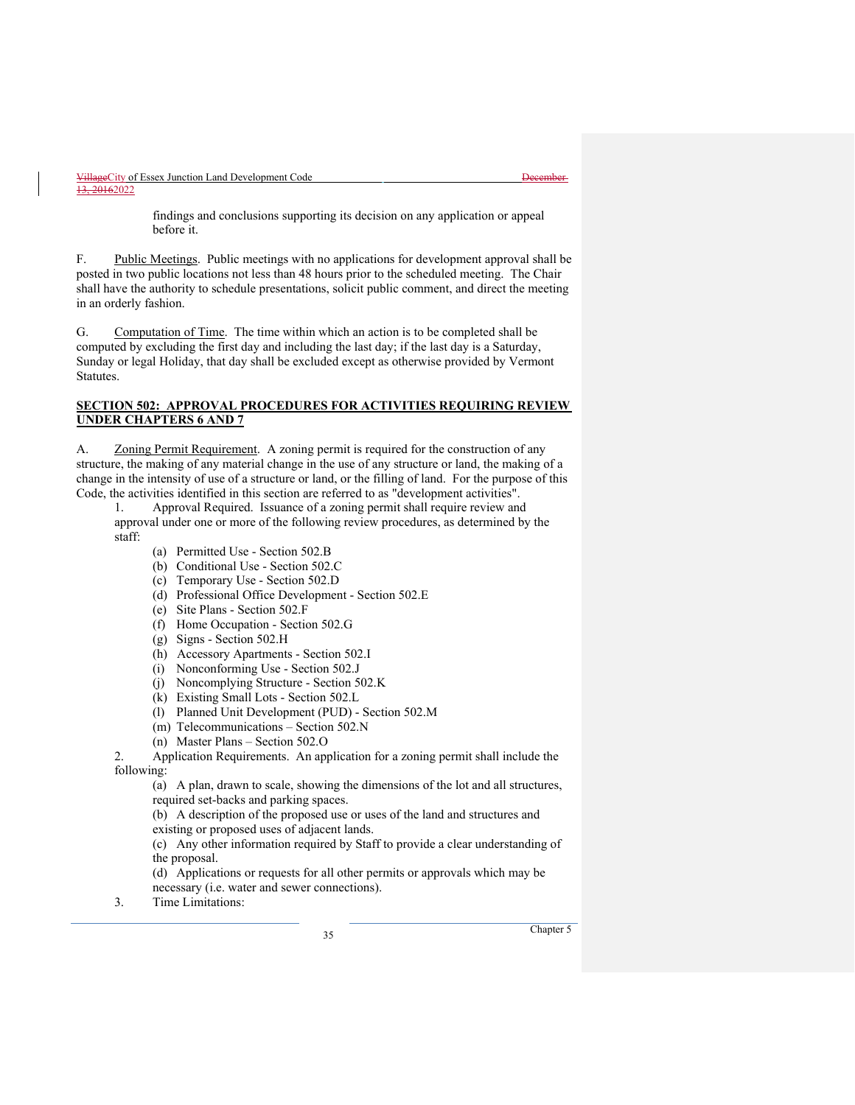findings and conclusions supporting its decision on any application or appeal before it.

F. Public Meetings. Public meetings with no applications for development approval shall be posted in two public locations not less than 48 hours prior to the scheduled meeting. The Chair shall have the authority to schedule presentations, solicit public comment, and direct the meeting in an orderly fashion.

G. Computation of Time. The time within which an action is to be completed shall be computed by excluding the first day and including the last day; if the last day is a Saturday, Sunday or legal Holiday, that day shall be excluded except as otherwise provided by Vermont Statutes.

# **SECTION 502: APPROVAL PROCEDURES FOR ACTIVITIES REQUIRING REVIEW UNDER CHAPTERS 6 AND 7**

A. Zoning Permit Requirement. A zoning permit is required for the construction of any structure, the making of any material change in the use of any structure or land, the making of a change in the intensity of use of a structure or land, or the filling of land. For the purpose of this Code, the activities identified in this section are referred to as "development activities".

1. Approval Required. Issuance of a zoning permit shall require review and approval under one or more of the following review procedures, as determined by the staff:

- (a) Permitted Use Section 502.B
- (b) Conditional Use Section 502.C
- (c) Temporary Use Section 502.D
- (d) Professional Office Development Section 502.E
- (e) Site Plans Section 502.F
- (f) Home Occupation Section 502.G
- (g) Signs Section 502.H
- (h) Accessory Apartments Section 502.I
- (i) Nonconforming Use Section 502.J
- (j) Noncomplying Structure Section 502.K
- (k) Existing Small Lots Section 502.L
- (l) Planned Unit Development (PUD) Section 502.M
- (m) Telecommunications Section 502.N
- (n) Master Plans Section 502.O

2. Application Requirements. An application for a zoning permit shall include the following:

(a) A plan, drawn to scale, showing the dimensions of the lot and all structures, required set-backs and parking spaces.

(b) A description of the proposed use or uses of the land and structures and

existing or proposed uses of adjacent lands.

(c) Any other information required by Staff to provide a clear understanding of the proposal.

(d) Applications or requests for all other permits or approvals which may be necessary (i.e. water and sewer connections).

3. Time Limitations: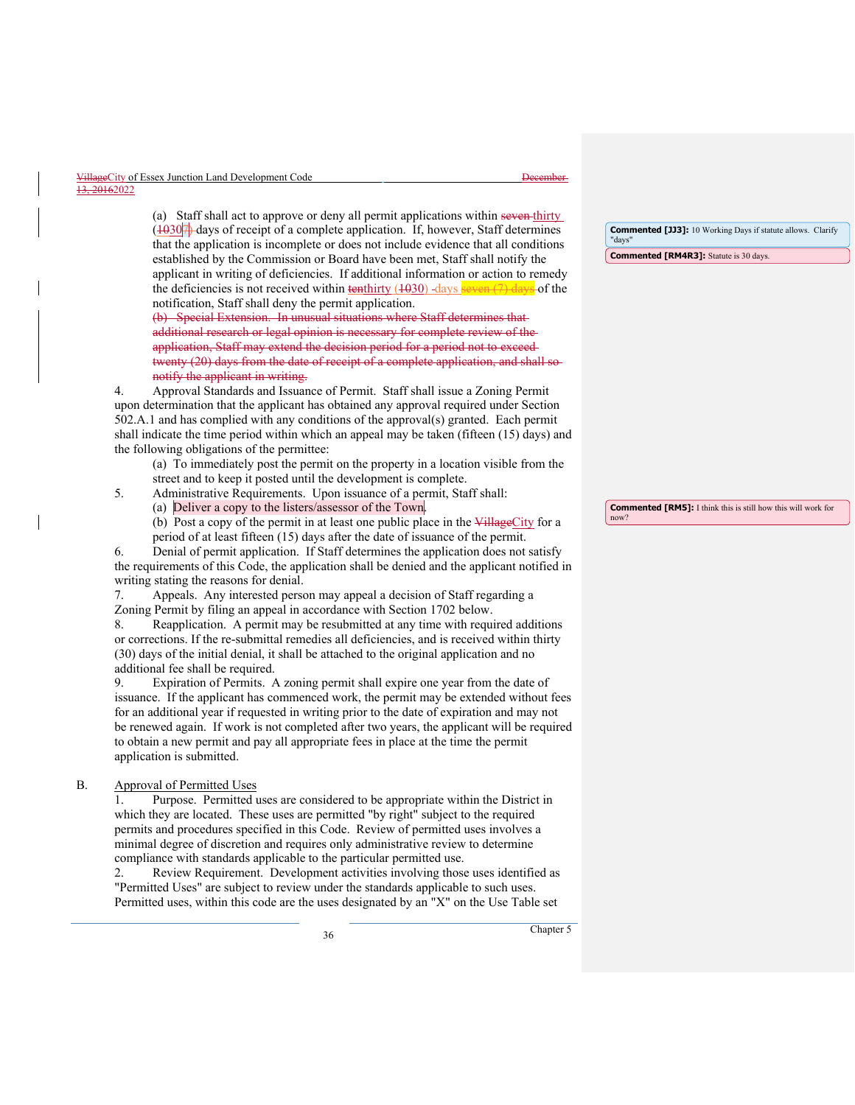| VillageCity of Essex Junction Land Development Code | t Jacombor<br><del>17000111701</del> |
|-----------------------------------------------------|--------------------------------------|
| 13, 20162022                                        |                                      |

(a) Staff shall act to approve or deny all permit applications within seven thirty  $\frac{1030}{7}$  days of receipt of a complete application. If, however, Staff determines that the application is incomplete or does not include evidence that all conditions established by the Commission or Board have been met, Staff shall notify the applicant in writing of deficiencies. If additional information or action to remedy the deficiencies is not received within  $\frac{\text{tenthirty}}{\text{t(1030)}}$  days seven (7) days</u> of the notification, Staff shall deny the permit application.

(b) Special Extension. In unusual situations where Staff determines that additional research or legal opinion is necessary for complete review of the application, Staff may extend the decision period for a period not to exceed twenty (20) days from the date of receipt of a complete application, and shall so notify the applicant in writing.

4. Approval Standards and Issuance of Permit. Staff shall issue a Zoning Permit upon determination that the applicant has obtained any approval required under Section 502.A.1 and has complied with any conditions of the approval(s) granted. Each permit shall indicate the time period within which an appeal may be taken (fifteen (15) days) and the following obligations of the permittee:

(a) To immediately post the permit on the property in a location visible from the street and to keep it posted until the development is complete.

- 5. Administrative Requirements. Upon issuance of a permit, Staff shall:
	- (a) Deliver a copy to the listers/assessor of the Town.
	- (b) Post a copy of the permit in at least one public place in the VillageCity for a period of at least fifteen (15) days after the date of issuance of the permit.

6. Denial of permit application. If Staff determines the application does not satisfy the requirements of this Code, the application shall be denied and the applicant notified in writing stating the reasons for denial.

7. Appeals. Any interested person may appeal a decision of Staff regarding a Zoning Permit by filing an appeal in accordance with Section 1702 below.

8. Reapplication. A permit may be resubmitted at any time with required additions or corrections. If the re-submittal remedies all deficiencies, and is received within thirty (30) days of the initial denial, it shall be attached to the original application and no additional fee shall be required.

9. Expiration of Permits. A zoning permit shall expire one year from the date of issuance. If the applicant has commenced work, the permit may be extended without fees for an additional year if requested in writing prior to the date of expiration and may not be renewed again. If work is not completed after two years, the applicant will be required to obtain a new permit and pay all appropriate fees in place at the time the permit application is submitted.

#### B. Approval of Permitted Uses

1. Purpose. Permitted uses are considered to be appropriate within the District in which they are located. These uses are permitted "by right" subject to the required permits and procedures specified in this Code. Review of permitted uses involves a minimal degree of discretion and requires only administrative review to determine compliance with standards applicable to the particular permitted use.

Review Requirement. Development activities involving those uses identified as "Permitted Uses" are subject to review under the standards applicable to such uses. Permitted uses, within this code are the uses designated by an "X" on the Use Table set

**Commented [JJ3]:** 10 Working Days if statute allows. Clarify "days"

**Commented [RM4R3]:** Statute is 30 days.

**Commented [RM5]:** I think this is still how this will work for now?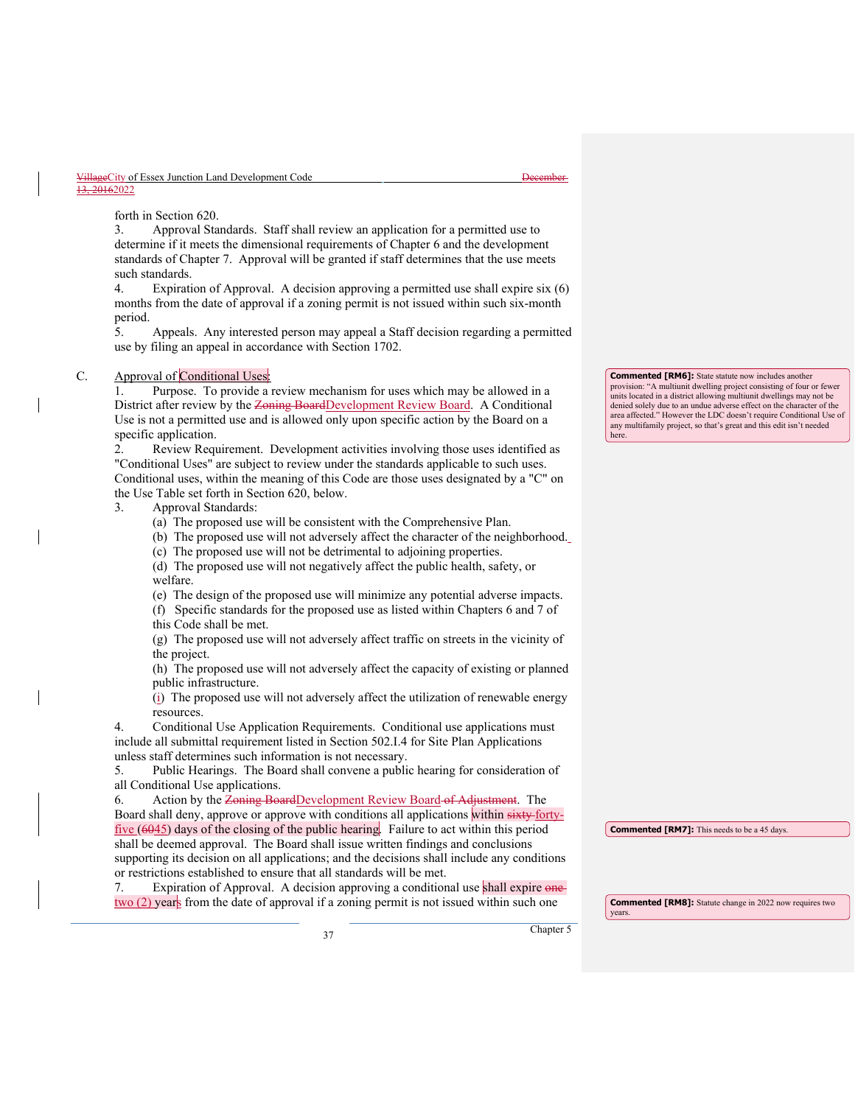forth in Section 620.

3. Approval Standards. Staff shall review an application for a permitted use to determine if it meets the dimensional requirements of Chapter 6 and the development standards of Chapter 7. Approval will be granted if staff determines that the use meets such standards.

4. Expiration of Approval. A decision approving a permitted use shall expire six (6) months from the date of approval if a zoning permit is not issued within such six-month period.

5. Appeals. Any interested person may appeal a Staff decision regarding a permitted use by filing an appeal in accordance with Section 1702.

# C. Approval of Conditional Uses:

1. Purpose. To provide a review mechanism for uses which may be allowed in a District after review by the Zoning BoardDevelopment Review Board. A Conditional Use is not a permitted use and is allowed only upon specific action by the Board on a specific application.

2. Review Requirement. Development activities involving those uses identified as "Conditional Uses" are subject to review under the standards applicable to such uses. Conditional uses, within the meaning of this Code are those uses designated by a "C" on the Use Table set forth in Section 620, below.

- 3. Approval Standards:
	- (a) The proposed use will be consistent with the Comprehensive Plan.
	- (b) The proposed use will not adversely affect the character of the neighborhood.
	- (c) The proposed use will not be detrimental to adjoining properties.

(d) The proposed use will not negatively affect the public health, safety, or welfare.

- (e) The design of the proposed use will minimize any potential adverse impacts.
- (f) Specific standards for the proposed use as listed within Chapters 6 and 7 of this Code shall be met.

(g) The proposed use will not adversely affect traffic on streets in the vicinity of the project.

(h) The proposed use will not adversely affect the capacity of existing or planned public infrastructure.

(i) The proposed use will not adversely affect the utilization of renewable energy resources.

4. Conditional Use Application Requirements. Conditional use applications must include all submittal requirement listed in Section 502.I.4 for Site Plan Applications unless staff determines such information is not necessary.

5. Public Hearings. The Board shall convene a public hearing for consideration of all Conditional Use applications.

6. Action by the Zoning Board Development Review Board of Adjustment. The Board shall deny, approve or approve with conditions all applications within sixty fortyfive  $(6045)$  days of the closing of the public hearing. Failure to act within this period shall be deemed approval. The Board shall issue written findings and conclusions supporting its decision on all applications; and the decisions shall include any conditions or restrictions established to ensure that all standards will be met.

7. Expiration of Approval. A decision approving a conditional use shall expire one two (2) years from the date of approval if a zoning permit is not issued within such one

**Commented [RM6]:** State statute now includes another provision: "A multiunit dwelling project consisting of four or fewer units located in a district allowing multiunit dwellings may not be denied solely due to an undue adverse effect on the character of the area affected." However the LDC doesn't require Conditional Use of any multifamily project, so that's great and this edit isn't needed here.

**Commented [RM7]:** This needs to be a 45 days.

**Commented [RM8]:** Statute change in 2022 now requires two years.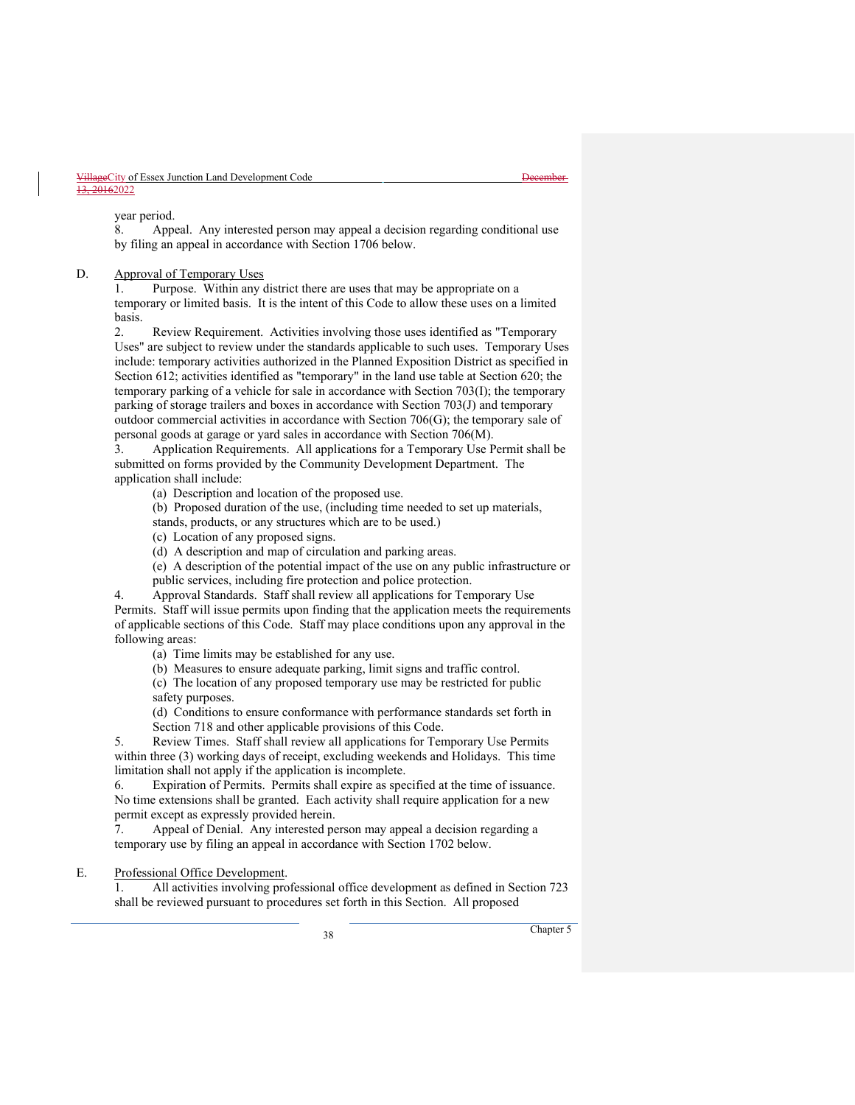year period.

8. Appeal. Any interested person may appeal a decision regarding conditional use by filing an appeal in accordance with Section 1706 below.

D. Approval of Temporary Uses

1. Purpose. Within any district there are uses that may be appropriate on a temporary or limited basis. It is the intent of this Code to allow these uses on a limited basis.

2. Review Requirement. Activities involving those uses identified as "Temporary Uses" are subject to review under the standards applicable to such uses. Temporary Uses include: temporary activities authorized in the Planned Exposition District as specified in Section 612; activities identified as "temporary" in the land use table at Section 620; the temporary parking of a vehicle for sale in accordance with Section 703(I); the temporary parking of storage trailers and boxes in accordance with Section 703(J) and temporary outdoor commercial activities in accordance with Section 706(G); the temporary sale of personal goods at garage or yard sales in accordance with Section 706(M).

3. Application Requirements. All applications for a Temporary Use Permit shall be submitted on forms provided by the Community Development Department. The application shall include:

(a) Description and location of the proposed use.

(b) Proposed duration of the use, (including time needed to set up materials,

stands, products, or any structures which are to be used.)

(c) Location of any proposed signs.

(d) A description and map of circulation and parking areas.

(e) A description of the potential impact of the use on any public infrastructure or public services, including fire protection and police protection.

4. Approval Standards. Staff shall review all applications for Temporary Use Permits. Staff will issue permits upon finding that the application meets the requirements of applicable sections of this Code. Staff may place conditions upon any approval in the following areas:

(a) Time limits may be established for any use.

(b) Measures to ensure adequate parking, limit signs and traffic control.

(c) The location of any proposed temporary use may be restricted for public safety purposes.

(d) Conditions to ensure conformance with performance standards set forth in Section 718 and other applicable provisions of this Code.

5. Review Times. Staff shall review all applications for Temporary Use Permits within three (3) working days of receipt, excluding weekends and Holidays. This time limitation shall not apply if the application is incomplete.

6. Expiration of Permits. Permits shall expire as specified at the time of issuance. No time extensions shall be granted. Each activity shall require application for a new permit except as expressly provided herein.

7. Appeal of Denial. Any interested person may appeal a decision regarding a temporary use by filing an appeal in accordance with Section 1702 below.

# E. Professional Office Development.

1. All activities involving professional office development as defined in Section 723 shall be reviewed pursuant to procedures set forth in this Section. All proposed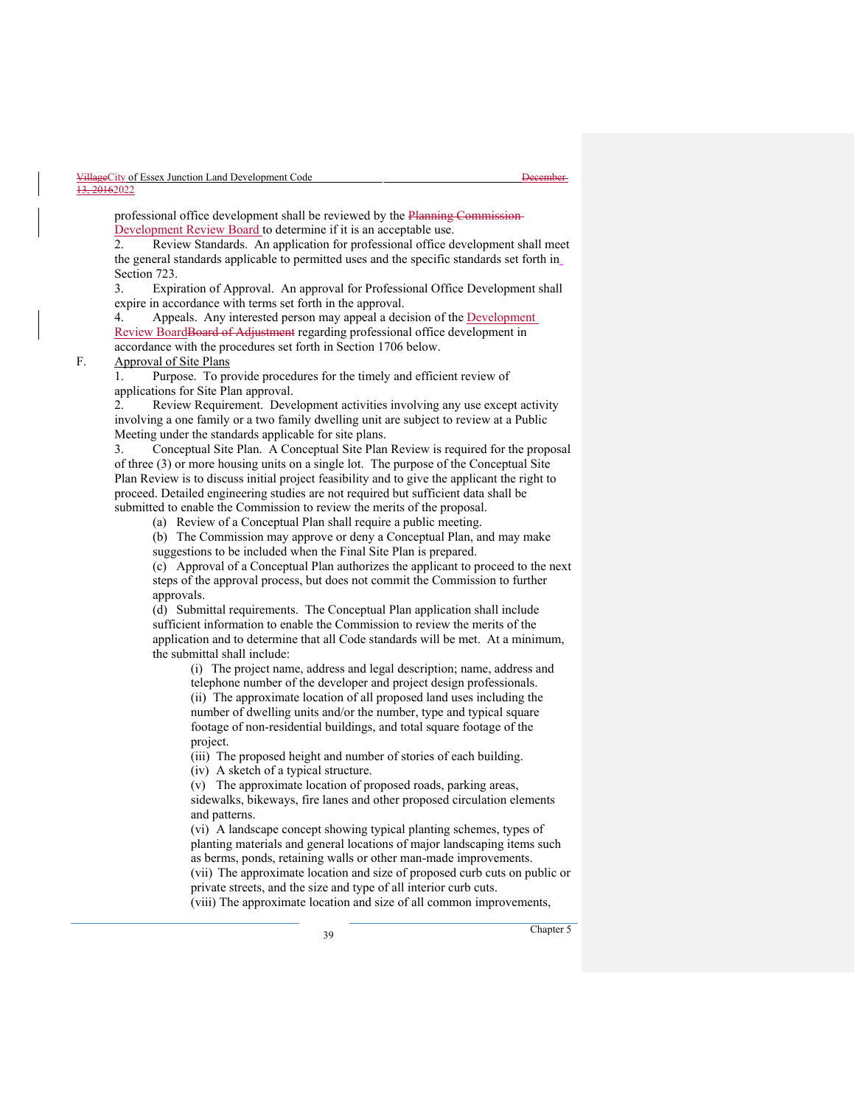professional office development shall be reviewed by the Planning Commission-Development Review Board to determine if it is an acceptable use.

2. Review Standards. An application for professional office development shall meet the general standards applicable to permitted uses and the specific standards set forth in Section 723.

3. Expiration of Approval. An approval for Professional Office Development shall expire in accordance with terms set forth in the approval.

4. Appeals. Any interested person may appeal a decision of the **Development** Review BoardBoard of Adjustment regarding professional office development in accordance with the procedures set forth in Section 1706 below.

# F. Approval of Site Plans

1. Purpose. To provide procedures for the timely and efficient review of applications for Site Plan approval.

2. Review Requirement. Development activities involving any use except activity involving a one family or a two family dwelling unit are subject to review at a Public Meeting under the standards applicable for site plans.

3. Conceptual Site Plan. A Conceptual Site Plan Review is required for the proposal of three (3) or more housing units on a single lot. The purpose of the Conceptual Site Plan Review is to discuss initial project feasibility and to give the applicant the right to proceed. Detailed engineering studies are not required but sufficient data shall be submitted to enable the Commission to review the merits of the proposal.

(a) Review of a Conceptual Plan shall require a public meeting.

(b) The Commission may approve or deny a Conceptual Plan, and may make suggestions to be included when the Final Site Plan is prepared.

(c) Approval of a Conceptual Plan authorizes the applicant to proceed to the next steps of the approval process, but does not commit the Commission to further approvals.

(d) Submittal requirements. The Conceptual Plan application shall include sufficient information to enable the Commission to review the merits of the application and to determine that all Code standards will be met. At a minimum, the submittal shall include:

(i) The project name, address and legal description; name, address and telephone number of the developer and project design professionals. (ii) The approximate location of all proposed land uses including the number of dwelling units and/or the number, type and typical square footage of non-residential buildings, and total square footage of the project.

(iii) The proposed height and number of stories of each building.

(iv) A sketch of a typical structure.

(v) The approximate location of proposed roads, parking areas,

sidewalks, bikeways, fire lanes and other proposed circulation elements and patterns.

(vi) A landscape concept showing typical planting schemes, types of planting materials and general locations of major landscaping items such as berms, ponds, retaining walls or other man-made improvements. (vii) The approximate location and size of proposed curb cuts on public or private streets, and the size and type of all interior curb cuts. (viii) The approximate location and size of all common improvements,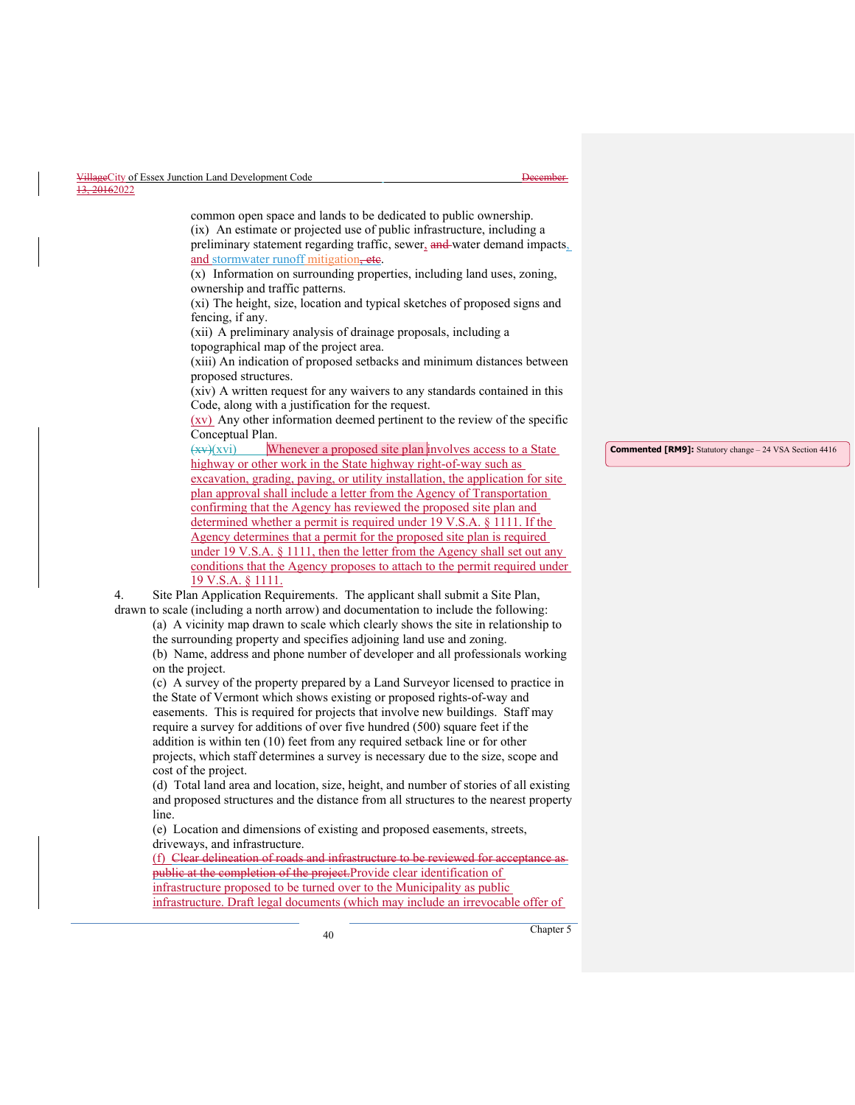|           | VillageCity of Essex Junction Land Development Code | Dacambar.<br><del>17000111701</del> |
|-----------|-----------------------------------------------------|-------------------------------------|
| 10.015000 |                                                     |                                     |

 $0162022$ 

common open space and lands to be dedicated to public ownership. (ix) An estimate or projected use of public infrastructure, including a preliminary statement regarding traffic, sewer, and water demand impacts. and stormwater runoff mitigation, etc.

(x) Information on surrounding properties, including land uses, zoning, ownership and traffic patterns.

(xi) The height, size, location and typical sketches of proposed signs and fencing, if any.

(xii) A preliminary analysis of drainage proposals, including a topographical map of the project area.

(xiii) An indication of proposed setbacks and minimum distances between proposed structures.

(xiv) A written request for any waivers to any standards contained in this Code, along with a justification for the request.

(xv) Any other information deemed pertinent to the review of the specific Conceptual Plan.

 $(xv)(xvi)$  Whenever a proposed site plan involves access to a State highway or other work in the State highway right-of-way such as excavation, grading, paving, or utility installation, the application for site plan approval shall include a letter from the Agency of Transportation confirming that the Agency has reviewed the proposed site plan and determined whether a permit is required under 19 V.S.A. § 1111. If the Agency determines that a permit for the proposed site plan is required under 19 V.S.A. § 1111, then the letter from the Agency shall set out any conditions that the Agency proposes to attach to the permit required under 19 V.S.A. § 1111.

4. Site Plan Application Requirements. The applicant shall submit a Site Plan, drawn to scale (including a north arrow) and documentation to include the following:

(a) A vicinity map drawn to scale which clearly shows the site in relationship to the surrounding property and specifies adjoining land use and zoning.

(b) Name, address and phone number of developer and all professionals working on the project.

(c) A survey of the property prepared by a Land Surveyor licensed to practice in the State of Vermont which shows existing or proposed rights-of-way and easements. This is required for projects that involve new buildings. Staff may require a survey for additions of over five hundred (500) square feet if the addition is within ten (10) feet from any required setback line or for other projects, which staff determines a survey is necessary due to the size, scope and cost of the project.

(d) Total land area and location, size, height, and number of stories of all existing and proposed structures and the distance from all structures to the nearest property line.

(e) Location and dimensions of existing and proposed easements, streets, driveways, and infrastructure.

(f) Clear delineation of roads and infrastructure to be reviewed for acceptance as public at the completion of the project.Provide clear identification of infrastructure proposed to be turned over to the Municipality as public infrastructure. Draft legal documents (which may include an irrevocable offer of

**Commented [RM9]:** Statutory change – 24 VSA Section 4416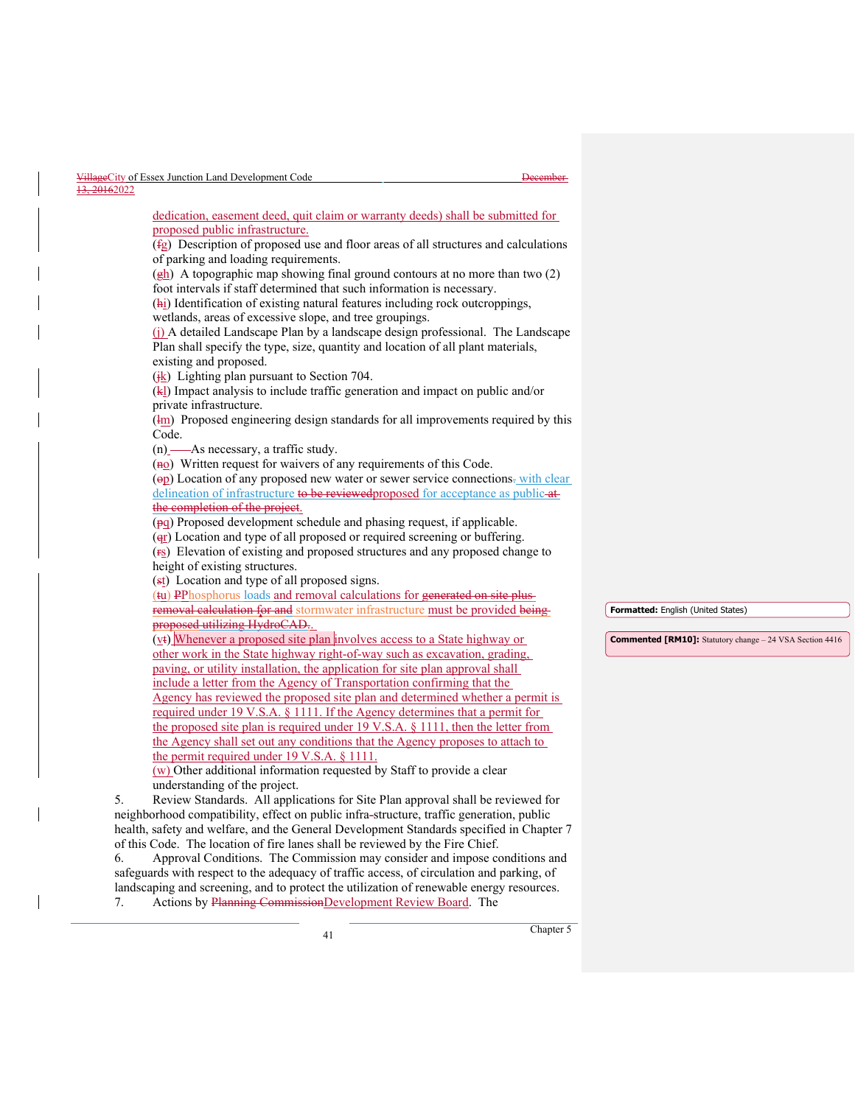| VillageCity of Essex Junction Land Development Code                                                                   | <b>December</b> |                                                                 |
|-----------------------------------------------------------------------------------------------------------------------|-----------------|-----------------------------------------------------------------|
| 13, 20162022                                                                                                          |                 |                                                                 |
| dedication, easement deed, quit claim or warranty deeds) shall be submitted for                                       |                 |                                                                 |
| proposed public infrastructure.                                                                                       |                 |                                                                 |
| $(fg)$ Description of proposed use and floor areas of all structures and calculations                                 |                 |                                                                 |
| of parking and loading requirements.                                                                                  |                 |                                                                 |
| $\frac{(\frac{h}{b})}{\Delta}$ A topographic map showing final ground contours at no more than two (2)                |                 |                                                                 |
| foot intervals if staff determined that such information is necessary.                                                |                 |                                                                 |
| (hi) Identification of existing natural features including rock outcroppings,                                         |                 |                                                                 |
| wetlands, areas of excessive slope, and tree groupings.                                                               |                 |                                                                 |
| (i) A detailed Landscape Plan by a landscape design professional. The Landscape                                       |                 |                                                                 |
| Plan shall specify the type, size, quantity and location of all plant materials,                                      |                 |                                                                 |
| existing and proposed.<br>$(\frac{ik}{\hbar})$ Lighting plan pursuant to Section 704.                                 |                 |                                                                 |
| (kl) Impact analysis to include traffic generation and impact on public and/or                                        |                 |                                                                 |
| private infrastructure.                                                                                               |                 |                                                                 |
| (Im) Proposed engineering design standards for all improvements required by this                                      |                 |                                                                 |
| Code.                                                                                                                 |                 |                                                                 |
| $(n)$ — As necessary, a traffic study.                                                                                |                 |                                                                 |
| $(m0)$ Written request for waivers of any requirements of this Code.                                                  |                 |                                                                 |
| (op) Location of any proposed new water or sewer service connections-with clear                                       |                 |                                                                 |
| delineation of infrastructure to be reviewed proposed for acceptance as publicat-                                     |                 |                                                                 |
| the completion of the project.                                                                                        |                 |                                                                 |
| $(\overline{pq})$ Proposed development schedule and phasing request, if applicable.                                   |                 |                                                                 |
| $\left(\frac{q_1}{r}\right)$ Location and type of all proposed or required screening or buffering.                    |                 |                                                                 |
| (FS) Elevation of existing and proposed structures and any proposed change to                                         |                 |                                                                 |
| height of existing structures.<br>(st) Location and type of all proposed signs.                                       |                 |                                                                 |
| (tu) PPhosphorus loads and removal calculations for generated on site plus-                                           |                 |                                                                 |
| removal calculation for and stormwater infrastructure must be provided being                                          |                 | Formatted: English (United States)                              |
| proposed utilizing HydroCAD.                                                                                          |                 |                                                                 |
| (vt) Whenever a proposed site plan involves access to a State highway or                                              |                 | <b>Commented [RM10]:</b> Statutory change - 24 VSA Section 4416 |
| other work in the State highway right-of-way such as excavation, grading,                                             |                 |                                                                 |
| paving, or utility installation, the application for site plan approval shall                                         |                 |                                                                 |
| include a letter from the Agency of Transportation confirming that the                                                |                 |                                                                 |
| Agency has reviewed the proposed site plan and determined whether a permit is                                         |                 |                                                                 |
| required under 19 V.S.A. § 1111. If the Agency determines that a permit for                                           |                 |                                                                 |
| the proposed site plan is required under 19 V.S.A. $\S$ 1111, then the letter from                                    |                 |                                                                 |
| the Agency shall set out any conditions that the Agency proposes to attach to                                         |                 |                                                                 |
| the permit required under 19 V.S.A. § 1111.<br>(w) Other additional information requested by Staff to provide a clear |                 |                                                                 |
| understanding of the project.                                                                                         |                 |                                                                 |
| Review Standards. All applications for Site Plan approval shall be reviewed for<br>5.                                 |                 |                                                                 |
| neighborhood compatibility, effect on public infra-structure, traffic generation, public                              |                 |                                                                 |
| health, safety and welfare, and the General Development Standards specified in Chapter 7                              |                 |                                                                 |
| of this Code. The location of fire lanes shall be reviewed by the Fire Chief.                                         |                 |                                                                 |
| Approval Conditions. The Commission may consider and impose conditions and<br>6.                                      |                 |                                                                 |
| safeguards with respect to the adequacy of traffic access, of circulation and parking, of                             |                 |                                                                 |

7. Actions by Planning Commission Development Review Board. The

 $\overline{\phantom{a}}$ 

landscaping and screening, and to protect the utilization of renewable energy resources.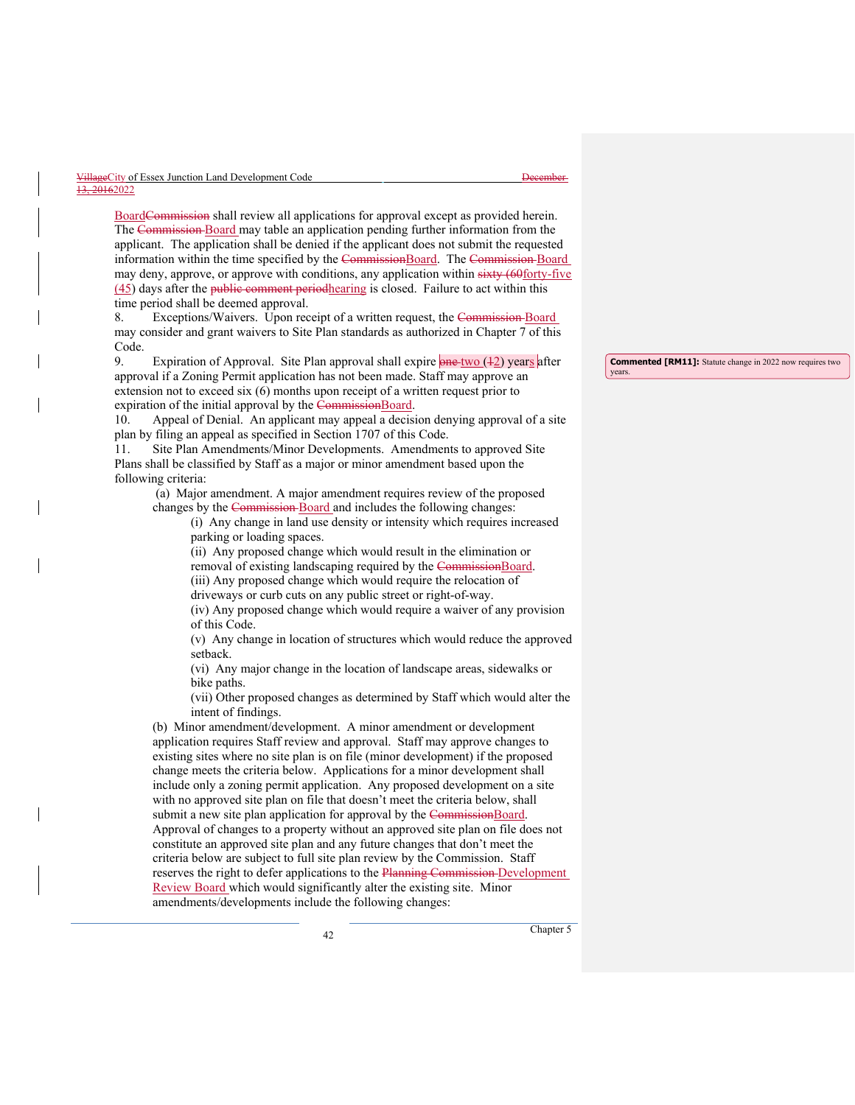| VillageCity of Essex Junction Land Development Code | t Jacombor<br><del>17000111701</del> |
|-----------------------------------------------------|--------------------------------------|
| 13, 20162022                                        |                                      |

BoardCommission shall review all applications for approval except as provided herein. The Commission Board may table an application pending further information from the applicant. The application shall be denied if the applicant does not submit the requested information within the time specified by the CommissionBoard. The Commission-Board may deny, approve, or approve with conditions, any application within sixty (60forty-five  $(45)$  days after the public comment periodhearing is closed. Failure to act within this time period shall be deemed approval.

8. Exceptions/Waivers. Upon receipt of a written request, the Commission-Board may consider and grant waivers to Site Plan standards as authorized in Chapter 7 of this Code.

9. Expiration of Approval. Site Plan approval shall expire **one two** (+2) years after approval if a Zoning Permit application has not been made. Staff may approve an extension not to exceed six (6) months upon receipt of a written request prior to expiration of the initial approval by the CommissionBoard.

10. Appeal of Denial. An applicant may appeal a decision denying approval of a site plan by filing an appeal as specified in Section 1707 of this Code.

11. Site Plan Amendments/Minor Developments. Amendments to approved Site Plans shall be classified by Staff as a major or minor amendment based upon the following criteria:

(a) Major amendment. A major amendment requires review of the proposed changes by the Commission Board and includes the following changes:

> (i) Any change in land use density or intensity which requires increased parking or loading spaces.

(ii) Any proposed change which would result in the elimination or removal of existing landscaping required by the CommissionBoard.

(iii) Any proposed change which would require the relocation of

driveways or curb cuts on any public street or right-of-way.

(iv) Any proposed change which would require a waiver of any provision of this Code.

(v) Any change in location of structures which would reduce the approved setback.

(vi) Any major change in the location of landscape areas, sidewalks or bike paths.

(vii) Other proposed changes as determined by Staff which would alter the intent of findings.

(b) Minor amendment/development. A minor amendment or development application requires Staff review and approval. Staff may approve changes to existing sites where no site plan is on file (minor development) if the proposed change meets the criteria below. Applications for a minor development shall include only a zoning permit application. Any proposed development on a site with no approved site plan on file that doesn't meet the criteria below, shall submit a new site plan application for approval by the CommissionBoard. Approval of changes to a property without an approved site plan on file does not constitute an approved site plan and any future changes that don't meet the criteria below are subject to full site plan review by the Commission. Staff reserves the right to defer applications to the Planning Commission Development Review Board which would significantly alter the existing site. Minor amendments/developments include the following changes:

**Commented [RM11]:** Statute change in 2022 now requires two

years.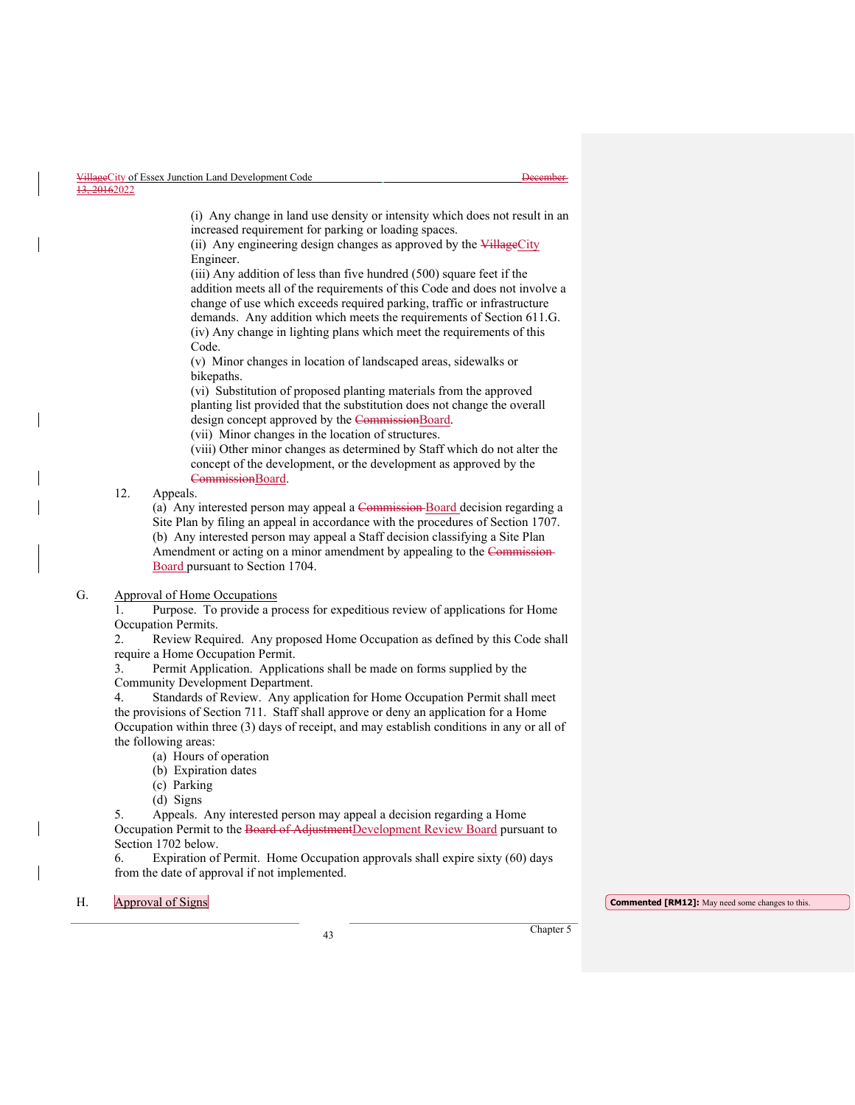(i) Any change in land use density or intensity which does not result in an increased requirement for parking or loading spaces.

(ii) Any engineering design changes as approved by the VillageCity Engineer.

(iii) Any addition of less than five hundred (500) square feet if the addition meets all of the requirements of this Code and does not involve a change of use which exceeds required parking, traffic or infrastructure demands. Any addition which meets the requirements of Section 611.G. (iv) Any change in lighting plans which meet the requirements of this Code.

(v) Minor changes in location of landscaped areas, sidewalks or bikepaths.

(vi) Substitution of proposed planting materials from the approved planting list provided that the substitution does not change the overall design concept approved by the CommissionBoard.

(vii) Minor changes in the location of structures.

(viii) Other minor changes as determined by Staff which do not alter the concept of the development, or the development as approved by the CommissionBoard.

# 12. Appeals.

(a) Any interested person may appeal a Commission Board decision regarding a Site Plan by filing an appeal in accordance with the procedures of Section 1707. (b) Any interested person may appeal a Staff decision classifying a Site Plan Amendment or acting on a minor amendment by appealing to the Commission Board pursuant to Section 1704.

# G. Approval of Home Occupations

1. Purpose. To provide a process for expeditious review of applications for Home Occupation Permits.

2. Review Required. Any proposed Home Occupation as defined by this Code shall require a Home Occupation Permit.

3. Permit Application. Applications shall be made on forms supplied by the Community Development Department.

4. Standards of Review. Any application for Home Occupation Permit shall meet the provisions of Section 711. Staff shall approve or deny an application for a Home Occupation within three (3) days of receipt, and may establish conditions in any or all of the following areas:

- (a) Hours of operation
- (b) Expiration dates
- (c) Parking
- (d) Signs

5. Appeals. Any interested person may appeal a decision regarding a Home Occupation Permit to the Board of AdjustmentDevelopment Review Board pursuant to Section 1702 below.

6. Expiration of Permit. Home Occupation approvals shall expire sixty (60) days from the date of approval if not implemented.

# j

H. **Approval of Signs Commented [RM12]:** May need some changes to this.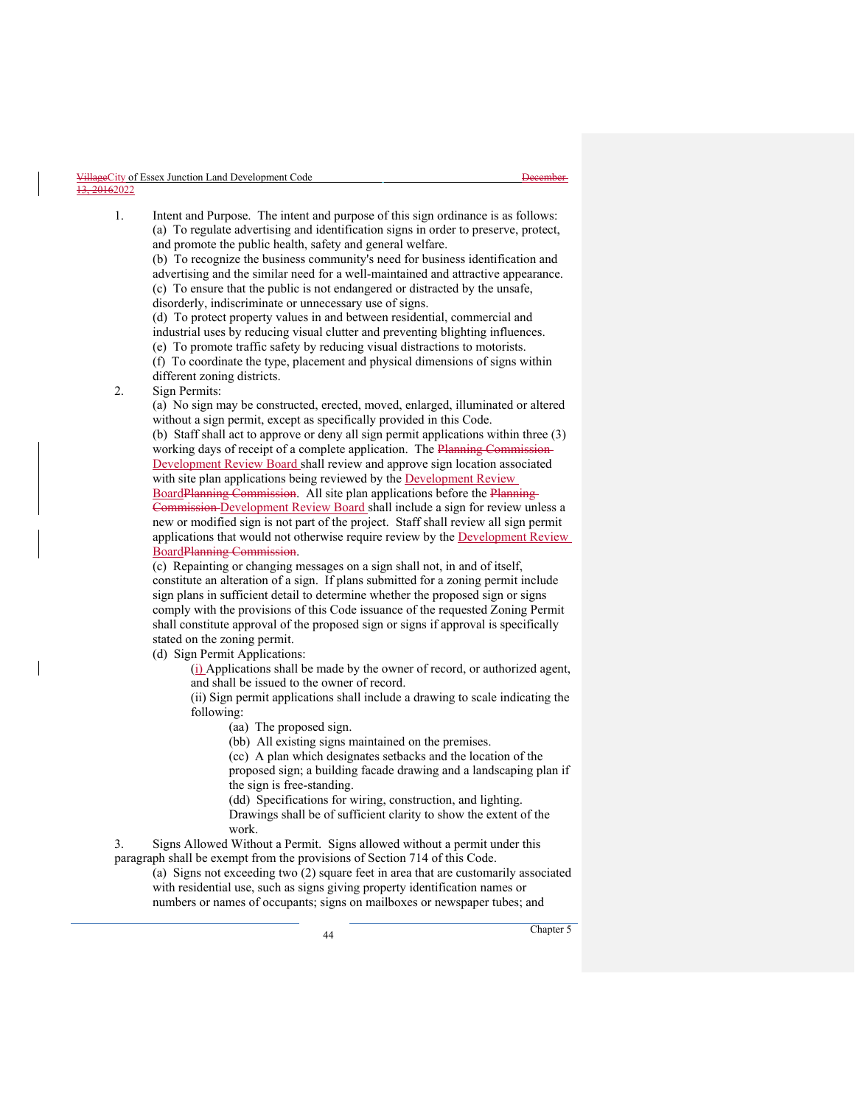1. Intent and Purpose. The intent and purpose of this sign ordinance is as follows: (a) To regulate advertising and identification signs in order to preserve, protect, and promote the public health, safety and general welfare. (b) To recognize the business community's need for business identification and advertising and the similar need for a well-maintained and attractive appearance. (c) To ensure that the public is not endangered or distracted by the unsafe, disorderly, indiscriminate or unnecessary use of signs. (d) To protect property values in and between residential, commercial and industrial uses by reducing visual clutter and preventing blighting influences. (e) To promote traffic safety by reducing visual distractions to motorists. (f) To coordinate the type, placement and physical dimensions of signs within different zoning districts. 2. Sign Permits: (a) No sign may be constructed, erected, moved, enlarged, illuminated or altered without a sign permit, except as specifically provided in this Code. (b) Staff shall act to approve or deny all sign permit applications within three (3) working days of receipt of a complete application. The Planning Commission Development Review Board shall review and approve sign location associated with site plan applications being reviewed by the Development Review BoardPlanning Commission. All site plan applications before the Planning Commission Development Review Board shall include a sign for review unless a new or modified sign is not part of the project. Staff shall review all sign permit applications that would not otherwise require review by the Development Review BoardPlanning Commission. (c) Repainting or changing messages on a sign shall not, in and of itself,

constitute an alteration of a sign. If plans submitted for a zoning permit include sign plans in sufficient detail to determine whether the proposed sign or signs comply with the provisions of this Code issuance of the requested Zoning Permit shall constitute approval of the proposed sign or signs if approval is specifically stated on the zoning permit.

(d) Sign Permit Applications:

(i) Applications shall be made by the owner of record, or authorized agent, and shall be issued to the owner of record.

(ii) Sign permit applications shall include a drawing to scale indicating the following:

(aa) The proposed sign.

(bb) All existing signs maintained on the premises.

(cc) A plan which designates setbacks and the location of the proposed sign; a building facade drawing and a landscaping plan if the sign is free-standing.

(dd) Specifications for wiring, construction, and lighting. Drawings shall be of sufficient clarity to show the extent of the work.

3. Signs Allowed Without a Permit. Signs allowed without a permit under this paragraph shall be exempt from the provisions of Section 714 of this Code.

(a) Signs not exceeding two (2) square feet in area that are customarily associated with residential use, such as signs giving property identification names or numbers or names of occupants; signs on mailboxes or newspaper tubes; and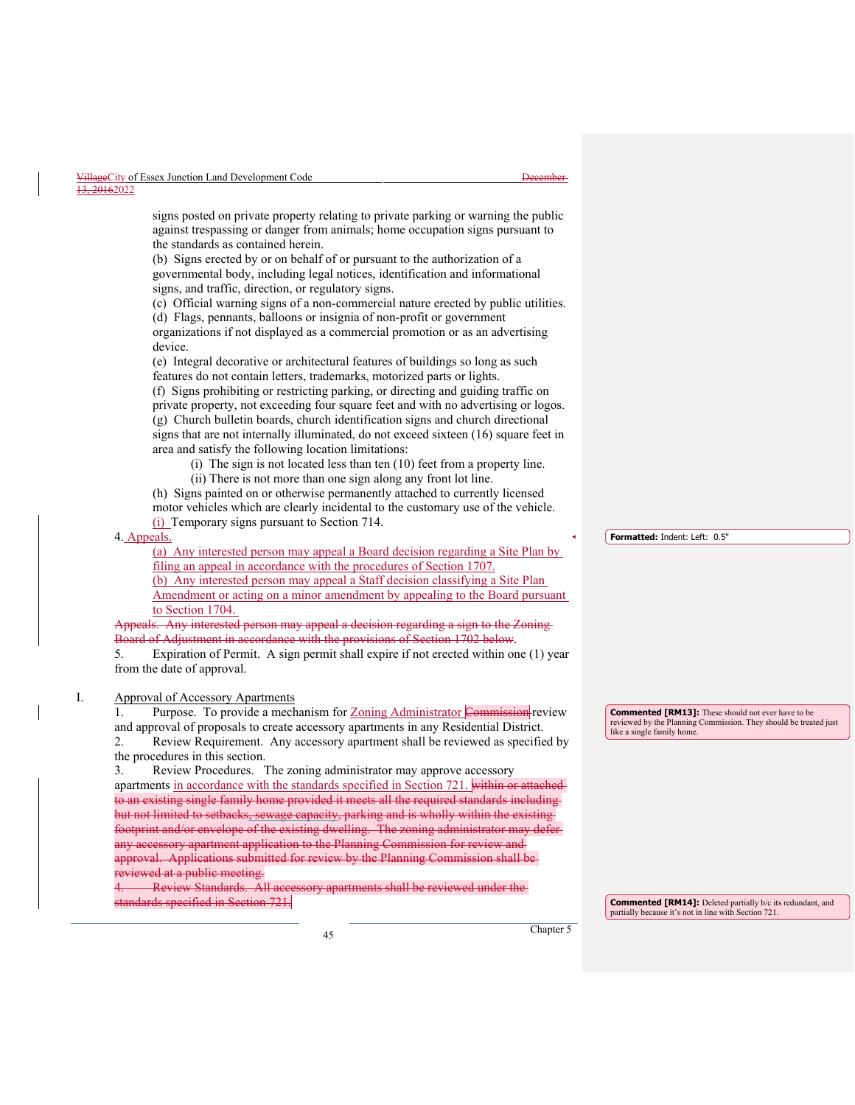|           | VillageCity of Essex Junction Land Development Code | Dacambar.<br><del>17000111701</del> |
|-----------|-----------------------------------------------------|-------------------------------------|
| 10.015000 |                                                     |                                     |

#### 20162022

signs posted on private property relating to private parking or warning the public against trespassing or danger from animals; home occupation signs pursuant to the standards as contained herein.

(b) Signs erected by or on behalf of or pursuant to the authorization of a governmental body, including legal notices, identification and informational signs, and traffic, direction, or regulatory signs.

(c) Official warning signs of a non-commercial nature erected by public utilities. (d) Flags, pennants, balloons or insignia of non-profit or government

organizations if not displayed as a commercial promotion or as an advertising device.

(e) Integral decorative or architectural features of buildings so long as such features do not contain letters, trademarks, motorized parts or lights.

(f) Signs prohibiting or restricting parking, or directing and guiding traffic on private property, not exceeding four square feet and with no advertising or logos. (g) Church bulletin boards, church identification signs and church directional signs that are not internally illuminated, do not exceed sixteen (16) square feet in area and satisfy the following location limitations:

(i) The sign is not located less than ten (10) feet from a property line.

(ii) There is not more than one sign along any front lot line.

(h) Signs painted on or otherwise permanently attached to currently licensed motor vehicles which are clearly incidental to the customary use of the vehicle. (i) Temporary signs pursuant to Section 714.

#### 4. Appeals.

(a) Any interested person may appeal a Board decision regarding a Site Plan by filing an appeal in accordance with the procedures of Section 1707. (b) Any interested person may appeal a Staff decision classifying a Site Plan Amendment or acting on a minor amendment by appealing to the Board pursuant to Section 1704.

ls. Any interested person may appeal a decision regarding a sign to the Zoning-Board of Adjustment in accordance with the provisions of Section 1702 below.

5. Expiration of Permit. A sign permit shall expire if not erected within one (1) year from the date of approval.

# I. Approval of Accessory Apartments

1. Purpose. To provide a mechanism for Zoning Administrator Commission review and approval of proposals to create accessory apartments in any Residential District. 2. Review Requirement. Any accessory apartment shall be reviewed as specified by the procedures in this section.

3. Review Procedures. The zoning administrator may approve accessory apartments in accordance with the standards specified in Section 721. within or attached to an existing single family home provided it meets all the required standards including but not limited to setbacks, sewage capacity, parking and is wholly within the existing footprint and/or envelope of the existing dwelling. The zoning administrator may defe any accessory apartment application to the Planning Commission for review and approval. Applications submitted for review by the Planning Commission shall be eviewed at a public meeting.<br>L. Review Standards. All ac

ory apartments shall be reviewed under the  $_0$  mdards specified in Section 721.

**Formatted:** Indent: Left: 0.5"

**Commented [RM13]:** These should not ever have to be reviewed by the Planning Commission. They should be treated just like a single family home.

**Commented [RM14]:** Deleted partially b/c its redundant, and partially because it's not in line with Section 721.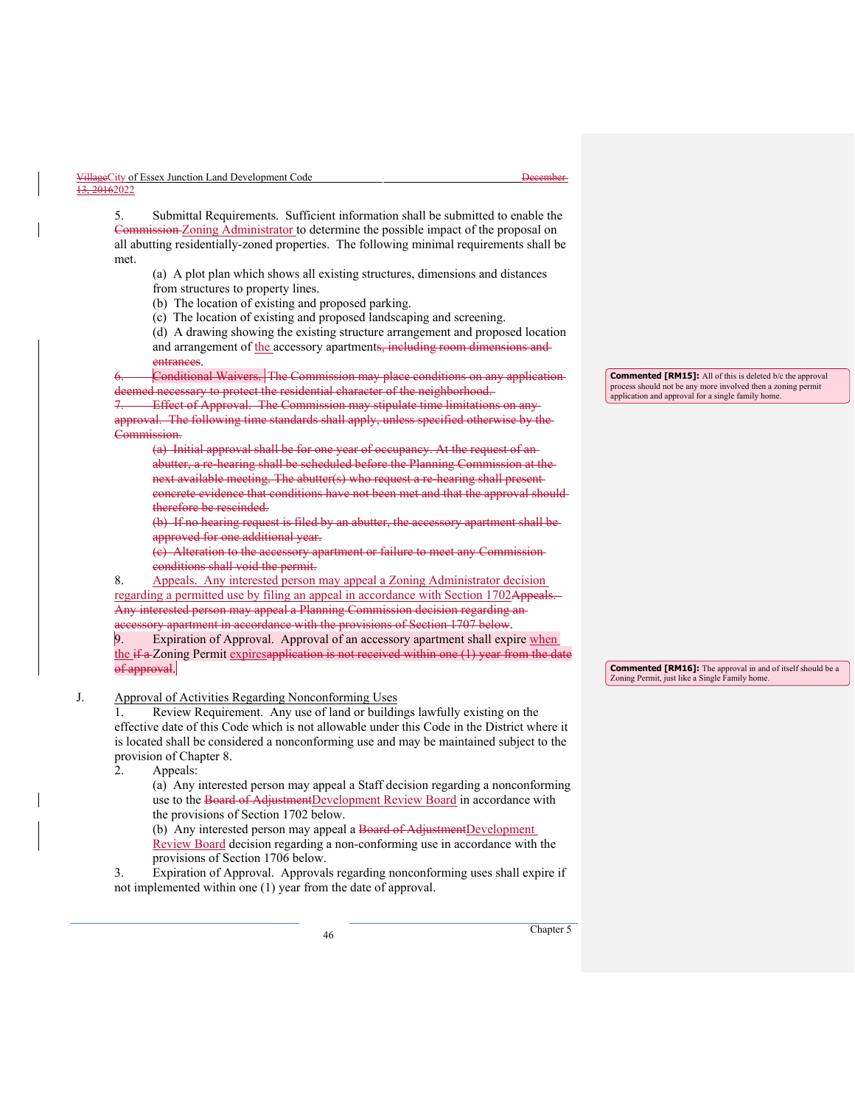| VillageCity of Essex Junction Land Development Code | Dacambar<br><del>17000111701</del> |
|-----------------------------------------------------|------------------------------------|
| 13, 20162022                                        |                                    |

5. Submittal Requirements. Sufficient information shall be submitted to enable the Commission Zoning Administrator to determine the possible impact of the proposal on all abutting residentially-zoned properties. The following minimal requirements shall be met.

(a) A plot plan which shows all existing structures, dimensions and distances from structures to property lines.

(b) The location of existing and proposed parking.

(c) The location of existing and proposed landscaping and screening.

(d) A drawing showing the existing structure arrangement and proposed location and arrangement of the accessory apartments, including room dimensions and entrances.

6. Conditional Waivers. The Commission may place conditions on any application d necessary to protect the residential character of the neighborhood.

Effect of Approval. The Commission may stipulate time limitations on anyapproval. The following time standards shall apply, unless specified otherwise by the Commission.

(a) Initial approval shall be for one year of occupancy. At the request of an abutter, a re-hearing shall be scheduled before the Planning Commission at the next available meeting. The abutter(s) who request a re-hearing shall present concrete evidence that conditions have not been met and that the approval should therefore be rescinded.

(b) If no hearing request is filed by an abutter, the accessory apartment shall be approved for one additional year.

(c) Alteration to the accessory apartment or failure to meet any Commission conditions shall void the permit.

8. Appeals. Any interested person may appeal a Zoning Administrator decision regarding a permitted use by filing an appeal in accordance with Section 1702Appeals. Any interested person may appeal a Planning Commission decision regarding an accessory apartment in accordance with the provisions of Section 1707 below.

Expiration of Approval. Approval of an accessory apartment shall expire when the  $if a Zoning$  Permit expiresapplication is not received within one  $(1)$  year from the date of approval.

J. Approval of Activities Regarding Nonconforming Uses

1. Review Requirement. Any use of land or buildings lawfully existing on the effective date of this Code which is not allowable under this Code in the District where it is located shall be considered a nonconforming use and may be maintained subject to the provision of Chapter 8.

2. Appeals:

(a) Any interested person may appeal a Staff decision regarding a nonconforming use to the Board of AdjustmentDevelopment Review Board in accordance with the provisions of Section 1702 below.

(b) Any interested person may appeal a Board of AdjustmentDevelopment

Review Board decision regarding a non-conforming use in accordance with the provisions of Section 1706 below.

3. Expiration of Approval. Approvals regarding nonconforming uses shall expire if not implemented within one (1) year from the date of approval.

**Commented [RM15]:** All of this is deleted b/c the approval process should not be any more involved then a zoning permit application and approval for a single family home.

**Commented [RM16]:** The approval in and of itself should be a Zoning Permit, just like a Single Family home.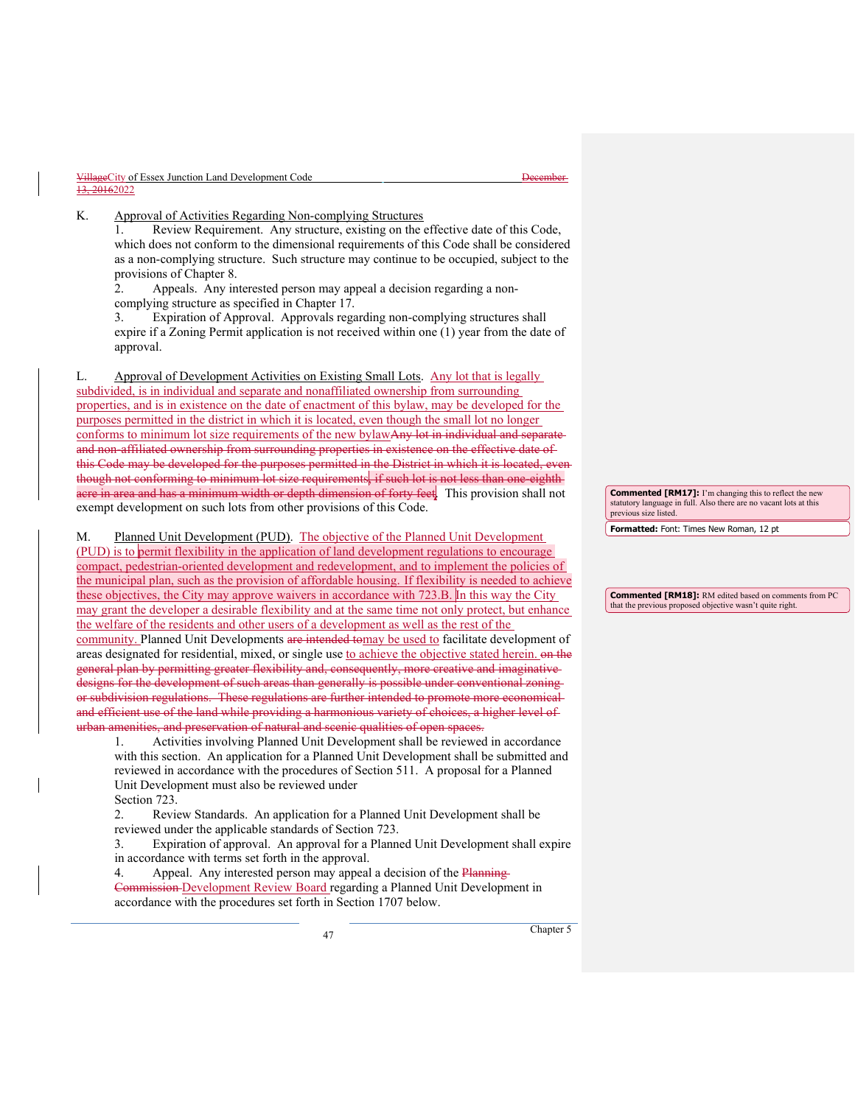| VillageCity of Essex Junction Land Development Code | t Jacombor<br><del>17000111701</del> |
|-----------------------------------------------------|--------------------------------------|
| 13, 20162022                                        |                                      |

K. Approval of Activities Regarding Non-complying Structures

1. Review Requirement. Any structure, existing on the effective date of this Code, which does not conform to the dimensional requirements of this Code shall be considered as a non-complying structure. Such structure may continue to be occupied, subject to the provisions of Chapter 8.

2. Appeals. Any interested person may appeal a decision regarding a noncomplying structure as specified in Chapter 17.

3. Expiration of Approval. Approvals regarding non-complying structures shall expire if a Zoning Permit application is not received within one (1) year from the date of approval.

L. Approval of Development Activities on Existing Small Lots. Any lot that is legally subdivided, is in individual and separate and nonaffiliated ownership from surrounding properties, and is in existence on the date of enactment of this bylaw, may be developed for the purposes permitted in the district in which it is located, even though the small lot no longer conforms to minimum lot size requirements of the new bylawAny lot in individual and separate and non-affiliated ownership from surrounding properties in existence on the effective date of this Code may be developed for the purposes permitted in the District in which it is located, even though not conforming to minimum lot size requirements, if such lot is not less than one-eighth acre in area and has a minimum width or depth dimension of forty feet. This provision shall not exempt development on such lots from other provisions of this Code.

M. Planned Unit Development (PUD). The objective of the Planned Unit Development (PUD) is to permit flexibility in the application of land development regulations to encourage compact, pedestrian-oriented development and redevelopment, and to implement the policies of the municipal plan, such as the provision of affordable housing. If flexibility is needed to achieve these objectives, the City may approve waivers in accordance with 723.B. In this way the City may grant the developer a desirable flexibility and at the same time not only protect, but enhance the welfare of the residents and other users of a development as well as the rest of the community. Planned Unit Developments are intended tomay be used to facilitate development of areas designated for residential, mixed, or single use to achieve the objective stated herein. on the general plan by permitting greater flexibility and, consequently, more creative and imaginative designs for the development of such areas than generally is possible under conventional zoning or subdivision regulations. These regulations are further intended to promote more economical and efficient use of the land while providing a harmonious variety of choices, a higher level of urban amenities, and preservation of natural and scenic qualities of open spaces.

1. Activities involving Planned Unit Development shall be reviewed in accordance with this section. An application for a Planned Unit Development shall be submitted and reviewed in accordance with the procedures of Section 511. A proposal for a Planned Unit Development must also be reviewed under

Section 723.

2. Review Standards. An application for a Planned Unit Development shall be reviewed under the applicable standards of Section 723.

3. Expiration of approval. An approval for a Planned Unit Development shall expire in accordance with terms set forth in the approval.

4. Appeal. Any interested person may appeal a decision of the Planning-Commission Development Review Board regarding a Planned Unit Development in accordance with the procedures set forth in Section 1707 below.

**Commented [RM17]:** I'm changing this to reflect the new statutory language in full. Also there are no vacant lots at this previous size listed.

**Formatted:** Font: Times New Roman, 12 pt

**Commented [RM18]:** RM edited based on comments from PC that the previous proposed objective wasn't quite right.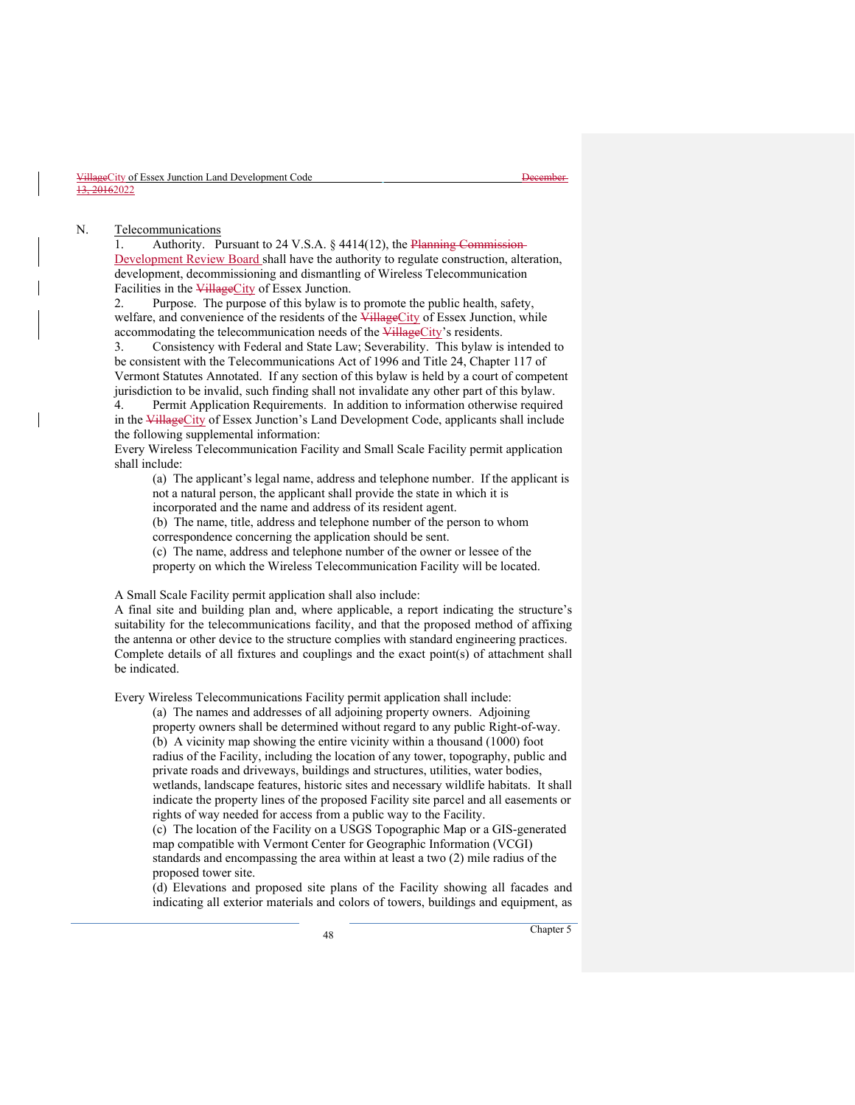#### N. Telecommunications

1. Authority. Pursuant to 24 V.S.A. § 4414(12), the Planning Commission-Development Review Board shall have the authority to regulate construction, alteration, development, decommissioning and dismantling of Wireless Telecommunication Facilities in the VillageCity of Essex Junction.

2. Purpose. The purpose of this bylaw is to promote the public health, safety, welfare, and convenience of the residents of the VillageCity of Essex Junction, while accommodating the telecommunication needs of the VillageCity's residents.

3. Consistency with Federal and State Law; Severability. This bylaw is intended to be consistent with the Telecommunications Act of 1996 and Title 24, Chapter 117 of Vermont Statutes Annotated. If any section of this bylaw is held by a court of competent jurisdiction to be invalid, such finding shall not invalidate any other part of this bylaw.

Permit Application Requirements. In addition to information otherwise required in the VillageCity of Essex Junction's Land Development Code, applicants shall include the following supplemental information:

 Every Wireless Telecommunication Facility and Small Scale Facility permit application shall include:

(a) The applicant's legal name, address and telephone number. If the applicant is not a natural person, the applicant shall provide the state in which it is

incorporated and the name and address of its resident agent.

(b) The name, title, address and telephone number of the person to whom correspondence concerning the application should be sent.

(c) The name, address and telephone number of the owner or lessee of the property on which the Wireless Telecommunication Facility will be located.

A Small Scale Facility permit application shall also include:

 A final site and building plan and, where applicable, a report indicating the structure's suitability for the telecommunications facility, and that the proposed method of affixing the antenna or other device to the structure complies with standard engineering practices. Complete details of all fixtures and couplings and the exact point(s) of attachment shall be indicated.

Every Wireless Telecommunications Facility permit application shall include:

(a) The names and addresses of all adjoining property owners. Adjoining property owners shall be determined without regard to any public Right-of-way. (b) A vicinity map showing the entire vicinity within a thousand (1000) foot radius of the Facility, including the location of any tower, topography, public and private roads and driveways, buildings and structures, utilities, water bodies, wetlands, landscape features, historic sites and necessary wildlife habitats. It shall indicate the property lines of the proposed Facility site parcel and all easements or rights of way needed for access from a public way to the Facility.

(c) The location of the Facility on a USGS Topographic Map or a GIS-generated map compatible with Vermont Center for Geographic Information (VCGI) standards and encompassing the area within at least a two (2) mile radius of the proposed tower site.

(d) Elevations and proposed site plans of the Facility showing all facades and indicating all exterior materials and colors of towers, buildings and equipment, as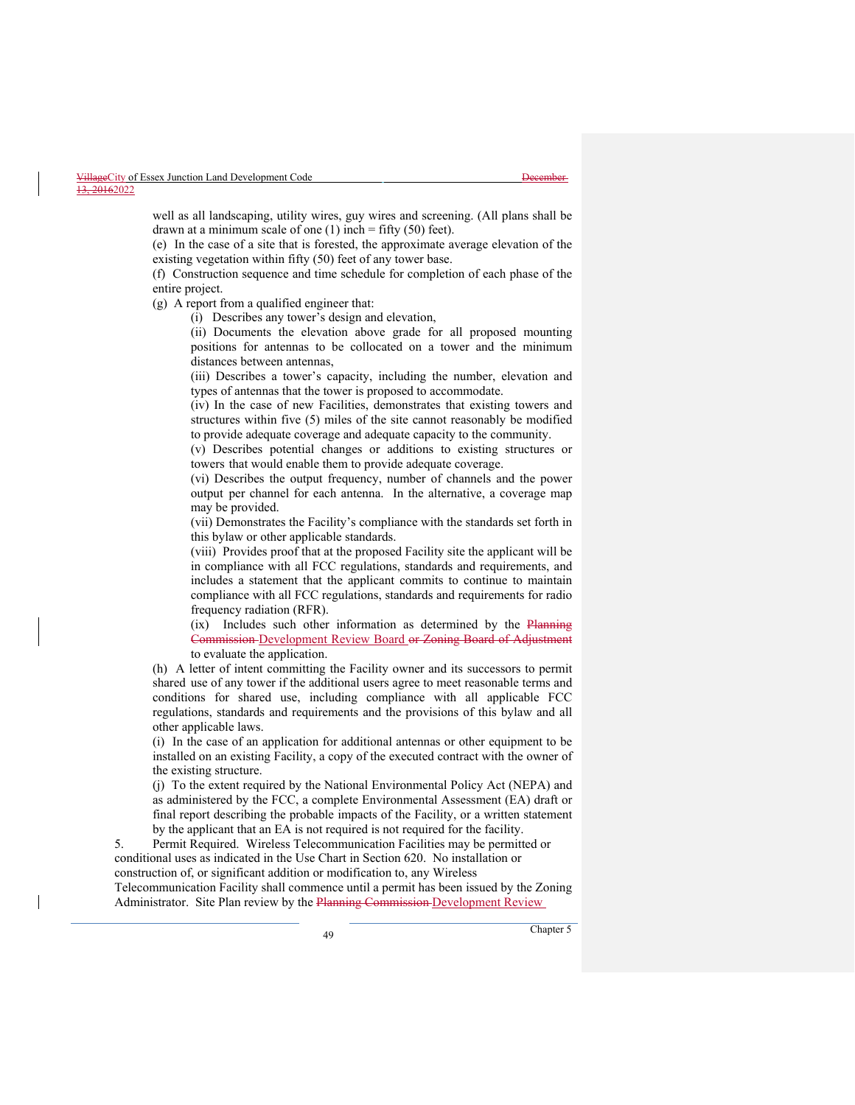well as all landscaping, utility wires, guy wires and screening. (All plans shall be drawn at a minimum scale of one  $(1)$  inch = fifty  $(50)$  feet).

(e) In the case of a site that is forested, the approximate average elevation of the existing vegetation within fifty (50) feet of any tower base.

(f) Construction sequence and time schedule for completion of each phase of the entire project.

(g) A report from a qualified engineer that:

(i) Describes any tower's design and elevation,

(ii) Documents the elevation above grade for all proposed mounting positions for antennas to be collocated on a tower and the minimum distances between antennas,

(iii) Describes a tower's capacity, including the number, elevation and types of antennas that the tower is proposed to accommodate.

(iv) In the case of new Facilities, demonstrates that existing towers and structures within five (5) miles of the site cannot reasonably be modified to provide adequate coverage and adequate capacity to the community.

(v) Describes potential changes or additions to existing structures or towers that would enable them to provide adequate coverage.

(vi) Describes the output frequency, number of channels and the power output per channel for each antenna. In the alternative, a coverage map may be provided.

(vii) Demonstrates the Facility's compliance with the standards set forth in this bylaw or other applicable standards.

(viii) Provides proof that at the proposed Facility site the applicant will be in compliance with all FCC regulations, standards and requirements, and includes a statement that the applicant commits to continue to maintain compliance with all FCC regulations, standards and requirements for radio frequency radiation (RFR).

(ix) Includes such other information as determined by the Planning Commission Development Review Board or Zoning Board of Adjustment to evaluate the application.

(h) A letter of intent committing the Facility owner and its successors to permit shared use of any tower if the additional users agree to meet reasonable terms and conditions for shared use, including compliance with all applicable FCC regulations, standards and requirements and the provisions of this bylaw and all other applicable laws.

(i) In the case of an application for additional antennas or other equipment to be installed on an existing Facility, a copy of the executed contract with the owner of the existing structure.

(j) To the extent required by the National Environmental Policy Act (NEPA) and as administered by the FCC, a complete Environmental Assessment (EA) draft or final report describing the probable impacts of the Facility, or a written statement by the applicant that an EA is not required is not required for the facility.

5. Permit Required. Wireless Telecommunication Facilities may be permitted or conditional uses as indicated in the Use Chart in Section 620. No installation or construction of, or significant addition or modification to, any Wireless

Telecommunication Facility shall commence until a permit has been issued by the Zoning Administrator. Site Plan review by the Planning Commission Development Review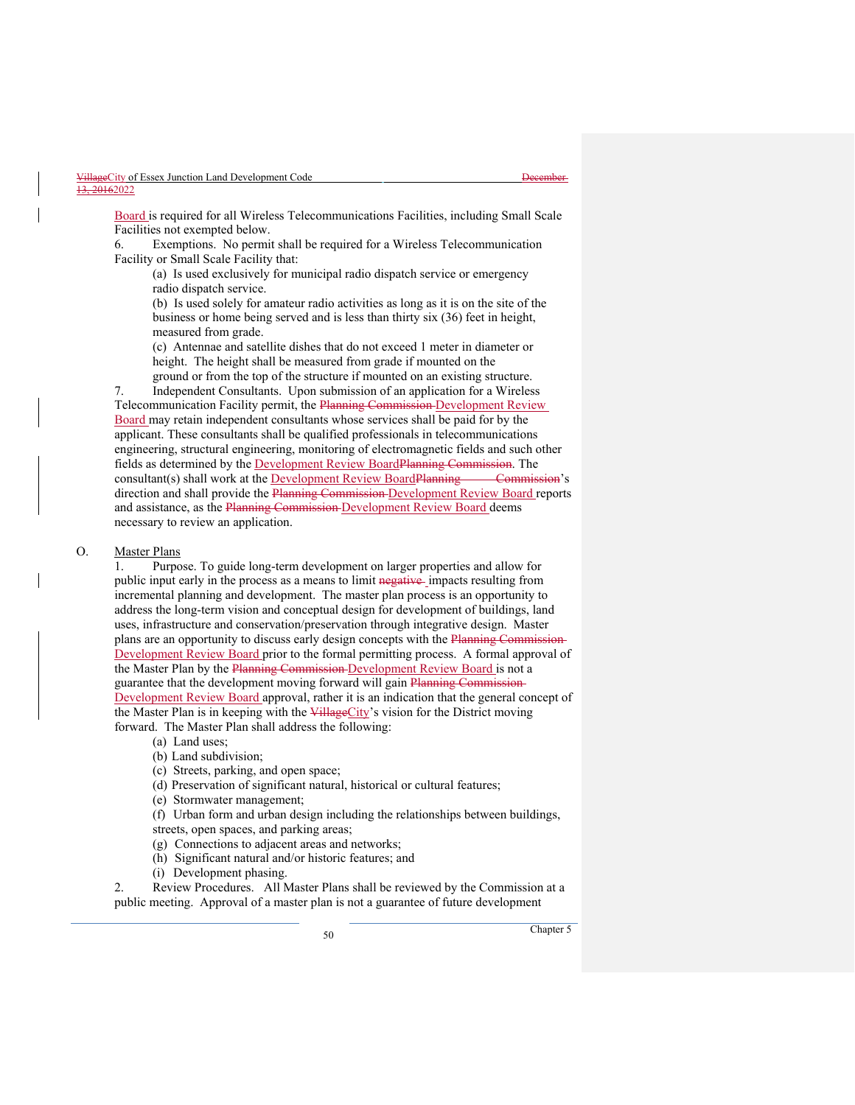Board is required for all Wireless Telecommunications Facilities, including Small Scale Facilities not exempted below.

6. Exemptions. No permit shall be required for a Wireless Telecommunication Facility or Small Scale Facility that:

 (a) Is used exclusively for municipal radio dispatch service or emergency radio dispatch service.

(b) Is used solely for amateur radio activities as long as it is on the site of the business or home being served and is less than thirty six (36) feet in height, measured from grade.

 (c) Antennae and satellite dishes that do not exceed 1 meter in diameter or height. The height shall be measured from grade if mounted on the ground or from the top of the structure if mounted on an existing structure.

7. Independent Consultants. Upon submission of an application for a Wireless Telecommunication Facility permit, the Planning Commission Development Review Board may retain independent consultants whose services shall be paid for by the applicant. These consultants shall be qualified professionals in telecommunications engineering, structural engineering, monitoring of electromagnetic fields and such other fields as determined by the Development Review BoardPlanning Commission. The

consultant(s) shall work at the Development Review Board Planning Commission's direction and shall provide the Planning Commission Development Review Board reports and assistance, as the Planning Commission Development Review Board deems necessary to review an application.

#### O. Master Plans

1. Purpose. To guide long-term development on larger properties and allow for public input early in the process as a means to limit negative impacts resulting from incremental planning and development. The master plan process is an opportunity to address the long-term vision and conceptual design for development of buildings, land uses, infrastructure and conservation/preservation through integrative design. Master plans are an opportunity to discuss early design concepts with the Planning Commission-Development Review Board prior to the formal permitting process. A formal approval of the Master Plan by the Planning Commission Development Review Board is not a guarantee that the development moving forward will gain Planning Commission-Development Review Board approval, rather it is an indication that the general concept of the Master Plan is in keeping with the VillageCity's vision for the District moving forward. The Master Plan shall address the following:

- (a) Land uses;
- (b) Land subdivision;
- (c) Streets, parking, and open space;
- (d) Preservation of significant natural, historical or cultural features;
- (e) Stormwater management;

(f) Urban form and urban design including the relationships between buildings, streets, open spaces, and parking areas;

- (g) Connections to adjacent areas and networks;
- (h) Significant natural and/or historic features; and
- (i) Development phasing.

2. Review Procedures. All Master Plans shall be reviewed by the Commission at a public meeting. Approval of a master plan is not a guarantee of future development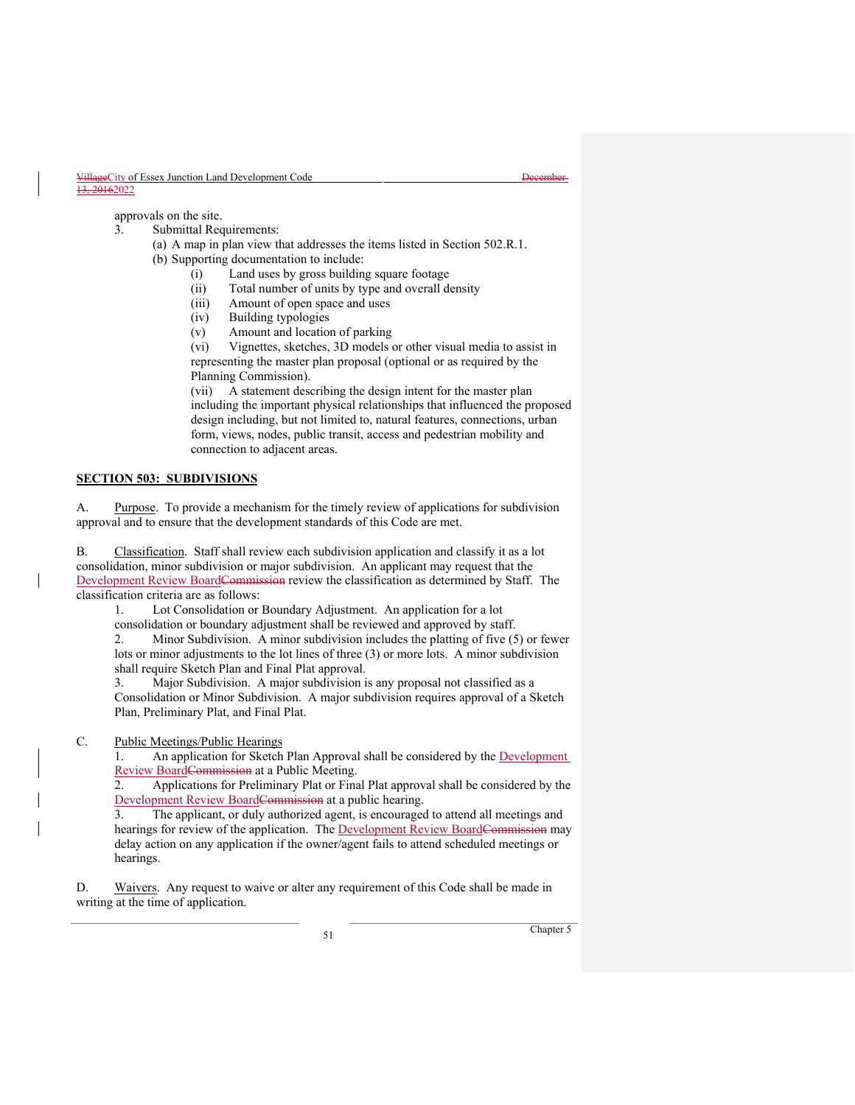approvals on the site.

- 3. Submittal Requirements:
	- (a) A map in plan view that addresses the items listed in Section 502.R.1. (b) Supporting documentation to include:
		- (i) Land uses by gross building square footage
			- (ii) Total number of units by type and overall density
			- (iii) Amount of open space and uses
			-
			- (iv) Building typologies
			- (v) Amount and location of parking

(vi) Vignettes, sketches, 3D models or other visual media to assist in representing the master plan proposal (optional or as required by the Planning Commission).

(vii) A statement describing the design intent for the master plan including the important physical relationships that influenced the proposed design including, but not limited to, natural features, connections, urban form, views, nodes, public transit, access and pedestrian mobility and connection to adjacent areas.

#### **SECTION 503: SUBDIVISIONS**

A. Purpose. To provide a mechanism for the timely review of applications for subdivision approval and to ensure that the development standards of this Code are met.

B. Classification. Staff shall review each subdivision application and classify it as a lot consolidation, minor subdivision or major subdivision. An applicant may request that the Development Review BoardCommission review the classification as determined by Staff. The classification criteria are as follows:

1. Lot Consolidation or Boundary Adjustment. An application for a lot

consolidation or boundary adjustment shall be reviewed and approved by staff.

2. Minor Subdivision. A minor subdivision includes the platting of five (5) or fewer lots or minor adjustments to the lot lines of three (3) or more lots. A minor subdivision shall require Sketch Plan and Final Plat approval.

3. Major Subdivision. A major subdivision is any proposal not classified as a Consolidation or Minor Subdivision. A major subdivision requires approval of a Sketch Plan, Preliminary Plat, and Final Plat.

# C. Public Meetings/Public Hearings

1. An application for Sketch Plan Approval shall be considered by the Development Review BoardCommission at a Public Meeting.

2. Applications for Preliminary Plat or Final Plat approval shall be considered by the Development Review BoardCommission at a public hearing.<br>3. The applicant, or duly authorized agent, is encouraged

The applicant, or duly authorized agent, is encouraged to attend all meetings and hearings for review of the application. The Development Review BoardCommission may delay action on any application if the owner/agent fails to attend scheduled meetings or hearings.

D. Waivers. Any request to waive or alter any requirement of this Code shall be made in writing at the time of application.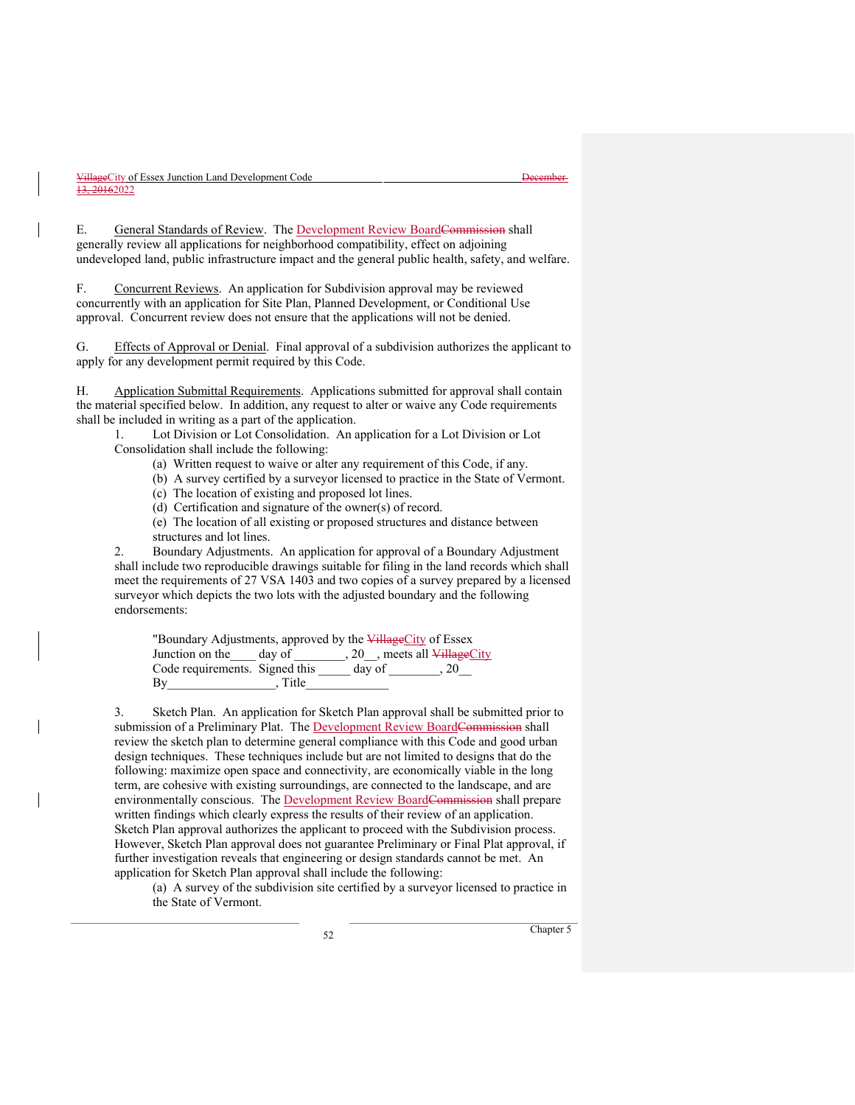E. General Standards of Review. The Development Review BoardCommission shall generally review all applications for neighborhood compatibility, effect on adjoining undeveloped land, public infrastructure impact and the general public health, safety, and welfare.

F. Concurrent Reviews. An application for Subdivision approval may be reviewed concurrently with an application for Site Plan, Planned Development, or Conditional Use approval. Concurrent review does not ensure that the applications will not be denied.

G. Effects of Approval or Denial. Final approval of a subdivision authorizes the applicant to apply for any development permit required by this Code.

H. Application Submittal Requirements. Applications submitted for approval shall contain the material specified below. In addition, any request to alter or waive any Code requirements shall be included in writing as a part of the application.

1. Lot Division or Lot Consolidation. An application for a Lot Division or Lot Consolidation shall include the following:

(a) Written request to waive or alter any requirement of this Code, if any.

(b) A survey certified by a surveyor licensed to practice in the State of Vermont.

(c) The location of existing and proposed lot lines.

(d) Certification and signature of the owner(s) of record.

(e) The location of all existing or proposed structures and distance between structures and lot lines.

2. Boundary Adjustments. An application for approval of a Boundary Adjustment shall include two reproducible drawings suitable for filing in the land records which shall meet the requirements of 27 VSA 1403 and two copies of a survey prepared by a licensed surveyor which depicts the two lots with the adjusted boundary and the following endorsements:

| "Boundary Adjustments, approved by the <del>Village</del> City of Essex |         |        |                                                     |
|-------------------------------------------------------------------------|---------|--------|-----------------------------------------------------|
| Junction on the                                                         | dav of  |        | $, 20$ , meets all $\overline{\text{Village}}$ City |
| Code requirements. Signed this                                          |         | day of | $\ldots$ 20                                         |
| By                                                                      | . Title |        |                                                     |

3. Sketch Plan. An application for Sketch Plan approval shall be submitted prior to submission of a Preliminary Plat. The Development Review BoardCommission shall review the sketch plan to determine general compliance with this Code and good urban design techniques. These techniques include but are not limited to designs that do the following: maximize open space and connectivity, are economically viable in the long term, are cohesive with existing surroundings, are connected to the landscape, and are environmentally conscious. The Development Review BoardCommission shall prepare written findings which clearly express the results of their review of an application. Sketch Plan approval authorizes the applicant to proceed with the Subdivision process. However, Sketch Plan approval does not guarantee Preliminary or Final Plat approval, if further investigation reveals that engineering or design standards cannot be met. An application for Sketch Plan approval shall include the following:

(a) A survey of the subdivision site certified by a surveyor licensed to practice in the State of Vermont.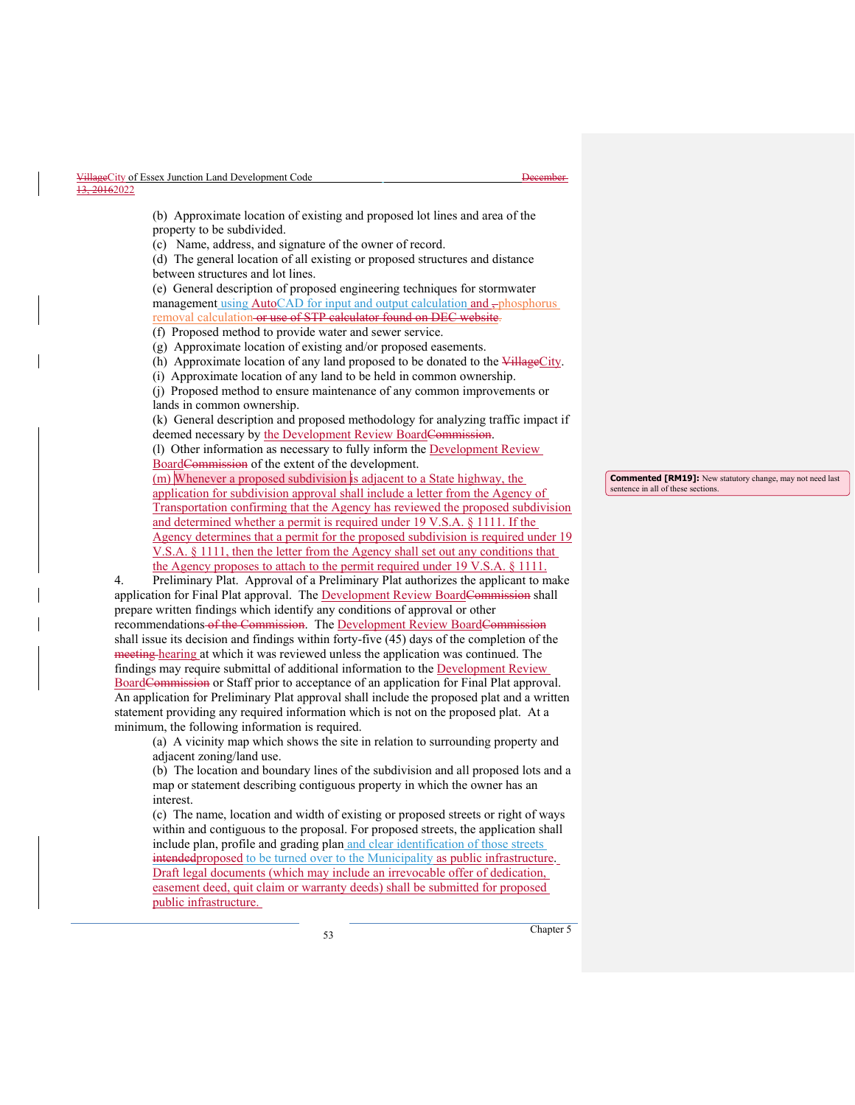(b) Approximate location of existing and proposed lot lines and area of the property to be subdivided.

(c) Name, address, and signature of the owner of record.

(d) The general location of all existing or proposed structures and distance between structures and lot lines.

(e) General description of proposed engineering techniques for stormwater management using AutoCAD for input and output calculation and -phosphorus removal calculation or use of STP calculator found on DEC website.

(f) Proposed method to provide water and sewer service.

(g) Approximate location of existing and/or proposed easements.

(h) Approximate location of any land proposed to be donated to the VillageCity.

(i) Approximate location of any land to be held in common ownership.

(j) Proposed method to ensure maintenance of any common improvements or lands in common ownership.

(k) General description and proposed methodology for analyzing traffic impact if deemed necessary by the Development Review BoardCommission.

(l) Other information as necessary to fully inform the Development Review BoardCommission of the extent of the development.

(m) Whenever a proposed subdivision is adjacent to a State highway, the application for subdivision approval shall include a letter from the Agency of Transportation confirming that the Agency has reviewed the proposed subdivision and determined whether a permit is required under 19 V.S.A. § 1111. If the Agency determines that a permit for the proposed subdivision is required under 19 V.S.A. § 1111, then the letter from the Agency shall set out any conditions that the Agency proposes to attach to the permit required under 19 V.S.A. § 1111.

4. Preliminary Plat. Approval of a Preliminary Plat authorizes the applicant to make application for Final Plat approval. The Development Review Board Commission shall prepare written findings which identify any conditions of approval or other recommendations of the Commission. The Development Review BoardCommission shall issue its decision and findings within forty-five (45) days of the completion of the meeting hearing at which it was reviewed unless the application was continued. The findings may require submittal of additional information to the Development Review BoardCommission or Staff prior to acceptance of an application for Final Plat approval. An application for Preliminary Plat approval shall include the proposed plat and a written statement providing any required information which is not on the proposed plat. At a minimum, the following information is required.

(a) A vicinity map which shows the site in relation to surrounding property and adjacent zoning/land use.

(b) The location and boundary lines of the subdivision and all proposed lots and a map or statement describing contiguous property in which the owner has an interest.

(c) The name, location and width of existing or proposed streets or right of ways within and contiguous to the proposal. For proposed streets, the application shall include plan, profile and grading plan and clear identification of those streets intended proposed to be turned over to the Municipality as public infrastructure. Draft legal documents (which may include an irrevocable offer of dedication, easement deed, quit claim or warranty deeds) shall be submitted for proposed public infrastructure.

**Commented [RM19]:** New statutory change, may not need last sentence in all of these sections.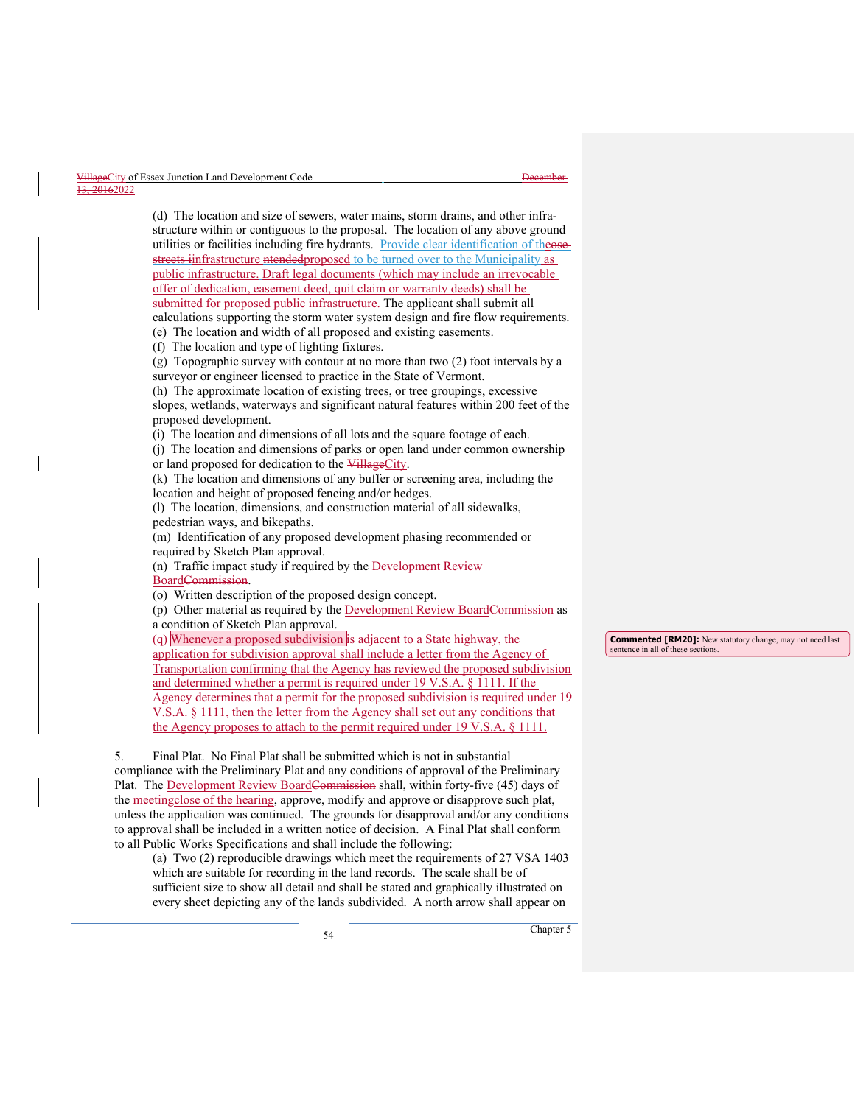structure within or contiguous to the proposal. The location of any above ground utilities or facilities including fire hydrants. Provide clear identification of theosestreets iinfrastructure ntendedproposed to be turned over to the Municipality as public infrastructure. Draft legal documents (which may include an irrevocable offer of dedication, easement deed, quit claim or warranty deeds) shall be submitted for proposed public infrastructure. The applicant shall submit all calculations supporting the storm water system design and fire flow requirements. (e) The location and width of all proposed and existing easements. (f) The location and type of lighting fixtures. (g) Topographic survey with contour at no more than two (2) foot intervals by a surveyor or engineer licensed to practice in the State of Vermont. (h) The approximate location of existing trees, or tree groupings, excessive slopes, wetlands, waterways and significant natural features within 200 feet of the proposed development. (i) The location and dimensions of all lots and the square footage of each. (j) The location and dimensions of parks or open land under common ownership or land proposed for dedication to the VillageCity. (k) The location and dimensions of any buffer or screening area, including the location and height of proposed fencing and/or hedges. (l) The location, dimensions, and construction material of all sidewalks, pedestrian ways, and bikepaths. (m) Identification of any proposed development phasing recommended or required by Sketch Plan approval.

(d) The location and size of sewers, water mains, storm drains, and other infra-

(n) Traffic impact study if required by the Development Review BoardCommission.

(o) Written description of the proposed design concept.

(p) Other material as required by the Development Review BoardCommission as a condition of Sketch Plan approval.

(q) Whenever a proposed subdivision is adjacent to a State highway, the application for subdivision approval shall include a letter from the Agency of Transportation confirming that the Agency has reviewed the proposed subdivision and determined whether a permit is required under 19 V.S.A. § 1111. If the Agency determines that a permit for the proposed subdivision is required under 19 V.S.A. § 1111, then the letter from the Agency shall set out any conditions that the Agency proposes to attach to the permit required under 19 V.S.A. § 1111.

5. Final Plat. No Final Plat shall be submitted which is not in substantial compliance with the Preliminary Plat and any conditions of approval of the Preliminary Plat. The Development Review BoardCommission shall, within forty-five (45) days of the meetingclose of the hearing, approve, modify and approve or disapprove such plat, unless the application was continued. The grounds for disapproval and/or any conditions to approval shall be included in a written notice of decision. A Final Plat shall conform to all Public Works Specifications and shall include the following:

(a) Two (2) reproducible drawings which meet the requirements of 27 VSA 1403 which are suitable for recording in the land records. The scale shall be of sufficient size to show all detail and shall be stated and graphically illustrated on every sheet depicting any of the lands subdivided. A north arrow shall appear on

**Commented [RM20]:** New statutory change, may not need last sentence in all of these sections.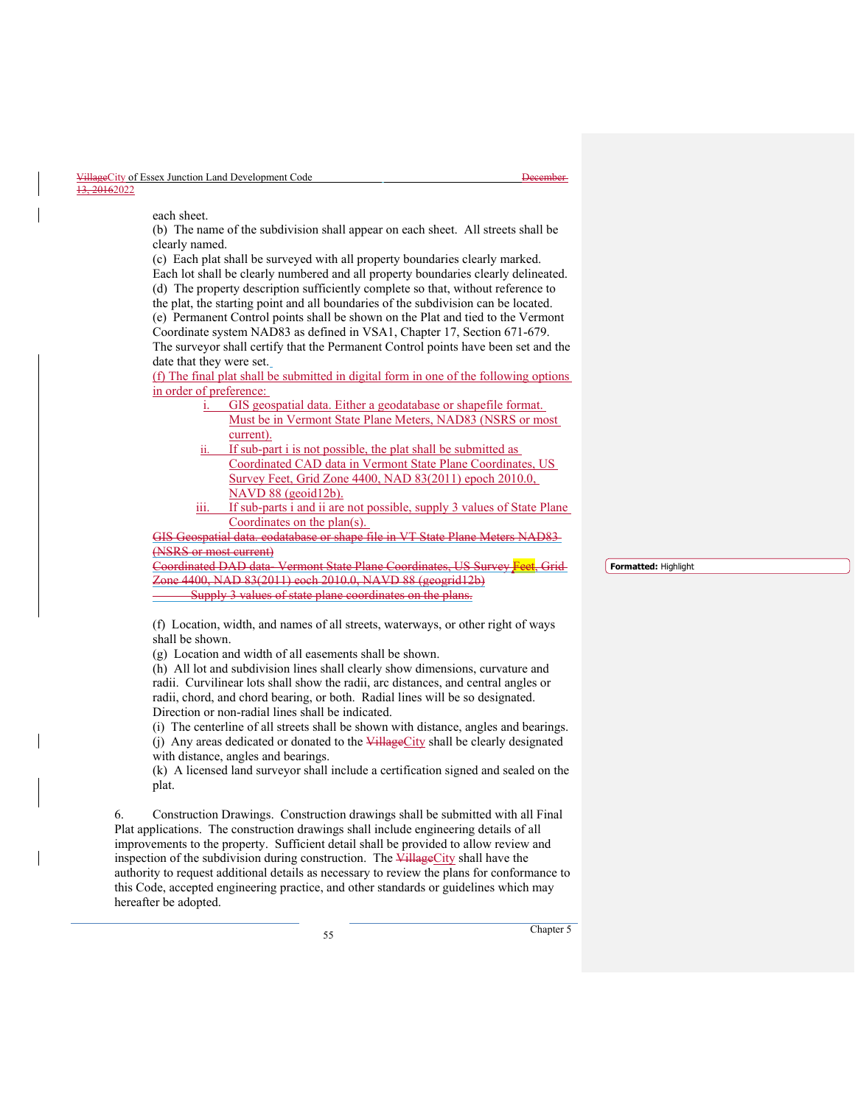each sheet.

(b) The name of the subdivision shall appear on each sheet. All streets shall be clearly named.

(c) Each plat shall be surveyed with all property boundaries clearly marked. Each lot shall be clearly numbered and all property boundaries clearly delineated. (d) The property description sufficiently complete so that, without reference to the plat, the starting point and all boundaries of the subdivision can be located. (e) Permanent Control points shall be shown on the Plat and tied to the Vermont Coordinate system NAD83 as defined in VSA1, Chapter 17, Section 671-679. The surveyor shall certify that the Permanent Control points have been set and the date that they were set.

(f) The final plat shall be submitted in digital form in one of the following options in order of preference:

- i. GIS geospatial data. Either a geodatabase or shapefile format. Must be in Vermont State Plane Meters, NAD83 (NSRS or most current).
- If sub-part i is not possible, the plat shall be submitted as Coordinated CAD data in Vermont State Plane Coordinates, US Survey Feet, Grid Zone 4400, NAD 83(2011) epoch 2010.0, NAVD 88 (geoid12b).

If sub-parts i and ii are not possible, supply 3 values of State Plane Coordinates on the plan(s).

GIS Geospatial data. eodatabase or shape file in VT State Plane Meters NAD83 (NSRS or most current)

Coordinated DAD data- Vermont State Plane Coordinates, US Survey Feet, Grid one 4400, NAD 83(2011) eoch 2010.0, NAVD 88 (geogrid12b) Supply 3 values of state plane coordinates on the plans.

(f) Location, width, and names of all streets, waterways, or other right of ways shall be shown.

(g) Location and width of all easements shall be shown.

(h) All lot and subdivision lines shall clearly show dimensions, curvature and radii. Curvilinear lots shall show the radii, arc distances, and central angles or radii, chord, and chord bearing, or both. Radial lines will be so designated. Direction or non-radial lines shall be indicated.

(i) The centerline of all streets shall be shown with distance, angles and bearings. (j) Any areas dedicated or donated to the  $\frac{1}{4}$  VillageCity shall be clearly designated with distance, angles and bearings.

(k) A licensed land surveyor shall include a certification signed and sealed on the plat.

6. Construction Drawings. Construction drawings shall be submitted with all Final Plat applications. The construction drawings shall include engineering details of all improvements to the property. Sufficient detail shall be provided to allow review and inspection of the subdivision during construction. The VillageCity shall have the authority to request additional details as necessary to review the plans for conformance to this Code, accepted engineering practice, and other standards or guidelines which may hereafter be adopted.

<sup>55</sup> Chapter 5

**Formatted:** Highlight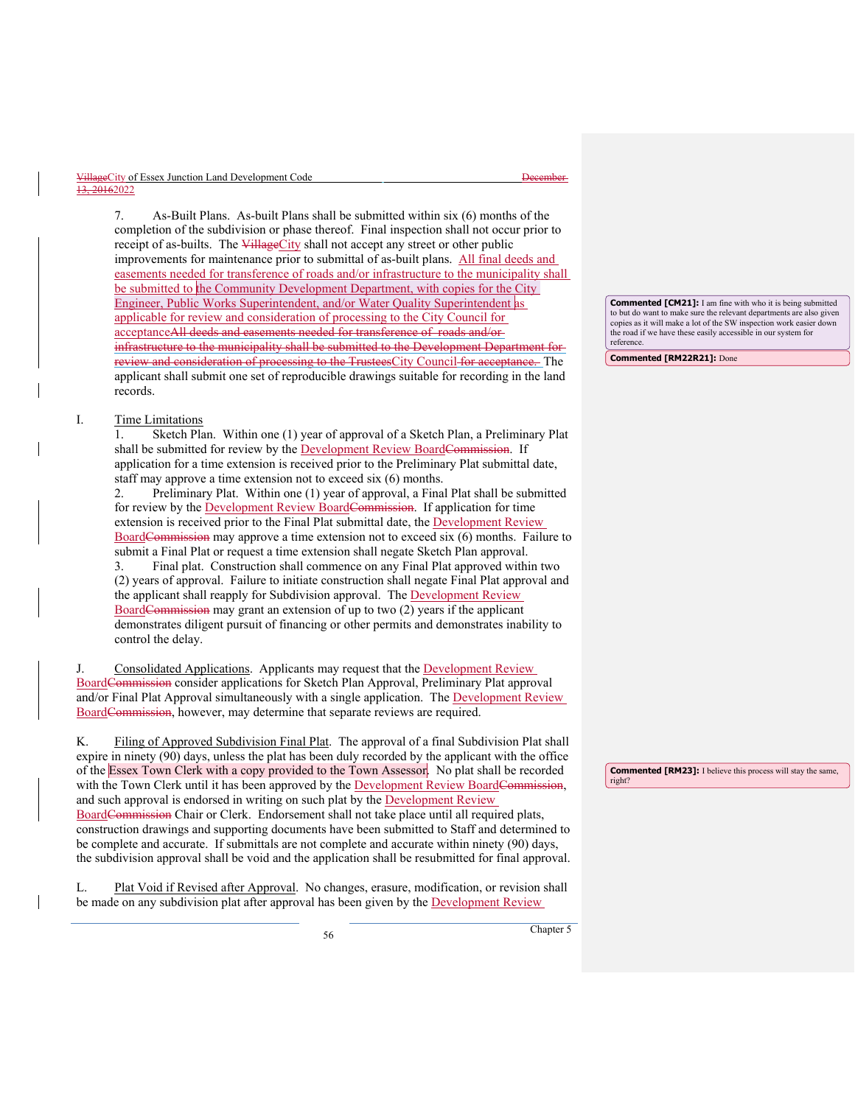ageCity of Essex Junction Land Development Code 13, 20162022

7. As-Built Plans. As-built Plans shall be submitted within six (6) months of the completion of the subdivision or phase thereof. Final inspection shall not occur prior to receipt of as-builts. The VillageCity shall not accept any street or other public improvements for maintenance prior to submittal of as-built plans. All final deeds and easements needed for transference of roads and/or infrastructure to the municipality shall be submitted to the Community Development Department, with copies for the City Engineer, Public Works Superintendent, and/or Water Quality Superintendent as applicable for review and consideration of processing to the City Council for acceptanceAll deeds and easements needed for transference of roads and/or infrastructure to the municipality shall be submitted to the Development Department for review and consideration of processing to the TrusteesCity Council for acceptance. The applicant shall submit one set of reproducible drawings suitable for recording in the land records.

## I. Time Limitations

Sketch Plan. Within one (1) year of approval of a Sketch Plan, a Preliminary Plat shall be submitted for review by the Development Review BoardCommission. If application for a time extension is received prior to the Preliminary Plat submittal date, staff may approve a time extension not to exceed six (6) months.

2. Preliminary Plat. Within one (1) year of approval, a Final Plat shall be submitted for review by the Development Review BoardCommission. If application for time extension is received prior to the Final Plat submittal date, the **Development Review** BoardCommission may approve a time extension not to exceed six (6) months. Failure to submit a Final Plat or request a time extension shall negate Sketch Plan approval. 3. Final plat. Construction shall commence on any Final Plat approved within two (2) years of approval. Failure to initiate construction shall negate Final Plat approval and the applicant shall reapply for Subdivision approval. The **Development Review** Board Commission may grant an extension of up to two (2) years if the applicant

demonstrates diligent pursuit of financing or other permits and demonstrates inability to control the delay. Consolidated Applications. Applicants may request that the Development Review

BoardCommission consider applications for Sketch Plan Approval, Preliminary Plat approval and/or Final Plat Approval simultaneously with a single application. The Development Review BoardCommission, however, may determine that separate reviews are required.

K. Filing of Approved Subdivision Final Plat. The approval of a final Subdivision Plat shall expire in ninety (90) days, unless the plat has been duly recorded by the applicant with the office of the Essex Town Clerk with a copy provided to the Town Assessor. No plat shall be recorded with the Town Clerk until it has been approved by the Development Review BoardC and such approval is endorsed in writing on such plat by the **Development Review** BoardCommission Chair or Clerk. Endorsement shall not take place until all required plats, construction drawings and supporting documents have been submitted to Staff and determined to be complete and accurate. If submittals are not complete and accurate within ninety (90) days, the subdivision approval shall be void and the application shall be resubmitted for final approval.

L. Plat Void if Revised after Approval. No changes, erasure, modification, or revision shall be made on any subdivision plat after approval has been given by the Development Review

**Commented [CM21]:** I am fine with who it is being submitted to but do want to make sure the relevant departments are also given copies as it will make a lot of the SW inspection work easier do the road if we have these easily accessible in our system for reference.

**Commented [RM22R21]:** Done

**Commented [RM23]:** I believe this process will stay the same, right?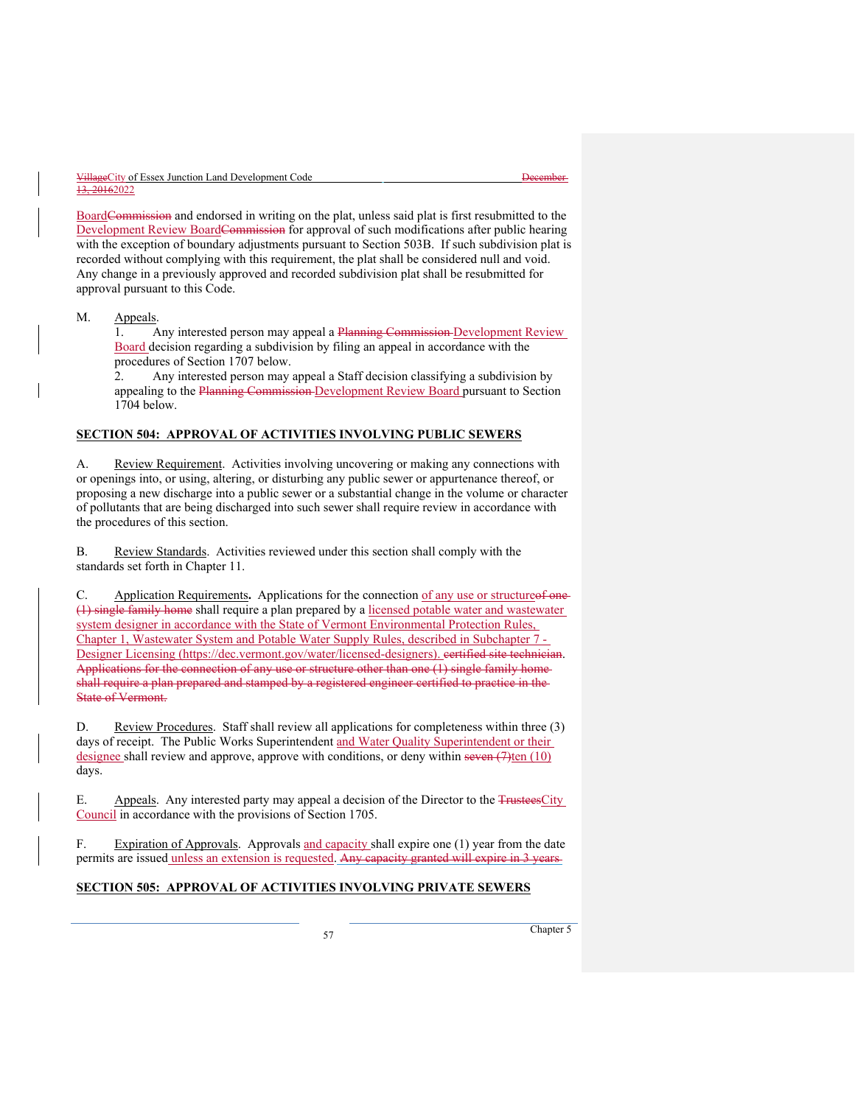BoardCommission and endorsed in writing on the plat, unless said plat is first resubmitted to the Development Review BoardCommission for approval of such modifications after public hearing with the exception of boundary adjustments pursuant to Section 503B. If such subdivision plat is recorded without complying with this requirement, the plat shall be considered null and void. Any change in a previously approved and recorded subdivision plat shall be resubmitted for approval pursuant to this Code.

#### M. **Appeals**.

1. Any interested person may appeal a Planning Commission Development Review Board decision regarding a subdivision by filing an appeal in accordance with the procedures of Section 1707 below.<br>2. Any interested person may

Any interested person may appeal a Staff decision classifying a subdivision by appealing to the Planning Commission Development Review Board pursuant to Section 1704 below.

# **SECTION 504: APPROVAL OF ACTIVITIES INVOLVING PUBLIC SEWERS**

A. Review Requirement. Activities involving uncovering or making any connections with or openings into, or using, altering, or disturbing any public sewer or appurtenance thereof, or proposing a new discharge into a public sewer or a substantial change in the volume or character of pollutants that are being discharged into such sewer shall require review in accordance with the procedures of this section.

B. Review Standards. Activities reviewed under this section shall comply with the standards set forth in Chapter 11.

C. Application Requirements**.** Applications for the connection of any use or structureof one (1) single family home shall require a plan prepared by a licensed potable water and wastewater system designer in accordance with the State of Vermont Environmental Protection Rules, Chapter 1, Wastewater System and Potable Water Supply Rules, described in [Subchapter 7 -](https://dec.vermont.gov/sites/dec/files/dwgwp/designerlicense/pdf/subch7designerlicensing.effective2007.09.29.pdf)  [Designer Licensing](https://dec.vermont.gov/sites/dec/files/dwgwp/designerlicense/pdf/subch7designerlicensing.effective2007.09.29.pdf) (https://dec.vermont.gov/water/licensed-designers). eertified site technician. Applications for the connection of any use or structure other than one (1) single family homeshall require a plan prepared and stamped by a registered engineer certified to practice in the State of Vermont.

D. Review Procedures. Staff shall review all applications for completeness within three (3) days of receipt. The Public Works Superintendent and Water Quality Superintendent or their designee shall review and approve, approve with conditions, or deny within seven  $(7)$ ten  $(10)$ days.

E. Appeals. Any interested party may appeal a decision of the Director to the TrusteesCity Council in accordance with the provisions of Section 1705.

F. Expiration of Approvals. Approvals and capacity shall expire one (1) year from the date permits are issued unless an extension is requested. Any capacity granted will expire in 3 years-

# **SECTION 505: APPROVAL OF ACTIVITIES INVOLVING PRIVATE SEWERS**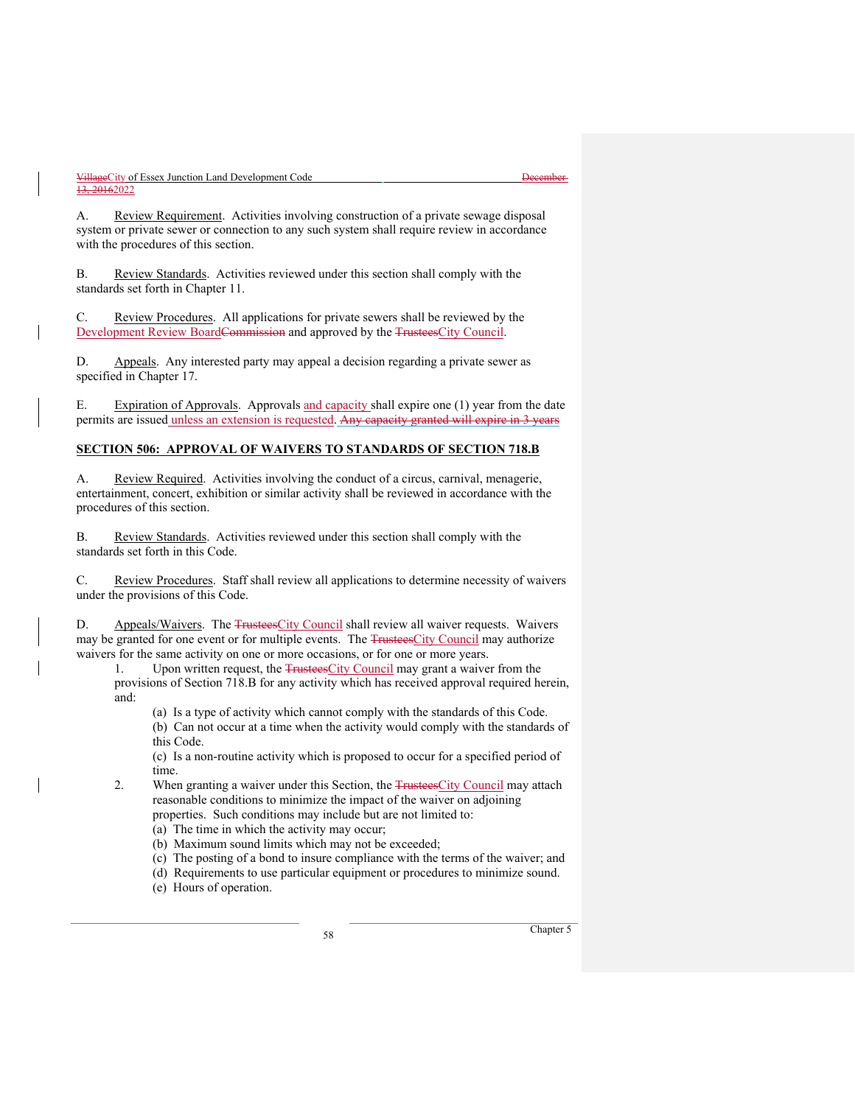A. Review Requirement. Activities involving construction of a private sewage disposal system or private sewer or connection to any such system shall require review in accordance with the procedures of this section.

B. Review Standards. Activities reviewed under this section shall comply with the standards set forth in Chapter 11.

C. Review Procedures. All applications for private sewers shall be reviewed by the Development Review BoardCommission and approved by the TrusteesCity Council.

D. Appeals. Any interested party may appeal a decision regarding a private sewer as specified in Chapter 17.

E. Expiration of Approvals. Approvals and capacity shall expire one (1) year from the date permits are issued unless an extension is requested. Any capacity granted will expire in 3 years

# **SECTION 506: APPROVAL OF WAIVERS TO STANDARDS OF SECTION 718.B**

A. Review Required. Activities involving the conduct of a circus, carnival, menagerie, entertainment, concert, exhibition or similar activity shall be reviewed in accordance with the procedures of this section.

B. Review Standards. Activities reviewed under this section shall comply with the standards set forth in this Code.

C. Review Procedures. Staff shall review all applications to determine necessity of waivers under the provisions of this Code.

D. Appeals/Waivers. The TrusteesCity Council shall review all waiver requests. Waivers may be granted for one event or for multiple events. The TrusteesCity Council may authorize waivers for the same activity on one or more occasions, or for one or more years.

1. Upon written request, the TrusteesCity Council may grant a waiver from the provisions of Section 718.B for any activity which has received approval required herein, and:

(a) Is a type of activity which cannot comply with the standards of this Code.

(b) Can not occur at a time when the activity would comply with the standards of this Code.

(c) Is a non-routine activity which is proposed to occur for a specified period of time.

2. When granting a waiver under this Section, the TrusteesCity Council may attach reasonable conditions to minimize the impact of the waiver on adjoining properties. Such conditions may include but are not limited to:

(a) The time in which the activity may occur;

(b) Maximum sound limits which may not be exceeded;

(c) The posting of a bond to insure compliance with the terms of the waiver; and

(d) Requirements to use particular equipment or procedures to minimize sound.

(e) Hours of operation.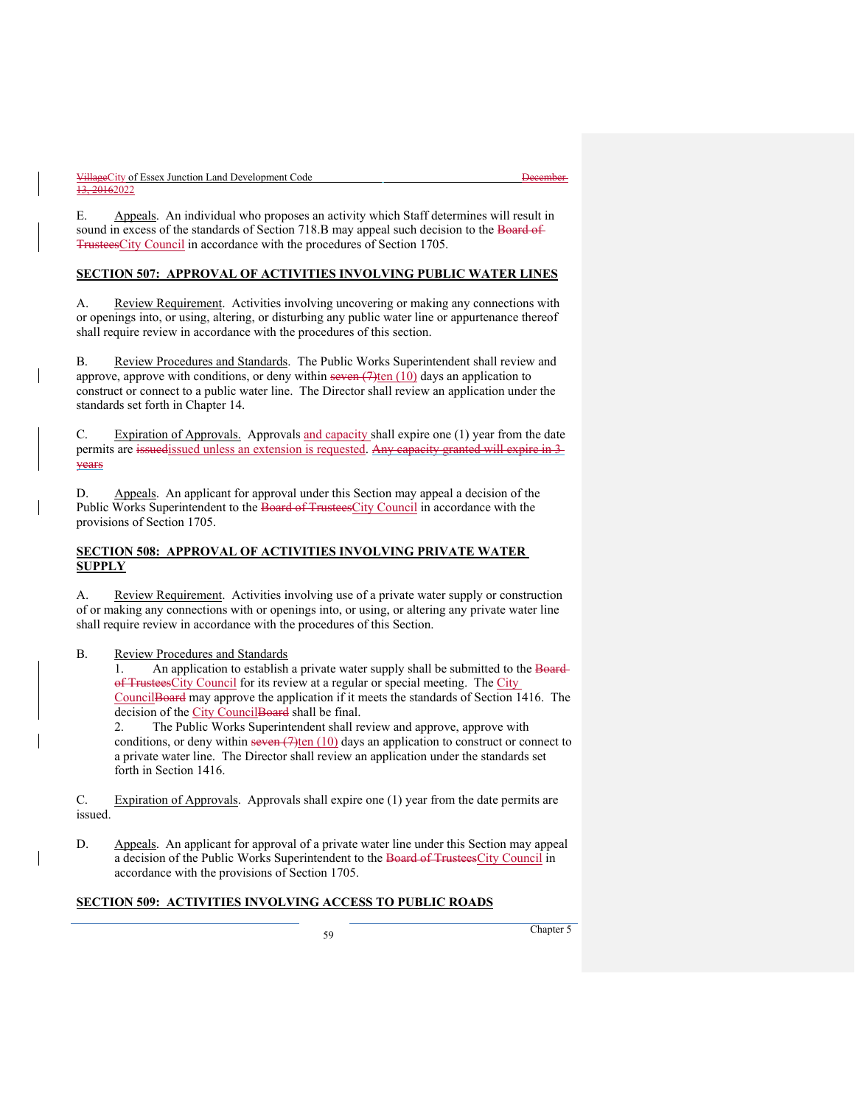E. Appeals. An individual who proposes an activity which Staff determines will result in sound in excess of the standards of Section 718.B may appeal such decision to the Board of TrusteesCity Council in accordance with the procedures of Section 1705.

#### **SECTION 507: APPROVAL OF ACTIVITIES INVOLVING PUBLIC WATER LINES**

A. Review Requirement. Activities involving uncovering or making any connections with or openings into, or using, altering, or disturbing any public water line or appurtenance thereof shall require review in accordance with the procedures of this section.

B. Review Procedures and Standards. The Public Works Superintendent shall review and approve, approve with conditions, or deny within seven  $(7)$ ten  $(10)$  days an application to construct or connect to a public water line. The Director shall review an application under the standards set forth in Chapter 14.

C. Expiration of Approvals. Approvals and capacity shall expire one (1) year from the date permits are issuedissued unless an extension is requested. Any eapacity granted will expire in 3years

D. Appeals. An applicant for approval under this Section may appeal a decision of the Public Works Superintendent to the Board of TrusteesCity Council in accordance with the provisions of Section 1705.

# **SECTION 508: APPROVAL OF ACTIVITIES INVOLVING PRIVATE WATER SUPPLY**

A. Review Requirement. Activities involving use of a private water supply or construction of or making any connections with or openings into, or using, or altering any private water line shall require review in accordance with the procedures of this Section.

B. Review Procedures and Standards

1. An application to establish a private water supply shall be submitted to the Boardof TrusteesCity Council for its review at a regular or special meeting. The City CouncilBoard may approve the application if it meets the standards of Section 1416. The decision of the City CouncilBoard shall be final.

2. The Public Works Superintendent shall review and approve, approve with conditions, or deny within seven  $(7)$ ten  $(10)$  days an application to construct or connect to a private water line. The Director shall review an application under the standards set forth in Section 1416.

C. Expiration of Approvals. Approvals shall expire one (1) year from the date permits are issued.

D. Appeals. An applicant for approval of a private water line under this Section may appeal a decision of the Public Works Superintendent to the Board of TrusteesCity Council in accordance with the provisions of Section 1705.

# **SECTION 509: ACTIVITIES INVOLVING ACCESS TO PUBLIC ROADS**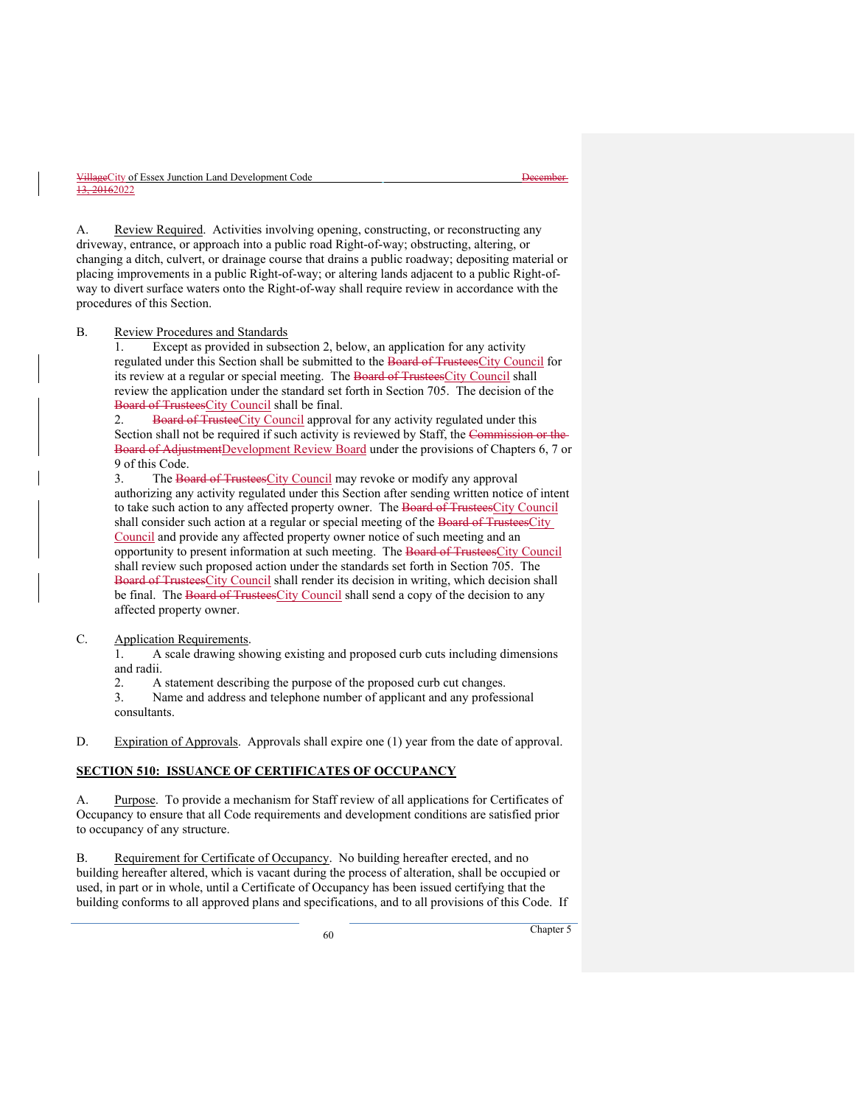A. Review Required. Activities involving opening, constructing, or reconstructing any driveway, entrance, or approach into a public road Right-of-way; obstructing, altering, or changing a ditch, culvert, or drainage course that drains a public roadway; depositing material or placing improvements in a public Right-of-way; or altering lands adjacent to a public Right-ofway to divert surface waters onto the Right-of-way shall require review in accordance with the procedures of this Section.

#### B. Review Procedures and Standards

1. Except as provided in subsection 2, below, an application for any activity regulated under this Section shall be submitted to the Board of TrusteesCity Council for its review at a regular or special meeting. The Board of TrusteesCity Council shall review the application under the standard set forth in Section 705. The decision of the Board of TrusteesCity Council shall be final.

2. Board of TrusteeCity Council approval for any activity regulated under this Section shall not be required if such activity is reviewed by Staff, the Commission or the Board of AdjustmentDevelopment Review Board under the provisions of Chapters 6, 7 or 9 of this Code.

3. The Board of TrusteesCity Council may revoke or modify any approval authorizing any activity regulated under this Section after sending written notice of intent to take such action to any affected property owner. The Board of TrusteesCity Council shall consider such action at a regular or special meeting of the Board of TrusteesCity Council and provide any affected property owner notice of such meeting and an opportunity to present information at such meeting. The Board of TrusteesCity Council shall review such proposed action under the standards set forth in Section 705. The Board of TrusteesCity Council shall render its decision in writing, which decision shall be final. The Board of Trustees City Council shall send a copy of the decision to any affected property owner.

# C. Application Requirements.

1. A scale drawing showing existing and proposed curb cuts including dimensions and radii.

2. A statement describing the purpose of the proposed curb cut changes.

3. Name and address and telephone number of applicant and any professional consultants.

D. Expiration of Approvals. Approvals shall expire one (1) year from the date of approval.

# **SECTION 510: ISSUANCE OF CERTIFICATES OF OCCUPANCY**

A. Purpose. To provide a mechanism for Staff review of all applications for Certificates of Occupancy to ensure that all Code requirements and development conditions are satisfied prior to occupancy of any structure.

B. Requirement for Certificate of Occupancy. No building hereafter erected, and no building hereafter altered, which is vacant during the process of alteration, shall be occupied or used, in part or in whole, until a Certificate of Occupancy has been issued certifying that the building conforms to all approved plans and specifications, and to all provisions of this Code. If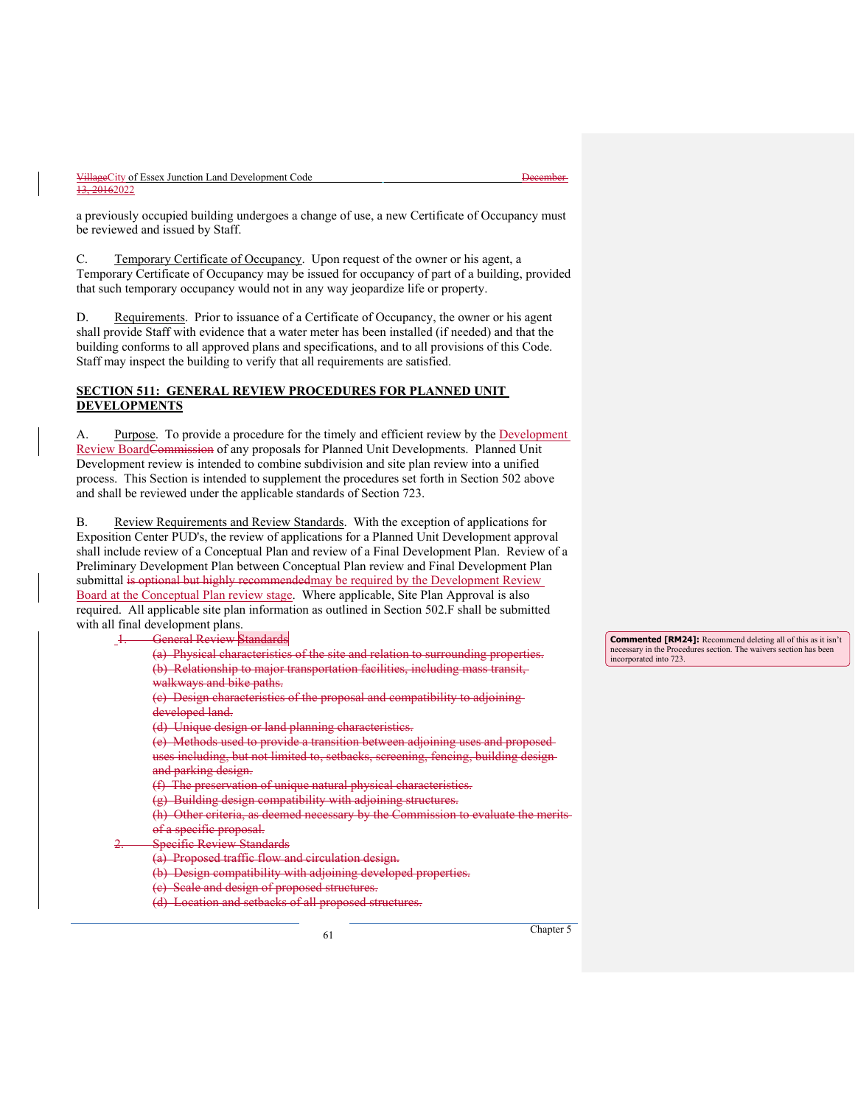a previously occupied building undergoes a change of use, a new Certificate of Occupancy must be reviewed and issued by Staff.

C. Temporary Certificate of Occupancy. Upon request of the owner or his agent, a Temporary Certificate of Occupancy may be issued for occupancy of part of a building, provided that such temporary occupancy would not in any way jeopardize life or property.

D. Requirements. Prior to issuance of a Certificate of Occupancy, the owner or his agent shall provide Staff with evidence that a water meter has been installed (if needed) and that the building conforms to all approved plans and specifications, and to all provisions of this Code. Staff may inspect the building to verify that all requirements are satisfied.

#### **SECTION 511: GENERAL REVIEW PROCEDURES FOR PLANNED UNIT DEVELOPMENTS**

A. Purpose. To provide a procedure for the timely and efficient review by the Development Review BoardCommission of any proposals for Planned Unit Developments. Planned Unit Development review is intended to combine subdivision and site plan review into a unified process. This Section is intended to supplement the procedures set forth in Section 502 above and shall be reviewed under the applicable standards of Section 723.

Review Requirements and Review Standards. With the exception of applications for Exposition Center PUD's, the review of applications for a Planned Unit Development approval shall include review of a Conceptual Plan and review of a Final Development Plan. Review of a Preliminary Development Plan between Conceptual Plan review and Final Development Plan submittal is optional but highly recommendedmay be required by the Development Review Board at the Conceptual Plan review stage. Where applicable, Site Plan Approval is also required. All applicable site plan information as outlined in Section 502.F shall be submitted with all final development plans.

**General Review Standards** (a) Physical characteristics of the site and relation to surrounding properties. (b) Relationship to major transportation facilities, including mass transit, walkways and bike paths. (c) Design characteristics of the proposal and compatibility to adjoining developed land. (d) Unique design or land planning characteristics. (e) Methods used to provide a transition between adjoining uses and proposed uses including, but not limited to, setbacks, screening, fencing, building design and parking design. (f) The preservation of unique natural physical characteristics. (g) Building design compatibility with adjoining structures. (h) Other criteria, as deemed necessary by the Commission to evaluate the of a specific proposal. **Specific Review Standards** (a) Proposed traffic flow and circulation design. (b) Design compatibility with adjoining developed properti-(c) Scale and design of proposed structures. (d) Location and setbacks of all proposed structures.

<sup>61</sup> Chapter 5

**Commented [RM24]:** Recommend deleting all of this as it isn't necessary in the Procedures section. The waivers section has been incorporated into 723.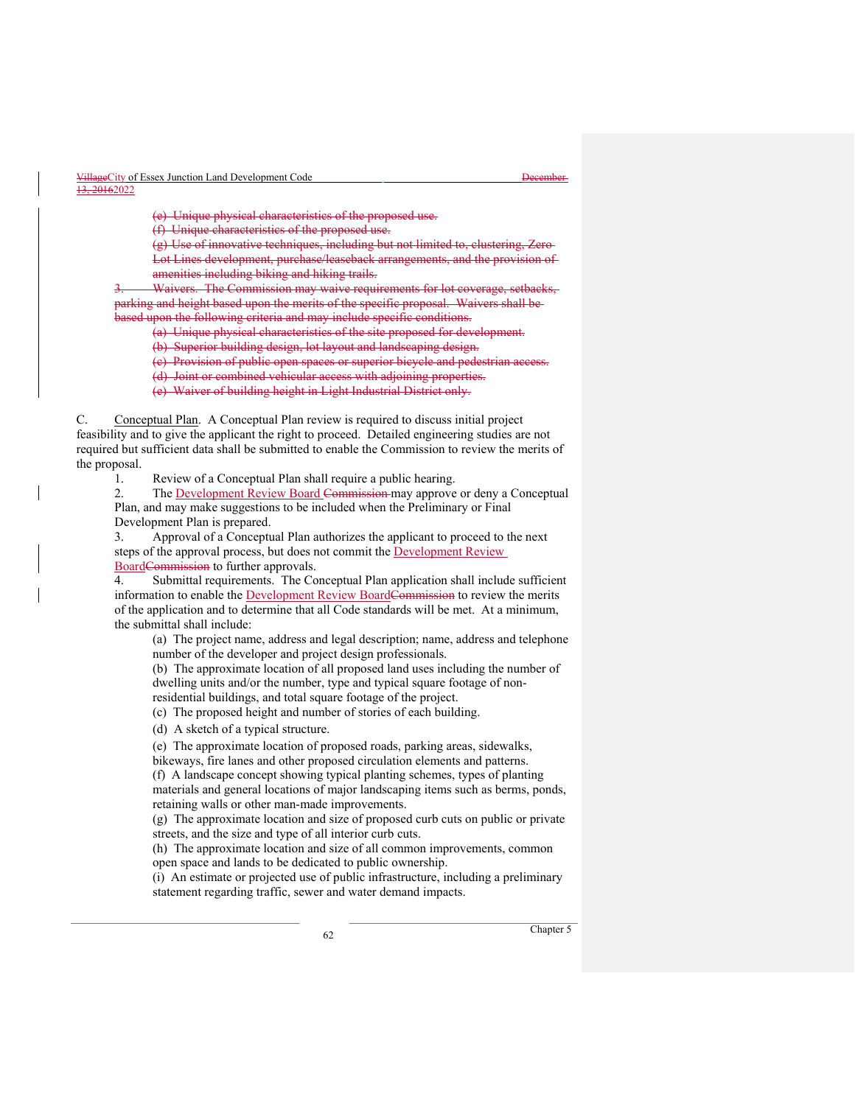(e) Unique physical characteristics of the

(f) Unique characteristics of the proposed use.

(g) Use of innovative techniques, including but not limited to Lot Lines development, purchase/leaseback arrangements, and the amenities including biking and hiking trails.

Waivers. The Commission may waive requirements parking and height based upon the merits of the specific proposal. Waivers shall be based upon the following criteria and may include specific conditions.

(a) Unique physical characteristics of the site proposed for development.

(b) Superior building design, lot layout and landscaping design.

(e) Provision of public open spaces or superior bicycle and pedestrian acce

(d) Joint or combined vehicular access with adjoining properties.

(e) Waiver of building height in Light Industrial District only.

C. Conceptual Plan. A Conceptual Plan review is required to discuss initial project feasibility and to give the applicant the right to proceed. Detailed engineering studies are not required but sufficient data shall be submitted to enable the Commission to review the merits of the proposal.

1. Review of a Conceptual Plan shall require a public hearing.

2. The Development Review Board Commission may approve or deny a Conceptual Plan, and may make suggestions to be included when the Preliminary or Final Development Plan is prepared.

3. Approval of a Conceptual Plan authorizes the applicant to proceed to the next steps of the approval process, but does not commit the **Development Review** BoardCommission to further approvals.

4. Submittal requirements. The Conceptual Plan application shall include sufficient information to enable the Development Review Board<del>Commission</del> to review the merits of the application and to determine that all Code standards will be met. At a minimum, the submittal shall include:

(a) The project name, address and legal description; name, address and telephone number of the developer and project design professionals.

(b) The approximate location of all proposed land uses including the number of dwelling units and/or the number, type and typical square footage of nonresidential buildings, and total square footage of the project.

(c) The proposed height and number of stories of each building.

(d) A sketch of a typical structure.

(e) The approximate location of proposed roads, parking areas, sidewalks,

bikeways, fire lanes and other proposed circulation elements and patterns.

(f) A landscape concept showing typical planting schemes, types of planting materials and general locations of major landscaping items such as berms, ponds, retaining walls or other man-made improvements.

(g) The approximate location and size of proposed curb cuts on public or private streets, and the size and type of all interior curb cuts.

(h) The approximate location and size of all common improvements, common open space and lands to be dedicated to public ownership.

(i) An estimate or projected use of public infrastructure, including a preliminary statement regarding traffic, sewer and water demand impacts.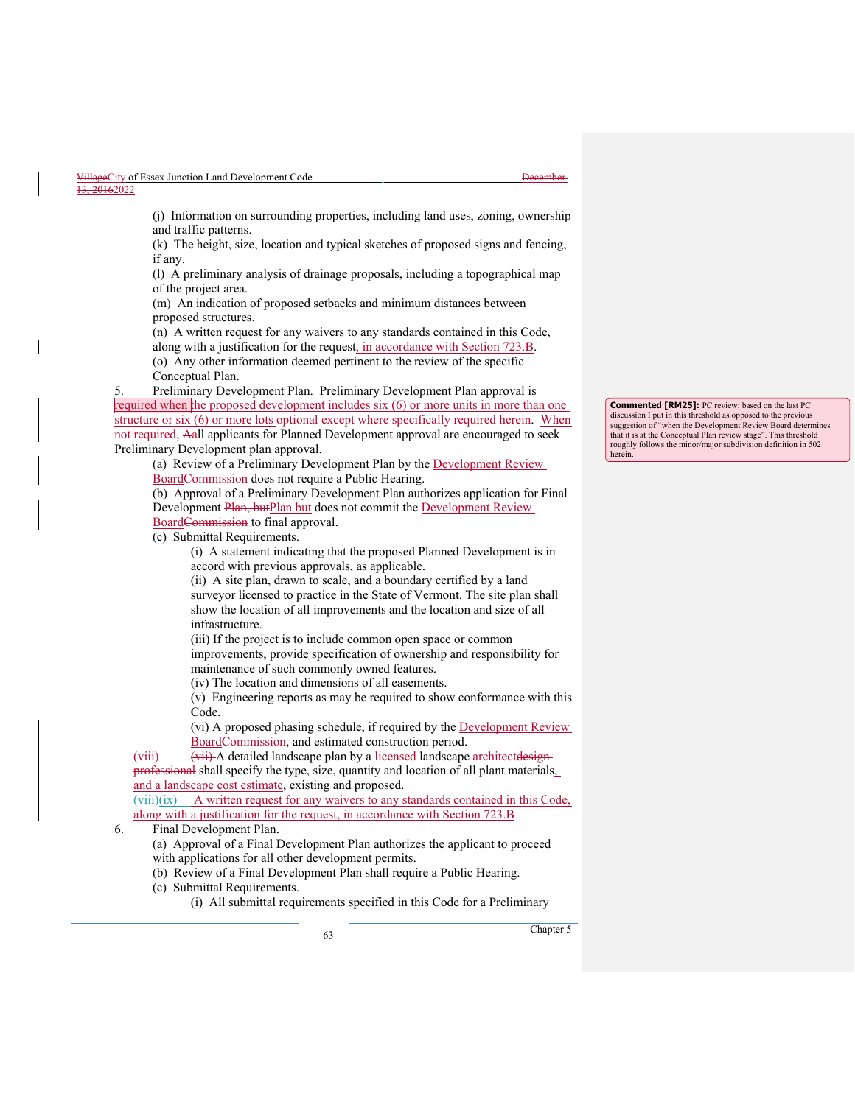| VillageCity of Essex Junction Land Development Code | t Jacombor<br><del>17000111701</del> |
|-----------------------------------------------------|--------------------------------------|
| 13, 20162022                                        |                                      |

(j) Information on surrounding properties, including land uses, zoning, ownership and traffic patterns.

(k) The height, size, location and typical sketches of proposed signs and fencing, if any.

(l) A preliminary analysis of drainage proposals, including a topographical map of the project area.

(m) An indication of proposed setbacks and minimum distances between proposed structures.

(n) A written request for any waivers to any standards contained in this Code, along with a justification for the request, in accordance with Section 723.B. (o) Any other information deemed pertinent to the review of the specific Conceptual Plan.

5. Preliminary Development Plan. Preliminary Development Plan approval is required when the proposed development includes six (6) or more units in more than one structure or six (6) or more lots <del>optional except where specifically required herein</del>. When not required, Aall applicants for Planned Development approval are encouraged to seek Preliminary Development plan approval.

(a) Review of a Preliminary Development Plan by the Development Review BoardCommission does not require a Public Hearing.

(b) Approval of a Preliminary Development Plan authorizes application for Final Development Plan, butPlan but does not commit the Development Review BoardCommission to final approval.

(c) Submittal Requirements.

(i) A statement indicating that the proposed Planned Development is in accord with previous approvals, as applicable.

(ii) A site plan, drawn to scale, and a boundary certified by a land surveyor licensed to practice in the State of Vermont. The site plan shall show the location of all improvements and the location and size of all infrastructure.

(iii) If the project is to include common open space or common improvements, provide specification of ownership and responsibility for maintenance of such commonly owned features.

(iv) The location and dimensions of all easements.

(v) Engineering reports as may be required to show conformance with this Code.

(vi) A proposed phasing schedule, if required by the Development Review BoardCommission, and estimated construction period.

(viii) (viii) A detailed landscape plan by a licensed landscape architectdesignprofessional shall specify the type, size, quantity and location of all plant materials, and a landscape cost estimate, existing and proposed.

 $(viii)(ix)$  A written request for any waivers to any standards contained in this Code, along with a justification for the request, in accordance with Section 723.B

6. Final Development Plan.

(a) Approval of a Final Development Plan authorizes the applicant to proceed with applications for all other development permits.

(b) Review of a Final Development Plan shall require a Public Hearing.

(c) Submittal Requirements.

(i) All submittal requirements specified in this Code for a Preliminary

<sup>63</sup> Chapter 5

**Commented [RM25]:** PC review: based on the last PC discussion I put in this threshold as opposed to the previous suggestion of "when the Development Review Board determines that it is at the Conceptual Plan review stage". This threshold roughly follows the minor/major subdivision definition in 502 herein.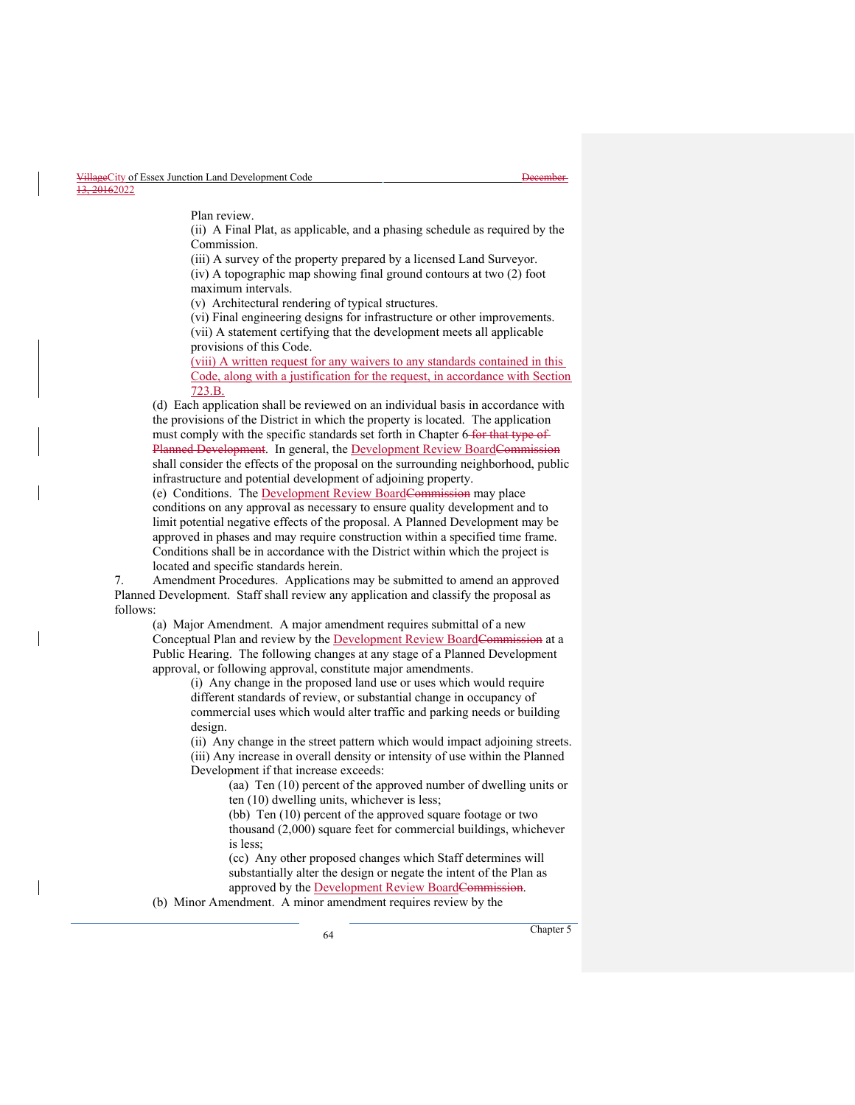Plan review.

(ii) A Final Plat, as applicable, and a phasing schedule as required by the Commission.

(iii) A survey of the property prepared by a licensed Land Surveyor. (iv) A topographic map showing final ground contours at two (2) foot maximum intervals.

(v) Architectural rendering of typical structures.

(vi) Final engineering designs for infrastructure or other improvements. (vii) A statement certifying that the development meets all applicable provisions of this Code.

(viii) A written request for any waivers to any standards contained in this Code, along with a justification for the request, in accordance with Section 723.B.

(d) Each application shall be reviewed on an individual basis in accordance with the provisions of the District in which the property is located. The application must comply with the specific standards set forth in Chapter 6 for that type of Planned Development. In general, the Development Review BoardCommission shall consider the effects of the proposal on the surrounding neighborhood, public infrastructure and potential development of adjoining property.

(e) Conditions. The Development Review BoardCommission may place conditions on any approval as necessary to ensure quality development and to limit potential negative effects of the proposal. A Planned Development may be approved in phases and may require construction within a specified time frame. Conditions shall be in accordance with the District within which the project is located and specific standards herein.

7. Amendment Procedures. Applications may be submitted to amend an approved Planned Development. Staff shall review any application and classify the proposal as follows:

(a) Major Amendment. A major amendment requires submittal of a new Conceptual Plan and review by the **Development Review BoardCommission** at a Public Hearing. The following changes at any stage of a Planned Development approval, or following approval, constitute major amendments.

(i) Any change in the proposed land use or uses which would require different standards of review, or substantial change in occupancy of commercial uses which would alter traffic and parking needs or building design.

(ii) Any change in the street pattern which would impact adjoining streets. (iii) Any increase in overall density or intensity of use within the Planned Development if that increase exceeds:

(aa) Ten (10) percent of the approved number of dwelling units or ten (10) dwelling units, whichever is less;

(bb) Ten (10) percent of the approved square footage or two thousand (2,000) square feet for commercial buildings, whichever is less;

(cc) Any other proposed changes which Staff determines will substantially alter the design or negate the intent of the Plan as approved by the Development Review BoardCommission.

(b) Minor Amendment. A minor amendment requires review by the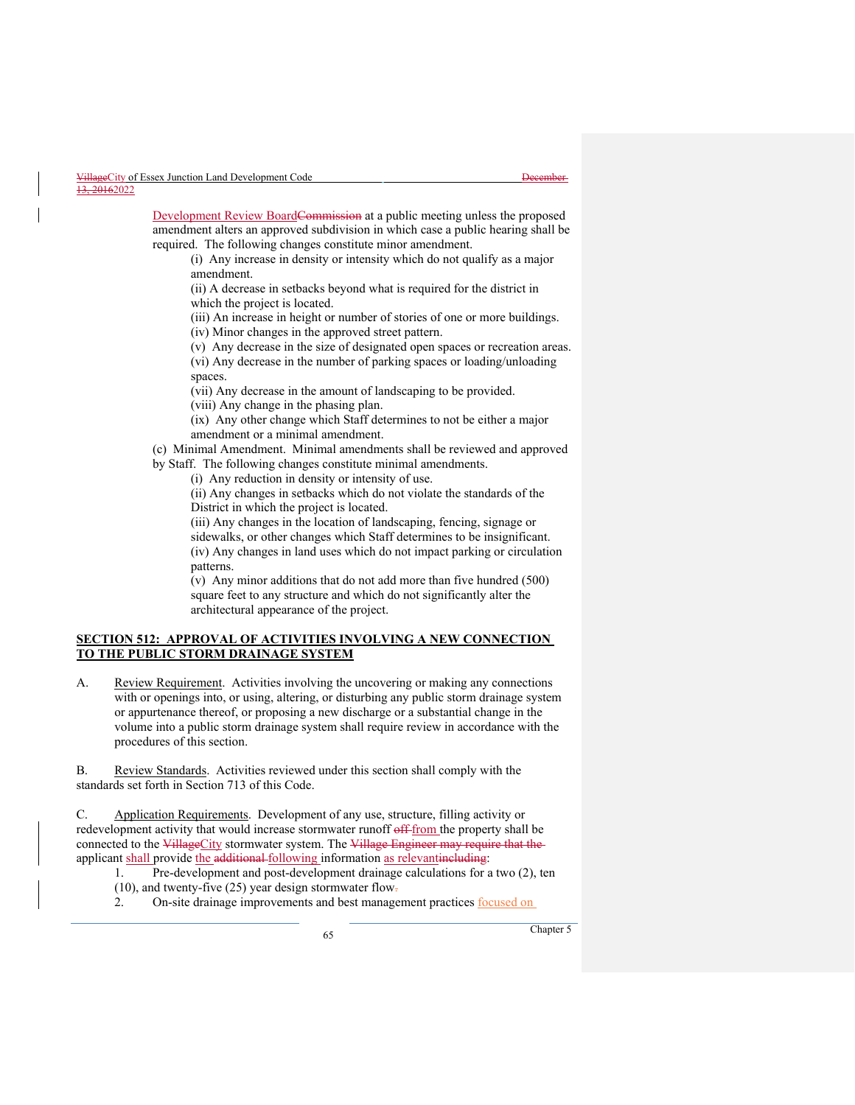Development Review BoardCommission at a public meeting unless the proposed amendment alters an approved subdivision in which case a public hearing shall be required. The following changes constitute minor amendment.

(i) Any increase in density or intensity which do not qualify as a major amendment.

(ii) A decrease in setbacks beyond what is required for the district in which the project is located.

(iii) An increase in height or number of stories of one or more buildings.

(iv) Minor changes in the approved street pattern.

(v) Any decrease in the size of designated open spaces or recreation areas. (vi) Any decrease in the number of parking spaces or loading/unloading spaces.

(vii) Any decrease in the amount of landscaping to be provided.

(viii) Any change in the phasing plan.

(ix) Any other change which Staff determines to not be either a major amendment or a minimal amendment.

(c) Minimal Amendment. Minimal amendments shall be reviewed and approved by Staff. The following changes constitute minimal amendments.

(i) Any reduction in density or intensity of use.

(ii) Any changes in setbacks which do not violate the standards of the District in which the project is located.

(iii) Any changes in the location of landscaping, fencing, signage or sidewalks, or other changes which Staff determines to be insignificant. (iv) Any changes in land uses which do not impact parking or circulation patterns.

(v) Any minor additions that do not add more than five hundred (500) square feet to any structure and which do not significantly alter the architectural appearance of the project.

#### **SECTION 512: APPROVAL OF ACTIVITIES INVOLVING A NEW CONNECTION TO THE PUBLIC STORM DRAINAGE SYSTEM**

A. Review Requirement. Activities involving the uncovering or making any connections with or openings into, or using, altering, or disturbing any public storm drainage system or appurtenance thereof, or proposing a new discharge or a substantial change in the volume into a public storm drainage system shall require review in accordance with the procedures of this section.

B. Review Standards. Activities reviewed under this section shall comply with the standards set forth in Section 713 of this Code.

C. Application Requirements. Development of any use, structure, filling activity or redevelopment activity that would increase stormwater runoff off-from the property shall be connected to the VillageCity stormwater system. The Village Engineer may require that the applicant shall provide the additional following information as relevantineluding:

1. Pre-development and post-development drainage calculations for a two (2), ten (10), and twenty-five (25) year design stormwater flow-

2. On-site drainage improvements and best management practices focused on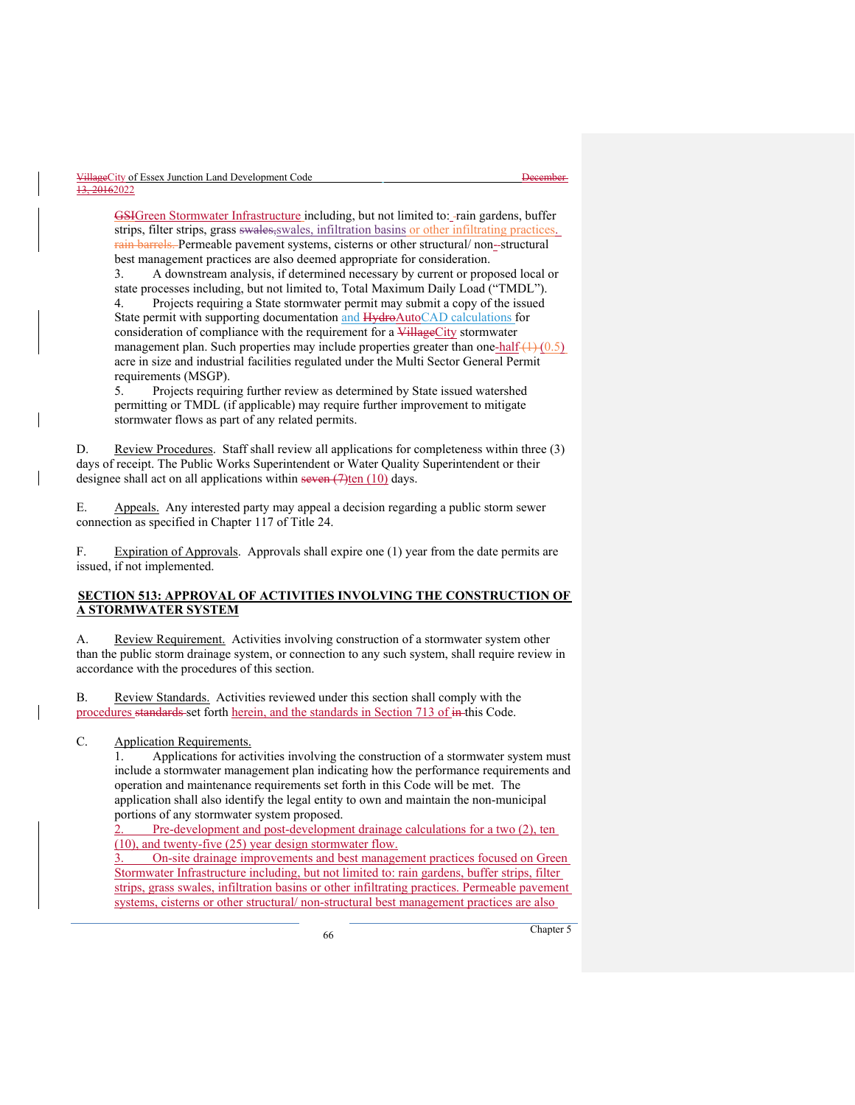GSIGreen Stormwater Infrastructure including, but not limited to: - rain gardens, buffer strips, filter strips, grass swales, swales, infiltration basins or other infiltrating practices. rain barrels. Permeable pavement systems, cisterns or other structural/ non-structural best management practices are also deemed appropriate for consideration.

3. A downstream analysis, if determined necessary by current or proposed local or state processes including, but not limited to, Total Maximum Daily Load ("TMDL").

4. Projects requiring a State stormwater permit may submit a copy of the issued State permit with supporting documentation and HydroAutoCAD calculations for consideration of compliance with the requirement for a VillageCity stormwater management plan. Such properties may include properties greater than one-half  $(1)$   $(0.5)$ acre in size and industrial facilities regulated under the Multi Sector General Permit requirements (MSGP).

5. Projects requiring further review as determined by State issued watershed permitting or TMDL (if applicable) may require further improvement to mitigate stormwater flows as part of any related permits.

D. Review Procedures. Staff shall review all applications for completeness within three (3) days of receipt. The Public Works Superintendent or Water Quality Superintendent or their designee shall act on all applications within seven  $(7)$ ten  $(10)$  days.

E. Appeals. Any interested party may appeal a decision regarding a public storm sewer connection as specified in Chapter 117 of Title 24.

F. Expiration of Approvals. Approvals shall expire one (1) year from the date permits are issued, if not implemented.

# **SECTION 513: APPROVAL OF ACTIVITIES INVOLVING THE CONSTRUCTION OF A STORMWATER SYSTEM**

A. Review Requirement. Activities involving construction of a stormwater system other than the public storm drainage system, or connection to any such system, shall require review in accordance with the procedures of this section.

B. Review Standards. Activities reviewed under this section shall comply with the procedures standards set forth herein, and the standards in Section 713 of in this Code.

#### C. Application Requirements.

1. Applications for activities involving the construction of a stormwater system must include a stormwater management plan indicating how the performance requirements and operation and maintenance requirements set forth in this Code will be met. The application shall also identify the legal entity to own and maintain the non-municipal portions of any stormwater system proposed.

Pre-development and post-development drainage calculations for a two (2), ten (10), and twenty-five (25) year design stormwater flow.

3. On-site drainage improvements and best management practices focused on Green Stormwater Infrastructure including, but not limited to: rain gardens, buffer strips, filter strips, grass swales, infiltration basins or other infiltrating practices. Permeable pavement systems, cisterns or other structural/ non-structural best management practices are also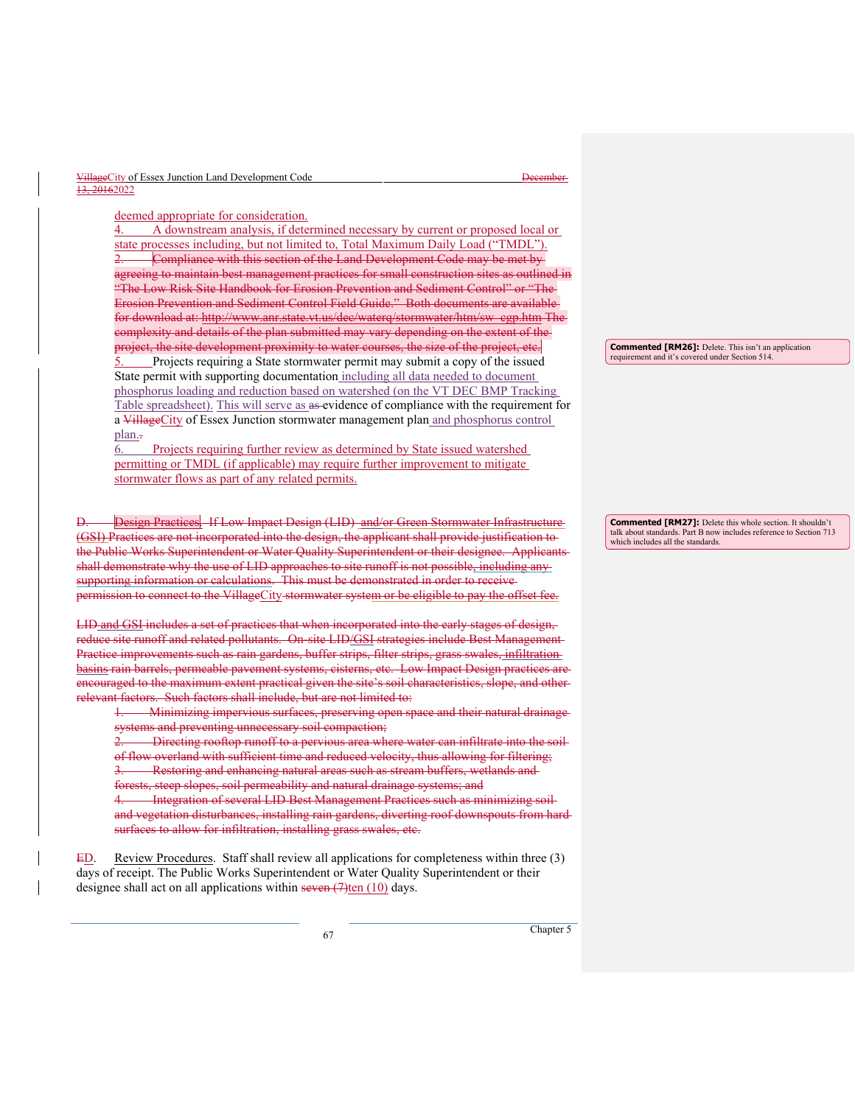| VillageCity of Essex Junction Land Development Code | December- |
|-----------------------------------------------------|-----------|
| <del>13, 2016</del> 2022                            |           |

deemed appropriate for consideration.

4. A downstream analysis, if determined necessary by current or proposed local or state processes including, but not limited to, Total Maximum Daily Load ("TMDL"). Compliance with this section of the Land Development Code may be met by eing to maintain best management practices for small construction sites as outlined in "The Low Risk Site Handbook for Erosion Prevention and Sediment Control" or "The Erosion Prevention and Sediment Control Field Guide." Both documents are available<br>for download at: http://www.anr.state.vt.us/dec/waterq/stormwater/htm/sw\_egp.htm The for download at: http://www.anr.state.vt.us/dec/waterq/stormwater/htm complexity and details of the plan submitted may vary depending on the extent of the project, the site development proximity to water courses, the size of the project, etc.

Projects requiring a State stormwater permit may submit a copy of the issued State permit with supporting documentation including all data needed to document phosphorus loading and reduction based on watershed (on the VT DEC BMP Tracking Table spreadsheet). This will serve as as evidence of compliance with the requirement for a VillageCity of Essex Junction stormwater management plan and phosphorus control plan.

6. Projects requiring further review as determined by State issued watershed permitting or TMDL (if applicable) may require further improvement to mitigate stormwater flows as part of any related permits.

Design Practices. If Low Impact Design (LID) and/or Green Stormwater Infrastructure (GSI) Practices are not incorporated into the design, the applicant shall provide justification to the Public Works Superintendent or Water Quality Superintendent or their designee. Applicants shall demonstrate why the use of LID approaches to site runoff is not possible, including anysupporting information or calculations. This must be demonstrated in order to receive permission to connect to the VillageCity stormwater system or be eligible to pay the offset fee.

LID and GSI includes a set of practices that when incorporated into the early stages of design, reduce site runoff and related pollutants. On-site LID/GSI strategies include Best Management Practice improvements such as rain gardens, buffer strips, filter strips, grass swales, infiltration basins rain barrels, permeable pavement systems, cisterns, etc. Low Impact Design practices are encouraged to the maximum extent practical given the site's soil characteristics, slope, and other relevant factors. Such factors shall include, but are not limited to:

1. Minimizing impervious surfaces, preserving open space and their natural drainage systems and preventing unnecessary soil compaction;

2. Directing rooftop runoff to a pervious area where water can infiltrate into the soil of flow overland with sufficient time and reduced velocity, thus allowing for filtering; Restoring and enhancing natural areas such as stream buffers, wetlands and

forests, steep slopes, soil permeability and natural drainage systems; and

Integration of several LID Best Management Practices such as minimizing soiland vegetation disturbances, installing rain gardens, diverting roof downspouts from hard surfaces to allow for infiltration, installing grass swales, etc.

ED. Review Procedures. Staff shall review all applications for completeness within three (3) days of receipt. The Public Works Superintendent or Water Quality Superintendent or their designee shall act on all applications within seven  $(7)$ ten  $(10)$  days.

**Commented [RM26]:** Delete. This isn't an application requirement and it's covered under Section 514.

**Commented [RM27]:** Delete this whole section. It shouldn't talk about standards. Part B now includes reference to Section 713 which includes all the standards.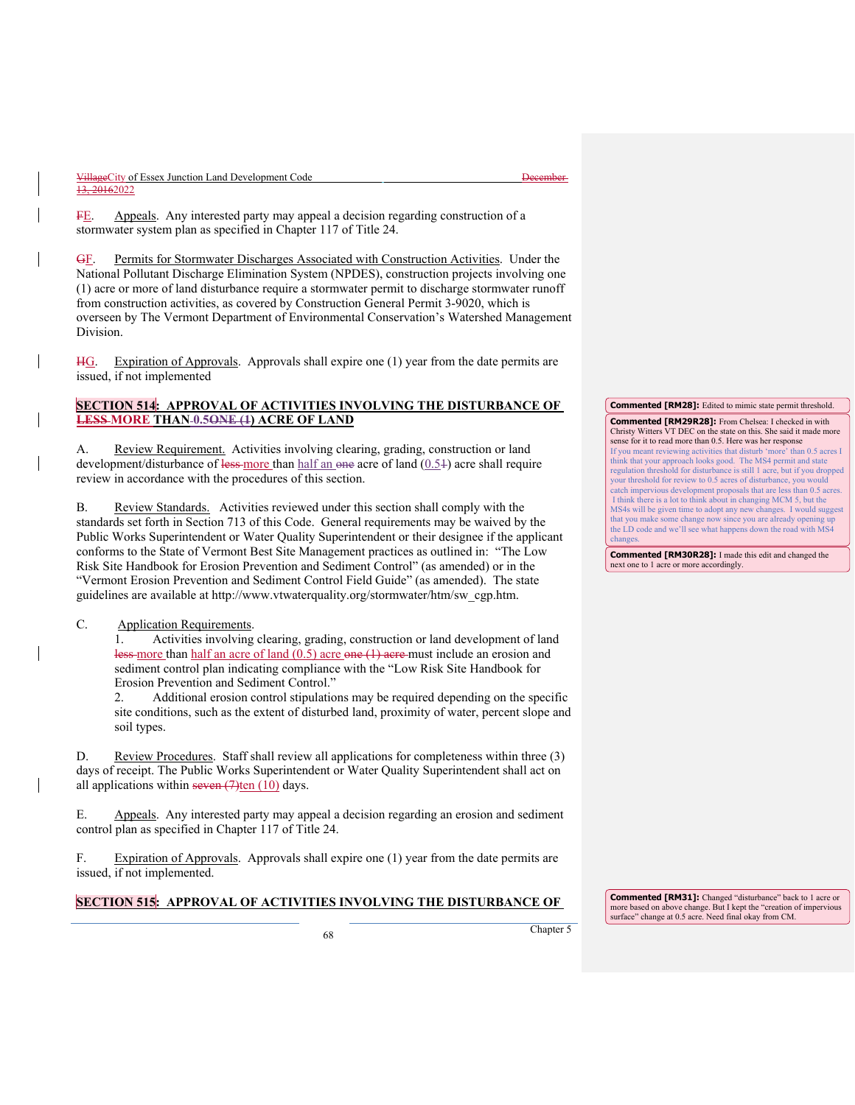FE. Appeals. Any interested party may appeal a decision regarding construction of a stormwater system plan as specified in Chapter 117 of Title 24.

GF. Permits for Stormwater Discharges Associated with Construction Activities. Under the National Pollutant Discharge Elimination System (NPDES), construction projects involving one (1) acre or more of land disturbance require a stormwater permit to discharge stormwater runoff from construction activities, as covered by Construction General Permit 3-9020, which is overseen by The Vermont Department of Environmental Conservation's Watershed Management Division.

HG. Expiration of Approvals. Approvals shall expire one (1) year from the date permits are issued, if not implemented

# **SECTION 514: APPROVAL OF ACTIVITIES INVOLVING THE DISTURBANCE OF LESS MORE THAN 0.5ONE (1) ACRE OF LAND**

A. Review Requirement. Activities involving clearing, grading, construction or land development/disturbance of less-more than half an one acre of land  $(0.54)$  acre shall require review in accordance with the procedures of this section.

B. Review Standards. Activities reviewed under this section shall comply with the standards set forth in Section 713 of this Code. General requirements may be waived by the Public Works Superintendent or Water Quality Superintendent or their designee if the applicant conforms to the State of Vermont Best Site Management practices as outlined in: "The Low Risk Site Handbook for Erosion Prevention and Sediment Control" (as amended) or in the "Vermont Erosion Prevention and Sediment Control Field Guide" (as amended). The state guidelines are available at http://www.vtwaterquality.org/stormwater/htm/sw\_cgp.htm.

# C. Application Requirements.

1. Activities involving clearing, grading, construction or land development of land less-more than half an acre of land (0.5) acre one (1) acre must include an erosion and sediment control plan indicating compliance with the "Low Risk Site Handbook for Erosion Prevention and Sediment Control."

2. Additional erosion control stipulations may be required depending on the specific site conditions, such as the extent of disturbed land, proximity of water, percent slope and soil types.

D. Review Procedures. Staff shall review all applications for completeness within three (3) days of receipt. The Public Works Superintendent or Water Quality Superintendent shall act on all applications within seven  $(7)$ ten  $(10)$  days.

E. Appeals. Any interested party may appeal a decision regarding an erosion and sediment control plan as specified in Chapter 117 of Title 24.

F. Expiration of Approvals. Approvals shall expire one (1) year from the date permits are issued, if not implemented.

# **SECTION 515: APPROVAL OF ACTIVITIES INVOLVING THE DISTURBANCE OF**

<sup>68</sup> Chapter 5

**Commented [RM31]:** Changed "disturbance" back to 1 acre or more based on above change. But I kept the "creation of impervious surface" change at 0.5 acre. Need final okay from CM.

**Commented [RM28]:** Edited to mimic state permit threshold.

**Commented [RM29R28]:** From Chelsea: I checked in with Christy Witters VT DEC on the state on this. She said it made more sense for it to read more than 0.5. Here was her response<br>If you meant reviewing activities that disturb 'more' than 0.5 acres I

If you meant reviewing activities that disturb 'more' than 0.5 acres I think that your approach looks good. The MS4 permit and state regulation threshold for disturbance is still 1 acre, but if you dropped your threshold for review to 0.5 acres of disturbance, you would catch impervious development proposals that are less than 0.5 acres. I think there is a lot to think about in changing MCM 5, but the MS4s will be given time to adopt any new changes. I would suggest that you make some change now since you are already opening up the LD code and we'll see what happens down the road with MS4 changes.

**Commented [RM30R28]:** I made this edit and changed the next one to 1 acre or more accordingly.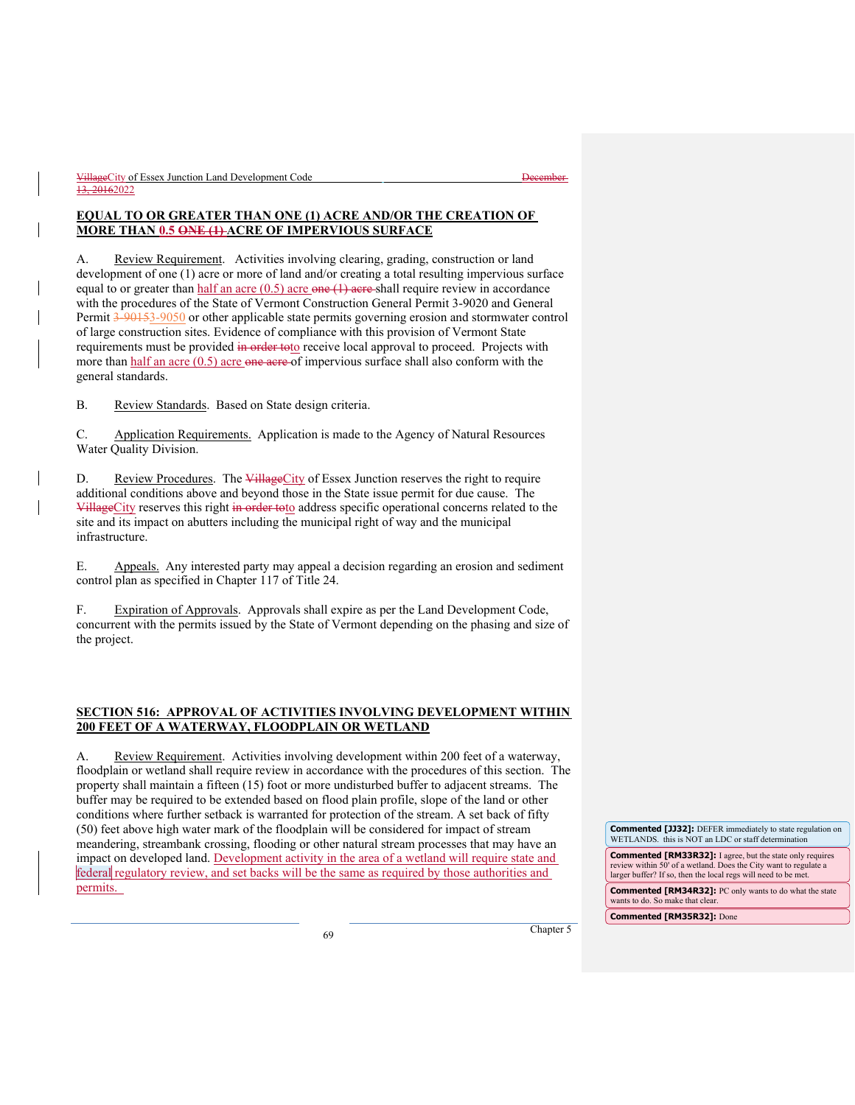# **EQUAL TO OR GREATER THAN ONE (1) ACRE AND/OR THE CREATION OF MORE THAN 0.5 ONE (1) ACRE OF IMPERVIOUS SURFACE**

A. Review Requirement. Activities involving clearing, grading, construction or land development of one (1) acre or more of land and/or creating a total resulting impervious surface equal to or greater than  $half$  an acre  $(0.5)$  acre one  $(1)$  acre shall require review in accordance with the procedures of the State of Vermont Construction General Permit 3-9020 and General Permit 3-90153-9050 or other applicable state permits governing erosion and stormwater control of large construction sites. Evidence of compliance with this provision of Vermont State requirements must be provided in order toto receive local approval to proceed. Projects with more than  $half$  an acre  $(0.5)$  acre one acre of impervious surface shall also conform with the general standards.

B. Review Standards. Based on State design criteria.

C. Application Requirements. Application is made to the Agency of Natural Resources Water Quality Division.

D. Review Procedures. The VillageCity of Essex Junction reserves the right to require additional conditions above and beyond those in the State issue permit for due cause. The VillageCity reserves this right in order to to address specific operational concerns related to the site and its impact on abutters including the municipal right of way and the municipal infrastructure.

E. Appeals. Any interested party may appeal a decision regarding an erosion and sediment control plan as specified in Chapter 117 of Title 24.

F. Expiration of Approvals. Approvals shall expire as per the Land Development Code, concurrent with the permits issued by the State of Vermont depending on the phasing and size of the project.

# **SECTION 516: APPROVAL OF ACTIVITIES INVOLVING DEVELOPMENT WITHIN 200 FEET OF A WATERWAY, FLOODPLAIN OR WETLAND**

A. Review Requirement. Activities involving development within 200 feet of a waterway, floodplain or wetland shall require review in accordance with the procedures of this section. The property shall maintain a fifteen (15) foot or more undisturbed buffer to adjacent streams. The buffer may be required to be extended based on flood plain profile, slope of the land or other conditions where further setback is warranted for protection of the stream. A set back of fifty (50) feet above high water mark of the floodplain will be considered for impact of stream meandering, streambank crossing, flooding or other natural stream processes that may have an impact on developed land. Development activity in the area of a wetland will require state and federal regulatory review, and set backs will be the same as required by those authorities and permits.

**Commented [JJ32]:** DEFER immediately to state regulation on WETLANDS. this is NOT an LDC or staff determination **Commented [RM33R32]:** I agree, but the state only requires review within 50' of a wetland. Does the City want to regulate a larger buffer? If so, then the local regs will need to be met.

**Commented [RM34R32]:** PC only wants to do what the state wants to do. So make that clear.

**Commented [RM35R32]:** Done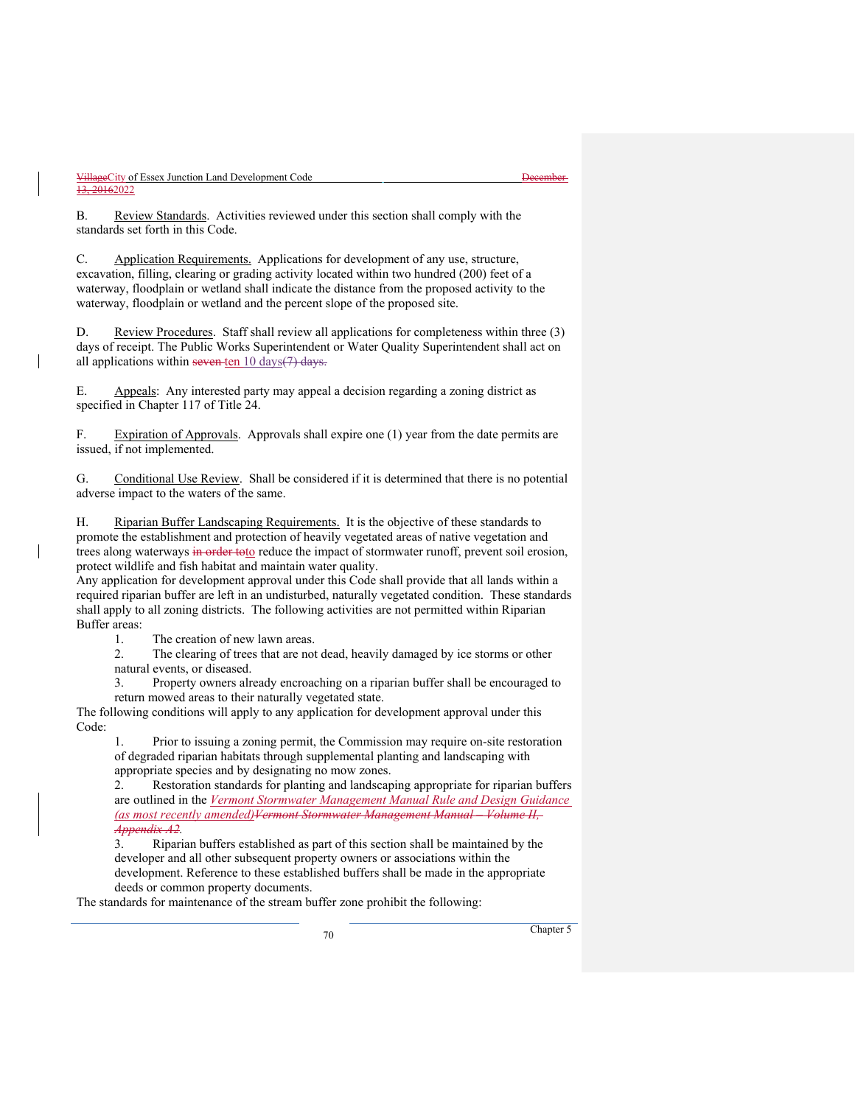B. Review Standards. Activities reviewed under this section shall comply with the standards set forth in this Code.

C. Application Requirements. Applications for development of any use, structure, excavation, filling, clearing or grading activity located within two hundred (200) feet of a waterway, floodplain or wetland shall indicate the distance from the proposed activity to the waterway, floodplain or wetland and the percent slope of the proposed site.

D. Review Procedures. Staff shall review all applications for completeness within three (3) days of receipt. The Public Works Superintendent or Water Quality Superintendent shall act on all applications within seven ten  $10 \text{ days}$  (7) days.

E. Appeals: Any interested party may appeal a decision regarding a zoning district as specified in Chapter 117 of Title 24.

F. Expiration of Approvals. Approvals shall expire one (1) year from the date permits are issued, if not implemented.

G. Conditional Use Review. Shall be considered if it is determined that there is no potential adverse impact to the waters of the same.

H. Riparian Buffer Landscaping Requirements. It is the objective of these standards to promote the establishment and protection of heavily vegetated areas of native vegetation and trees along waterways in order toto reduce the impact of stormwater runoff, prevent soil erosion, protect wildlife and fish habitat and maintain water quality.

Any application for development approval under this Code shall provide that all lands within a required riparian buffer are left in an undisturbed, naturally vegetated condition. These standards shall apply to all zoning districts. The following activities are not permitted within Riparian Buffer areas:

1. The creation of new lawn areas.

2. The clearing of trees that are not dead, heavily damaged by ice storms or other natural events, or diseased.

3. Property owners already encroaching on a riparian buffer shall be encouraged to return mowed areas to their naturally vegetated state.

The following conditions will apply to any application for development approval under this Code:

1. Prior to issuing a zoning permit, the Commission may require on-site restoration of degraded riparian habitats through supplemental planting and landscaping with appropriate species and by designating no mow zones.

2. Restoration standards for planting and landscaping appropriate for riparian buffers are outlined in the *Vermont Stormwater Management Manual Rule and Design Guidance (as most recently amended)Vermont Stormwater Management Manual – Volume II, Appendix A2.* 

3. Riparian buffers established as part of this section shall be maintained by the developer and all other subsequent property owners or associations within the development. Reference to these established buffers shall be made in the appropriate deeds or common property documents.

The standards for maintenance of the stream buffer zone prohibit the following: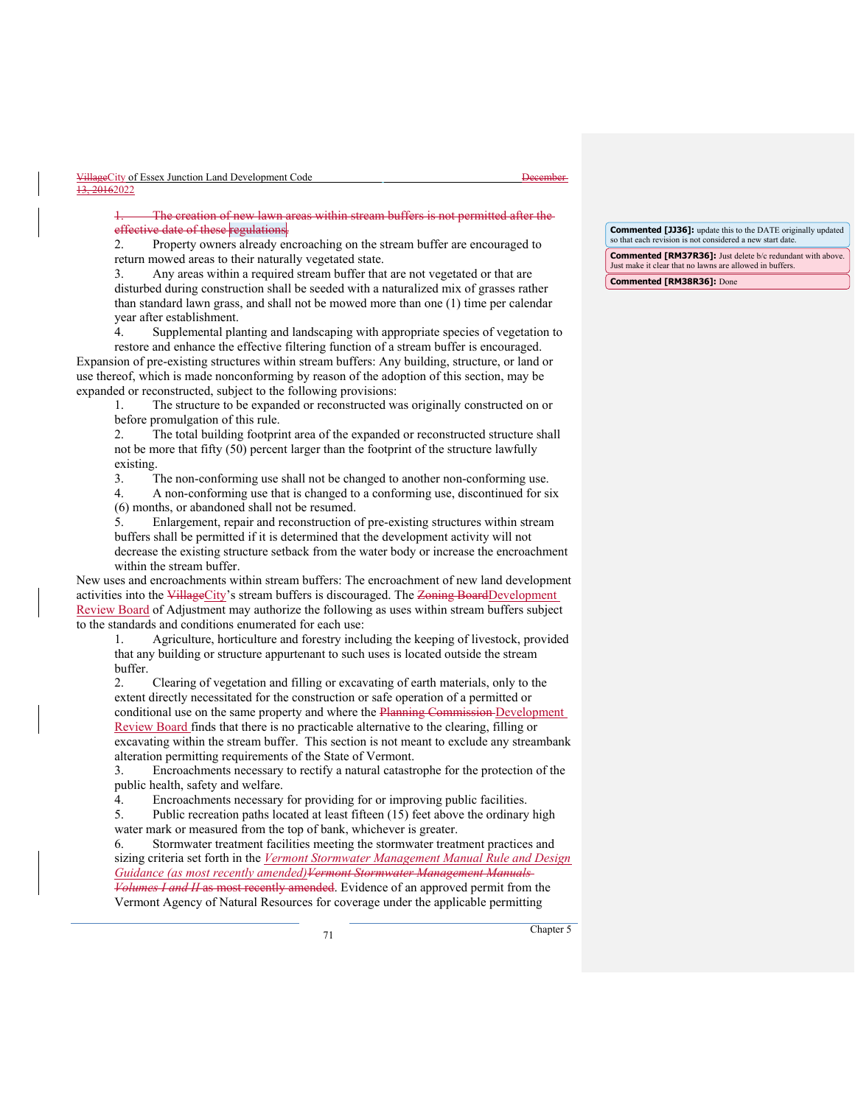The creation of new lawn areas within stream effective date of these regulations.

2. Property owners already encroaching on the stream buffer are encouraged to return mowed areas to their naturally vegetated state.

3. Any areas within a required stream buffer that are not vegetated or that are disturbed during construction shall be seeded with a naturalized mix of grasses rather than standard lawn grass, and shall not be mowed more than one (1) time per calendar year after establishment.

4. Supplemental planting and landscaping with appropriate species of vegetation to restore and enhance the effective filtering function of a stream buffer is encouraged.

Expansion of pre-existing structures within stream buffers: Any building, structure, or land or use thereof, which is made nonconforming by reason of the adoption of this section, may be expanded or reconstructed, subject to the following provisions:

1. The structure to be expanded or reconstructed was originally constructed on or before promulgation of this rule.

2. The total building footprint area of the expanded or reconstructed structure shall not be more that fifty (50) percent larger than the footprint of the structure lawfully existing.

3. The non-conforming use shall not be changed to another non-conforming use.

4. A non-conforming use that is changed to a conforming use, discontinued for six (6) months, or abandoned shall not be resumed.

5. Enlargement, repair and reconstruction of pre-existing structures within stream buffers shall be permitted if it is determined that the development activity will not decrease the existing structure setback from the water body or increase the encroachment within the stream buffer.

New uses and encroachments within stream buffers: The encroachment of new land development activities into the VillageCity's stream buffers is discouraged. The Zoning BoardDevelopment Review Board of Adjustment may authorize the following as uses within stream buffers subject to the standards and conditions enumerated for each use:

1. Agriculture, horticulture and forestry including the keeping of livestock, provided that any building or structure appurtenant to such uses is located outside the stream buffer.

2. Clearing of vegetation and filling or excavating of earth materials, only to the extent directly necessitated for the construction or safe operation of a permitted or conditional use on the same property and where the Planning Commission Development Review Board finds that there is no practicable alternative to the clearing, filling or excavating within the stream buffer. This section is not meant to exclude any streambank alteration permitting requirements of the State of Vermont.

3. Encroachments necessary to rectify a natural catastrophe for the protection of the public health, safety and welfare.

4. Encroachments necessary for providing for or improving public facilities.

5. Public recreation paths located at least fifteen (15) feet above the ordinary high water mark or measured from the top of bank, whichever is greater.

6. Stormwater treatment facilities meeting the stormwater treatment practices and sizing criteria set forth in the *Vermont Stormwater Management Manual Rule and Design Guidance (as most recently amended)Vermont Stormwater Management Manuals Volumes I and II* as most recently amended. Evidence of an approved permit from the Vermont Agency of Natural Resources for coverage under the applicable permitting

**Commented [JJ36]:** update this to the DATE originally updated so that each revision is not considered a new start date.

**Commented [RM37R36]:** Just delete b/c redundant with above. Just make it clear that no lawns are allowed in buffers.

**Commented [RM38R36]:** Done